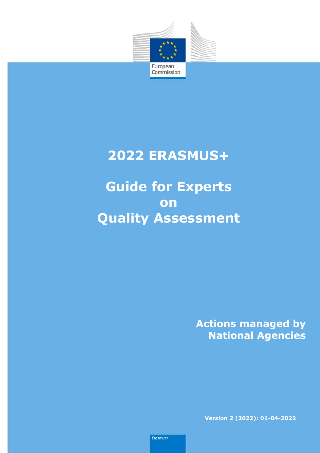

l,

## **2022 ERASMUS+**

**Guide for Experts on Quality Assessment** 

> **Actions managed by National Agencies**

**Version 2 (2022): 01-04-2022**

Erasmus+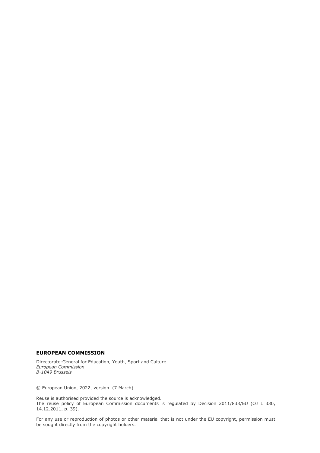#### **EUROPEAN COMMISSION**

Directorate-General for Education, Youth, Sport and Culture *European Commission B-1049 Brussels*

© European Union, 2022, version (7 March).

Reuse is authorised provided the source is acknowledged. The reuse policy of European Commission documents is regulated by Decision 2011/833/EU (OJ L 330, 14.12.2011, p. 39).

For any use or reproduction of photos or other material that is not under the EU copyright, permission must be sought directly from the copyright holders.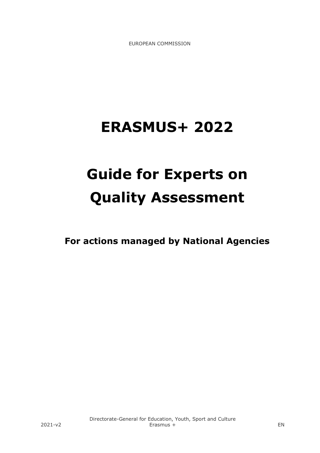EUROPEAN COMMISSION

# **ERASMUS+ 2022**

# **Guide for Experts on Quality Assessment**

**For actions managed by National Agencies**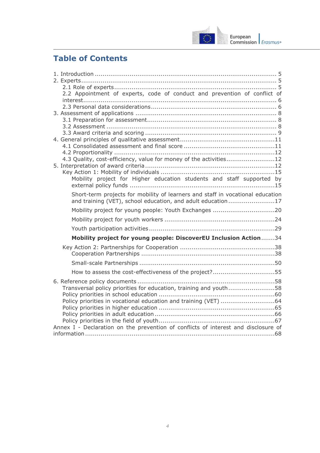

## **Table of Contents**

| 2.2 Appointment of experts, code of conduct and prevention of conflict of          |  |
|------------------------------------------------------------------------------------|--|
|                                                                                    |  |
|                                                                                    |  |
|                                                                                    |  |
|                                                                                    |  |
|                                                                                    |  |
|                                                                                    |  |
|                                                                                    |  |
|                                                                                    |  |
| 4.3 Quality, cost-efficiency, value for money of the activities12                  |  |
|                                                                                    |  |
| Mobility project for Higher education students and staff supported by              |  |
|                                                                                    |  |
| Short-term projects for mobility of learners and staff in vocational education     |  |
| and training (VET), school education, and adult education17                        |  |
| Mobility project for young people: Youth Exchanges 20                              |  |
|                                                                                    |  |
|                                                                                    |  |
|                                                                                    |  |
| Mobility project for young people: DiscoverEU Inclusion Action34                   |  |
|                                                                                    |  |
|                                                                                    |  |
|                                                                                    |  |
| How to assess the cost-effectiveness of the project?55                             |  |
|                                                                                    |  |
| Transversal policy priorities for education, training and youth58                  |  |
|                                                                                    |  |
|                                                                                    |  |
|                                                                                    |  |
|                                                                                    |  |
| Annex I - Declaration on the prevention of conflicts of interest and disclosure of |  |
|                                                                                    |  |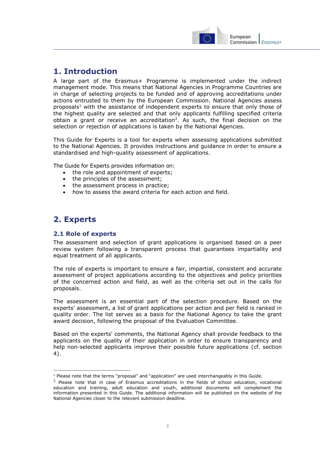

## <span id="page-4-0"></span>**1. Introduction**

A large part of the Erasmus+ Programme is implemented under the indirect management mode. This means that National Agencies in Programme Countries are in charge of selecting projects to be funded and of approving accreditations under actions entrusted to them by the European Commission. National Agencies assess proposals<sup>1</sup> with the assistance of independent experts to ensure that only those of the highest quality are selected and that only applicants fulfilling specified criteria obtain a grant or receive an accreditation<sup>2</sup>. As such, the final decision on the selection or rejection of applications is taken by the National Agencies.

This Guide for Experts is a tool for experts when assessing applications submitted to the National Agencies. It provides instructions and guidance in order to ensure a standardised and high-quality assessment of applications.

The Guide for Experts provides information on:

- the role and appointment of experts;
- the principles of the assessment;
- the assessment process in practice;
- how to assess the award criteria for each action and field.

## <span id="page-4-1"></span>**2. Experts**

## <span id="page-4-2"></span>**2.1 Role of experts**

The assessment and selection of grant applications is organised based on a peer review system following a transparent process that guarantees impartiality and equal treatment of all applicants.

The role of experts is important to ensure a fair, impartial, consistent and accurate assessment of project applications according to the objectives and policy priorities of the concerned action and field, as well as the criteria set out in the calls for proposals.

The assessment is an essential part of the selection procedure. Based on the experts' assessment, a list of grant applications per action and per field is ranked in quality order. The list serves as a basis for the National Agency to take the grant award decision, following the proposal of the Evaluation Committee.

Based on the experts' comments, the National Agency shall provide feedback to the applicants on the quality of their application in order to ensure transparency and help non-selected applicants improve their possible future applications (cf. section 4).

j  $<sup>1</sup>$  Please note that the terms "proposal" and "application" are used interchangeably in this Guide.</sup>

<sup>&</sup>lt;sup>2</sup> Please note that in case of Erasmus accreditations in the fields of school education, vocational education and training, adult education and youth, additional documents will complement the information presented in this Guide. The additional information will be published on the website of the National Agencies closer to the relevant submission deadline.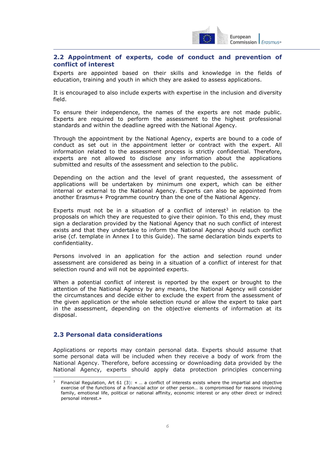

## <span id="page-5-0"></span>**2.2 Appointment of experts, code of conduct and prevention of conflict of interest**

Experts are appointed based on their skills and knowledge in the fields of education, training and youth in which they are asked to assess applications.

It is encouraged to also include experts with expertise in the inclusion and diversity field.

To ensure their independence, the names of the experts are not made public. Experts are required to perform the assessment to the highest professional standards and within the deadline agreed with the National Agency.

Through the appointment by the National Agency, experts are bound to a code of conduct as set out in the appointment letter or contract with the expert. All information related to the assessment process is strictly confidential. Therefore, experts are not allowed to disclose any information about the applications submitted and results of the assessment and selection to the public.

Depending on the action and the level of grant requested, the assessment of applications will be undertaken by minimum one expert, which can be either internal or external to the National Agency. Experts can also be appointed from another Erasmus+ Programme country than the one of the National Agency.

Experts must not be in a situation of a conflict of interest<sup>3</sup> in relation to the proposals on which they are requested to give their opinion. To this end, they must sign a declaration provided by the National Agency that no such conflict of interest exists and that they undertake to inform the National Agency should such conflict arise (cf. template in Annex I to this Guide). The same declaration binds experts to confidentiality.

Persons involved in an application for the action and selection round under assessment are considered as being in a situation of a conflict of interest for that selection round and will not be appointed experts.

When a potential conflict of interest is reported by the expert or brought to the attention of the National Agency by any means, the National Agency will consider the circumstances and decide either to exclude the expert from the assessment of the given application or the whole selection round or allow the expert to take part in the assessment, depending on the objective elements of information at its disposal.

## <span id="page-5-1"></span>**2.3 Personal data considerations**

 $\overline{a}$ 

Applications or reports may contain personal data. Experts should assume that some personal data will be included when they receive a body of work from the National Agency. Therefore, before accessing or downloading data provided by the National Agency, experts should apply data protection principles concerning

<sup>3</sup> Financial Regulation, Art 61 (3): « … a conflict of interests exists where the impartial and objective exercise of the functions of a financial actor or other person… is compromised for reasons involving family, emotional life, political or national affinity, economic interest or any other direct or indirect personal interest.»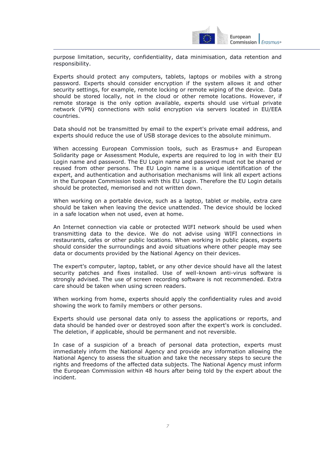

purpose limitation, security, confidentiality, data minimisation, data retention and responsibility.

Experts should protect any computers, tablets, laptops or mobiles with a strong password. Experts should consider encryption if the system allows it and other security settings, for example, remote locking or remote wiping of the device. Data should be stored locally, not in the cloud or other remote locations. However, if remote storage is the only option available, experts should use virtual private network (VPN) connections with solid encryption via servers located in EU/EEA countries.

Data should not be transmitted by email to the expert's private email address, and experts should reduce the use of USB storage devices to the absolute minimum.

When accessing European Commission tools, such as Erasmus+ and European Solidarity page or Assessment Module, experts are required to log in with their EU Login name and password. The EU Login name and password must not be shared or reused from other persons. The EU Login name is a unique identification of the expert, and authentication and authorisation mechanisms will link all expert actions in the European Commission tools with this EU Login. Therefore the EU Login details should be protected, memorised and not written down.

When working on a portable device, such as a laptop, tablet or mobile, extra care should be taken when leaving the device unattended. The device should be locked in a safe location when not used, even at home.

An Internet connection via cable or protected WIFI network should be used when transmitting data to the device. We do not advise using WIFI connections in restaurants, cafes or other public locations. When working in public places, experts should consider the surroundings and avoid situations where other people may see data or documents provided by the National Agency on their devices.

The expert's computer, laptop, tablet, or any other device should have all the latest security patches and fixes installed. Use of well-known anti-virus software is strongly advised. The use of screen recording software is not recommended. Extra care should be taken when using screen readers.

When working from home, experts should apply the confidentiality rules and avoid showing the work to family members or other persons.

Experts should use personal data only to assess the applications or reports, and data should be handed over or destroyed soon after the expert's work is concluded. The deletion, if applicable, should be permanent and not reversible.

In case of a suspicion of a breach of personal data protection, experts must immediately inform the National Agency and provide any information allowing the National Agency to assess the situation and take the necessary steps to secure the rights and freedoms of the affected data subjects. The National Agency must inform the European Commission within 48 hours after being told by the expert about the incident.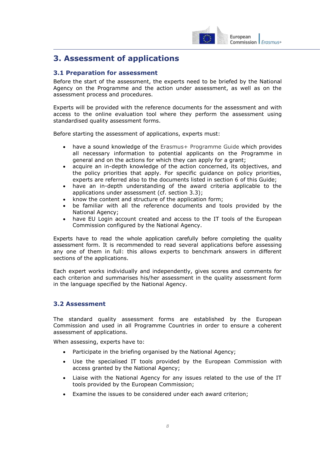

## <span id="page-7-0"></span>**3. Assessment of applications**

## <span id="page-7-1"></span>**3.1 Preparation for assessment**

Before the start of the assessment, the experts need to be briefed by the National Agency on the Programme and the action under assessment, as well as on the assessment process and procedures.

Experts will be provided with the reference documents for the assessment and with access to the online evaluation tool where they perform the assessment using standardised quality assessment forms.

Before starting the assessment of applications, experts must:

- have a sound knowledge of the [Erasmus+ Programme Guide](http://ec.europa.eu/programmes/erasmus-plus/documents/erasmus-plus-programme-guide_en.pdf) which provides all necessary information to potential applicants on the Programme in general and on the actions for which they can apply for a grant;
- acquire an in-depth knowledge of the action concerned, its objectives, and the policy priorities that apply. For specific guidance on policy priorities, experts are referred also to the documents listed in section 6 of this Guide;
- have an in-depth understanding of the award criteria applicable to the applications under assessment (cf. section 3.3);
- know the content and structure of the application form;
- be familiar with all the reference documents and tools provided by the National Agency;
- have EU Login account created and access to the IT tools of the European Commission configured by the National Agency.

Experts have to read the whole application carefully before completing the quality assessment form. It is recommended to read several applications before assessing any one of them in full: this allows experts to benchmark answers in different sections of the applications.

Each expert works individually and independently, gives scores and comments for each criterion and summarises his/her assessment in the quality assessment form in the language specified by the National Agency.

## <span id="page-7-2"></span>**3.2 Assessment**

The standard quality assessment forms are established by the European Commission and used in all Programme Countries in order to ensure a coherent assessment of applications.

When assessing, experts have to:

- Participate in the briefing organised by the National Agency;
- Use the specialised IT tools provided by the European Commission with access granted by the National Agency;
- Liaise with the National Agency for any issues related to the use of the IT tools provided by the European Commission;
- Examine the issues to be considered under each award criterion;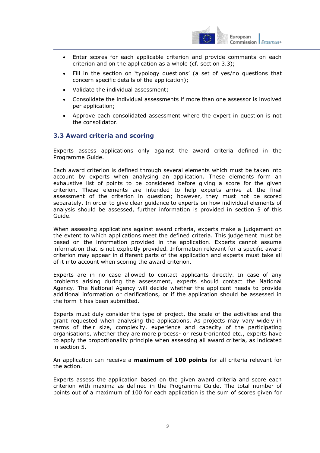

- Enter scores for each applicable criterion and provide comments on each criterion and on the application as a whole (cf. section 3.3);
- Fill in the section on 'typology questions' (a set of yes/no questions that concern specific details of the application);
- Validate the individual assessment;
- Consolidate the individual assessments if more than one assessor is involved per application;
- Approve each consolidated assessment where the expert in question is not the consolidator.

## <span id="page-8-0"></span>**3.3 Award criteria and scoring**

Experts assess applications only against the award criteria defined in the [Programme Guide.](http://ec.europa.eu/programmes/erasmus-plus/documents/erasmus-plus-programme-guide_en.pdf)

Each award criterion is defined through several elements which must be taken into account by experts when analysing an application. These elements form an exhaustive list of points to be considered before giving a score for the given criterion. These elements are intended to help experts arrive at the final assessment of the criterion in question; however, they must not be scored separately. In order to give clear guidance to experts on how individual elements of analysis should be assessed, further information is provided in section 5 of this Guide.

When assessing applications against award criteria, experts make a judgement on the extent to which applications meet the defined criteria. This judgement must be based on the information provided in the application. Experts cannot assume information that is not explicitly provided. Information relevant for a specific award criterion may appear in different parts of the application and experts must take all of it into account when scoring the award criterion.

Experts are in no case allowed to contact applicants directly. In case of any problems arising during the assessment, experts should contact the National Agency. The National Agency will decide whether the applicant needs to provide additional information or clarifications, or if the application should be assessed in the form it has been submitted.

Experts must duly consider the type of project, the scale of the activities and the grant requested when analysing the applications. As projects may vary widely in terms of their size, complexity, experience and capacity of the participating organisations, whether they are more process- or result-oriented etc., experts have to apply the proportionality principle when assessing all award criteria, as indicated in section 5.

An application can receive a **maximum of 100 points** for all criteria relevant for the action.

Experts assess the application based on the given award criteria and score each criterion with maxima as defined in the Programme Guide. The total number of points out of a maximum of 100 for each application is the sum of scores given for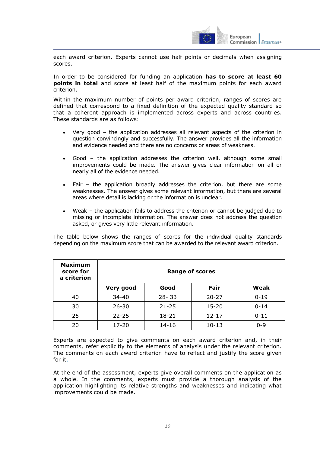

each award criterion. Experts cannot use half points or decimals when assigning scores.

In order to be considered for funding an application **has to score at least 60 points in total** and score at least half of the maximum points for each award criterion.

Within the maximum number of points per award criterion, ranges of scores are defined that correspond to a fixed definition of the expected quality standard so that a coherent approach is implemented across experts and across countries. These standards are as follows:

- Very good the application addresses all relevant aspects of the criterion in question convincingly and successfully. The answer provides all the information and evidence needed and there are no concerns or areas of weakness.
- Good the application addresses the criterion well, although some small improvements could be made. The answer gives clear information on all or nearly all of the evidence needed.
- Fair the application broadly addresses the criterion, but there are some weaknesses. The answer gives some relevant information, but there are several areas where detail is lacking or the information is unclear.
- Weak the application fails to address the criterion or cannot be judged due to missing or incomplete information. The answer does not address the question asked, or gives very little relevant information.

The table below shows the ranges of scores for the individual quality standards depending on the maximum score that can be awarded to the relevant award criterion.

| <b>Maximum</b><br>score for<br>a criterion | <b>Range of scores</b> |           |           |          |
|--------------------------------------------|------------------------|-----------|-----------|----------|
|                                            | Very good              | Good      | Fair      | Weak     |
| 40                                         | $34 - 40$              | $28 - 33$ | $20 - 27$ | $0 - 19$ |
| 30                                         | $26 - 30$              | $21 - 25$ | $15 - 20$ | $0 - 14$ |
| 25                                         | $22 - 25$              | $18 - 21$ | $12 - 17$ | $0 - 11$ |
| 20                                         | 17-20                  | $14 - 16$ | $10 - 13$ | $0 - 9$  |

Experts are expected to give comments on each award criterion and, in their comments, refer explicitly to the elements of analysis under the relevant criterion. The comments on each award criterion have to reflect and justify the score given for it.

At the end of the assessment, experts give overall comments on the application as a whole. In the comments, experts must provide a thorough analysis of the application highlighting its relative strengths and weaknesses and indicating what improvements could be made.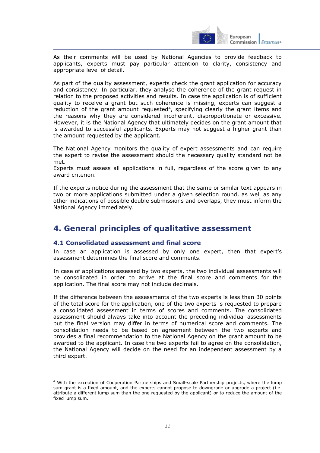

As their comments will be used by National Agencies to provide feedback to applicants, experts must pay particular attention to clarity, consistency and appropriate level of detail.

As part of the quality assessment, experts check the grant application for accuracy and consistency. In particular, they analyse the coherence of the grant request in relation to the proposed activities and results. In case the application is of sufficient quality to receive a grant but such coherence is missing, experts can suggest a reduction of the grant amount requested<sup>4</sup>, specifying clearly the grant items and the reasons why they are considered incoherent, disproportionate or excessive. However, it is the National Agency that ultimately decides on the grant amount that is awarded to successful applicants. Experts may not suggest a higher grant than the amount requested by the applicant.

The National Agency monitors the quality of expert assessments and can require the expert to revise the assessment should the necessary quality standard not be met.

Experts must assess all applications in full, regardless of the score given to any award criterion.

If the experts notice during the assessment that the same or similar text appears in two or more applications submitted under a given selection round, as well as any other indications of possible double submissions and overlaps, they must inform the National Agency immediately.

## <span id="page-10-0"></span>**4. General principles of qualitative assessment**

## <span id="page-10-1"></span>**4.1 Consolidated assessment and final score**

 $\overline{a}$ 

In case an application is assessed by only one expert, then that expert's assessment determines the final score and comments.

In case of applications assessed by two experts, the two individual assessments will be consolidated in order to arrive at the final score and comments for the application. The final score may not include decimals.

If the difference between the assessments of the two experts is less than 30 points of the total score for the application, one of the two experts is requested to prepare a consolidated assessment in terms of scores and comments. The consolidated assessment should always take into account the preceding individual assessments but the final version may differ in terms of numerical score and comments. The consolidation needs to be based on agreement between the two experts and provides a final recommendation to the National Agency on the grant amount to be awarded to the applicant. In case the two experts fail to agree on the consolidation, the National Agency will decide on the need for an independent assessment by a third expert.

<sup>4</sup> With the exception of Cooperation Partnerships and Small-scale Partnership projects, where the lump sum grant is a fixed amount, and the experts cannot propose to downgrade or upgrade a project (i.e. attribute a different lump sum than the one requested by the applicant) or to reduce the amount of the fixed lump sum.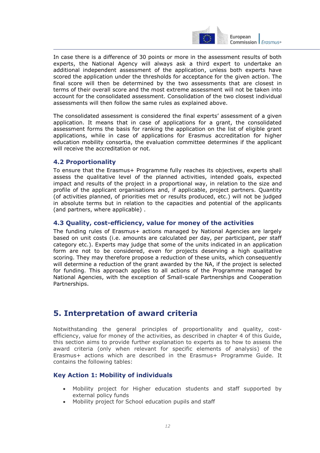

In case there is a difference of 30 points or more in the assessment results of both experts, the National Agency will always ask a third expert to undertake an additional independent assessment of the application, unless both experts have scored the application under the thresholds for acceptance for the given action. The final score will then be determined by the two assessments that are closest in terms of their overall score and the most extreme assessment will not be taken into account for the consolidated assessment. Consolidation of the two closest individual assessments will then follow the same rules as explained above.

The consolidated assessment is considered the final experts' assessment of a given application. It means that in case of applications for a grant, the consolidated assessment forms the basis for ranking the application on the list of eligible grant applications, while in case of applications for Erasmus accreditation for higher education mobility consortia, the evaluation committee determines if the applicant will receive the accreditation or not.

## <span id="page-11-0"></span>**4.2 Proportionality**

To ensure that the Erasmus+ Programme fully reaches its objectives, experts shall assess the qualitative level of the planned activities, intended goals, expected impact and results of the project in a proportional way, in relation to the size and profile of the applicant organisations and, if applicable, project partners. Quantity (of activities planned, of priorities met or results produced, etc.) will not be judged in absolute terms but in relation to the capacities and potential of the applicants (and partners, where applicable) .

## <span id="page-11-1"></span>**4.3 Quality, cost-efficiency, value for money of the activities**

The funding rules of Erasmus+ actions managed by National Agencies are largely based on unit costs (i.e. amounts are calculated per day, per participant, per staff category etc.). Experts may judge that some of the units indicated in an application form are not to be considered, even for projects deserving a high qualitative scoring. They may therefore propose a reduction of these units, which consequently will determine a reduction of the grant awarded by the NA, if the project is selected for funding. This approach applies to all actions of the Programme managed by National Agencies, with the exception of Small-scale Partnerships and Cooperation Partnerships.

## <span id="page-11-2"></span>**5. Interpretation of award criteria**

Notwithstanding the general principles of proportionality and quality, costefficiency, value for money of the activities, as described in chapter 4 of this Guide, this section aims to provide further explanation to experts as to how to assess the award criteria (only when relevant for specific elements of analysis) of the Erasmus+ actions which are described in the Erasmus+ Programme Guide. It contains the following tables:

## **Key Action 1: Mobility of individuals**

- Mobility project for Higher education students and staff supported by external policy funds
- Mobility project for School education pupils and staff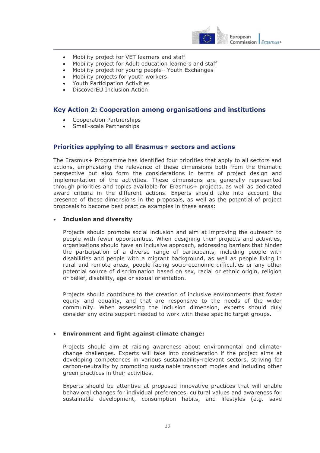

- Mobility project for VET learners and staff
- Mobility project for Adult education learners and staff
- Mobility project for young people– Youth Exchanges
- Mobility projects for youth workers
- Youth Participation Activities
- DiscoverEU Inclusion Action

#### **Key Action 2: Cooperation among organisations and institutions**

- Cooperation Partnerships
- Small-scale Partnerships

## **Priorities applying to all Erasmus+ sectors and actions**

The Erasmus+ Programme has identified four priorities that apply to all sectors and actions, emphasizing the relevance of these dimensions both from the thematic perspective but also form the considerations in terms of project design and implementation of the activities. These dimensions are generally represented through priorities and topics available for Erasmus+ projects, as well as dedicated award criteria in the different actions. Experts should take into account the presence of these dimensions in the proposals, as well as the potential of project proposals to become best practice examples in these areas:

#### **Inclusion and diversity**

Projects should promote social inclusion and aim at improving the outreach to people with fewer opportunities. When designing their projects and activities, organisations should have an inclusive approach, addressing barriers that hinder the participation of a diverse range of participants, including people with disabilities and people with a migrant background, as well as people living in rural and remote areas, people facing socio-economic difficulties or any other potential source of discrimination based on sex, racial or ethnic origin, religion or belief, disability, age or sexual orientation.

Projects should contribute to the creation of inclusive environments that foster equity and equality, and that are responsive to the needs of the wider community. When assessing the inclusion dimension, experts should duly consider any extra support needed to work with these specific target groups.

#### **Environment and fight against climate change:**

Projects should aim at raising awareness about environmental and climatechange challenges. Experts will take into consideration if the project aims at developing competences in various sustainability-relevant sectors, striving for carbon-neutrality by promoting sustainable transport modes and including other green practices in their activities.

Experts should be attentive at proposed innovative practices that will enable behavioral changes for individual preferences, cultural values and awareness for sustainable development, consumption habits, and lifestyles (e.g. save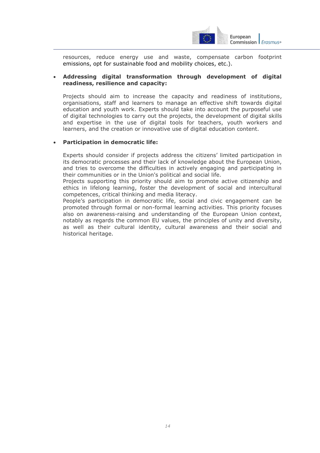

resources, reduce energy use and waste, compensate carbon footprint emissions, opt for sustainable food and mobility choices, etc.).

#### **Addressing digital transformation through development of digital readiness, resilience and capacity:**

Projects should aim to increase the capacity and readiness of institutions, organisations, staff and learners to manage an effective shift towards digital education and youth work. Experts should take into account the purposeful use of digital technologies to carry out the projects, the development of digital skills and expertise in the use of digital tools for teachers, youth workers and learners, and the creation or innovative use of digital education content.

#### **Participation in democratic life:**

Experts should consider if projects address the citizens' limited participation in its democratic processes and their lack of knowledge about the European Union, and tries to overcome the difficulties in actively engaging and participating in their communities or in the Union's political and social life.

Projects supporting this priority should aim to promote active citizenship and ethics in lifelong learning, foster the development of social and intercultural competences, critical thinking and media literacy.

People's participation in democratic life, social and civic engagement can be promoted through formal or non-formal learning activities. This priority focuses also on awareness-raising and understanding of the European Union context, notably as regards the common EU values, the principles of unity and diversity, as well as their cultural identity, cultural awareness and their social and historical heritage.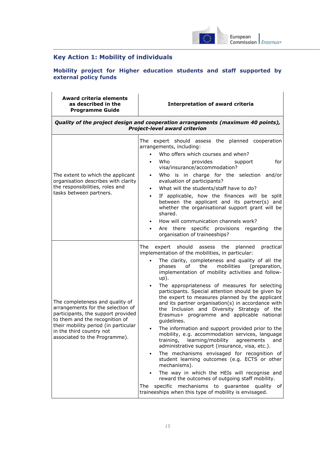

## <span id="page-14-0"></span>**Key Action 1: Mobility of individuals**

#### <span id="page-14-1"></span>**Mobility project for Higher education students and staff supported by external policy funds**

| <b>Award criteria elements</b><br>as described in the<br><b>Programme Guide</b>                                                                                                                                                                   | <b>Interpretation of award criteria</b>                                                                                                                                                                                                                                                                                                                                                                                                                                                                                                                                                                                                                                                                                                                                                                                                                                                                                                                                                                                                                                                                                                                                                        |  |
|---------------------------------------------------------------------------------------------------------------------------------------------------------------------------------------------------------------------------------------------------|------------------------------------------------------------------------------------------------------------------------------------------------------------------------------------------------------------------------------------------------------------------------------------------------------------------------------------------------------------------------------------------------------------------------------------------------------------------------------------------------------------------------------------------------------------------------------------------------------------------------------------------------------------------------------------------------------------------------------------------------------------------------------------------------------------------------------------------------------------------------------------------------------------------------------------------------------------------------------------------------------------------------------------------------------------------------------------------------------------------------------------------------------------------------------------------------|--|
|                                                                                                                                                                                                                                                   | Quality of the project design and cooperation arrangements (maximum 40 points),<br><b>Project-level award criterion</b>                                                                                                                                                                                                                                                                                                                                                                                                                                                                                                                                                                                                                                                                                                                                                                                                                                                                                                                                                                                                                                                                        |  |
| The extent to which the applicant<br>organisation describes with clarity<br>the responsibilities, roles and<br>tasks between partners.                                                                                                            | The expert should assess the planned cooperation<br>arrangements, including:<br>Who offers which courses and when?<br>$\bullet$<br>provides<br>Who<br>for<br>support<br>$\bullet$<br>visa/insurance/accommodation?<br>Who is in charge for the selection and/or<br>evaluation of participants?<br>What will the students/staff have to do?<br>$\bullet$<br>If applicable, how the finances will be split<br>$\bullet$<br>between the applicant and its partner(s) and<br>whether the organisational support grant will be<br>shared.<br>How will communication channels work?<br>$\bullet$<br>Are there specific provisions regarding<br>the<br>organisation of traineeships?                                                                                                                                                                                                                                                                                                                                                                                                                                                                                                                  |  |
| The completeness and quality of<br>arrangements for the selection of<br>participants, the support provided<br>to them and the recognition of<br>their mobility period (in particular<br>in the third country not<br>associated to the Programme). | The<br>practical<br>should<br>the<br>planned<br>expert<br>assess<br>implementation of the mobilities, in particular:<br>The clarity, completeness and quality of all the<br>mobilities<br>phases<br>of<br>the<br>(preparation,<br>implementation of mobility activities and follow-<br>$up$ ).<br>The appropriateness of measures for selecting<br>participants. Special attention should be given by<br>the expert to measures planned by the applicant<br>and its partner organisation(s) in accordance with<br>the Inclusion and Diversity Strategy of the<br>Erasmus+ programme and applicable national<br>guidelines.<br>The information and support provided prior to the<br>$\bullet$<br>mobility, e.g. accommodation services, language<br>learning/mobility<br>training,<br>agreements<br>and<br>administrative support (insurance, visa, etc.).<br>The mechanisms envisaged for recognition of<br>student learning outcomes (e.g. ECTS or other<br>mechanisms).<br>The way in which the HEIs will recognise and<br>reward the outcomes of outgoing staff mobility.<br>specific mechanisms to guarantee<br>quality of<br>The<br>traineeships when this type of mobility is envisaged. |  |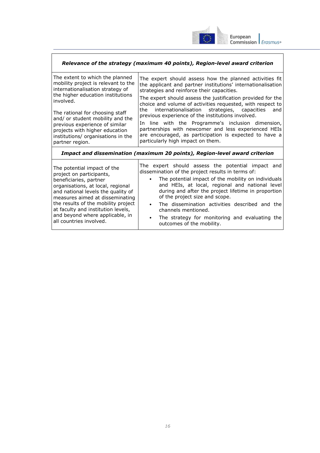

| Relevance of the strategy (maximum 40 points), Region-level award criterion                                                                                                                                                                                                                                                                                      |                                                                                                                                                                                                                                                                                                                                                                                                                                                                                                                                                                                                                               |  |  |
|------------------------------------------------------------------------------------------------------------------------------------------------------------------------------------------------------------------------------------------------------------------------------------------------------------------------------------------------------------------|-------------------------------------------------------------------------------------------------------------------------------------------------------------------------------------------------------------------------------------------------------------------------------------------------------------------------------------------------------------------------------------------------------------------------------------------------------------------------------------------------------------------------------------------------------------------------------------------------------------------------------|--|--|
| The extent to which the planned<br>mobility project is relevant to the<br>internationalisation strategy of<br>the higher education institutions<br>involved.<br>The rational for choosing staff<br>and/ or student mobility and the<br>previous experience of similar<br>projects with higher education<br>institutions/ organisations in the<br>partner region. | The expert should assess how the planned activities fit<br>the applicant and partner institutions' internationalisation<br>strategies and reinforce their capacities.<br>The expert should assess the justification provided for the<br>choice and volume of activities requested, with respect to<br>the internationalisation strategies, capacities<br>and<br>previous experience of the institutions involved.<br>In line with the Programme's inclusion dimension,<br>partnerships with newcomer and less experienced HEIs<br>are encouraged, as participation is expected to have a<br>particularly high impact on them. |  |  |
| Impact and dissemination (maximum 20 points), Region-level award criterion                                                                                                                                                                                                                                                                                       |                                                                                                                                                                                                                                                                                                                                                                                                                                                                                                                                                                                                                               |  |  |
| The potential impact of the<br>project on participants,<br>beneficiaries, partner<br>organisations, at local, regional<br>and national levels the quality of<br>measures aimed at disseminating                                                                                                                                                                  | The expert should assess the potential impact and<br>dissemination of the project results in terms of:<br>The potential impact of the mobility on individuals<br>and HEIs, at local, regional and national level<br>during and after the project lifetime in proportion<br>of the project size and scope.                                                                                                                                                                                                                                                                                                                     |  |  |

the results of the mobility project at faculty and institution levels, and beyond where applicable, in

all countries involved.

- The dissemination activities described and the channels mentioned.
- The strategy for monitoring and evaluating the outcomes of the mobility.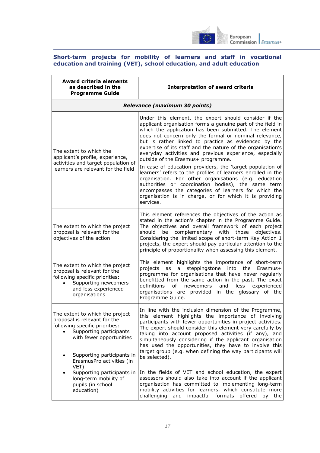

#### <span id="page-16-0"></span>**Short-term projects for mobility of learners and staff in vocational education and training (VET), school education, and adult education**

| <b>Award criteria elements</b><br>as described in the<br><b>Programme Guide</b>                                                                                                                                     | <b>Interpretation of award criteria</b>                                                                                                                                                                                                                                                                                                                                                                                                                                                                                                                                                                                                                                                                                                                                                                                                     |  |
|---------------------------------------------------------------------------------------------------------------------------------------------------------------------------------------------------------------------|---------------------------------------------------------------------------------------------------------------------------------------------------------------------------------------------------------------------------------------------------------------------------------------------------------------------------------------------------------------------------------------------------------------------------------------------------------------------------------------------------------------------------------------------------------------------------------------------------------------------------------------------------------------------------------------------------------------------------------------------------------------------------------------------------------------------------------------------|--|
| Relevance (maximum 30 points)                                                                                                                                                                                       |                                                                                                                                                                                                                                                                                                                                                                                                                                                                                                                                                                                                                                                                                                                                                                                                                                             |  |
| The extent to which the<br>applicant's profile, experience,<br>activities and target population of<br>learners are relevant for the field                                                                           | Under this element, the expert should consider if the<br>applicant organisation forms a genuine part of the field in<br>which the application has been submitted. The element<br>does not concern only the formal or nominal relevance,<br>but is rather linked to practice as evidenced by the<br>expertise of its staff and the nature of the organisation's<br>everyday activities and previous experience, especially<br>outside of the Erasmus+ programme.<br>In case of education providers, the 'target population of<br>learners' refers to the profiles of learners enrolled in the<br>organisation. For other organisations (e.g. education<br>authorities or coordination bodies), the same term<br>encompasses the categories of learners for which the<br>organisation is in charge, or for which it is providing<br>services. |  |
| The extent to which the project<br>proposal is relevant for the<br>objectives of the action                                                                                                                         | This element references the objectives of the action as<br>stated in the action's chapter in the Programme Guide.<br>The objectives and overall framework of each project<br>complementary with those<br>should be<br>objectives.<br>Considering the limited scope of short-term Key Action 1<br>projects, the expert should pay particular attention to the<br>principle of proportionality when assessing this element.                                                                                                                                                                                                                                                                                                                                                                                                                   |  |
| The extent to which the project<br>proposal is relevant for the<br>following specific priorities:<br>Supporting newcomers<br>and less experienced<br>organisations                                                  | This element highlights the importance of short-term<br>steppingstone into the<br>projects<br>as a<br>Erasmus+<br>programme for organisations that have never regularly<br>benefitted from the same action in the past. The exact<br>definitions<br>of<br>newcomers<br>and<br>less<br>experienced<br>organisations are provided in the glossary of the<br>Programme Guide.                                                                                                                                                                                                                                                                                                                                                                                                                                                                  |  |
| The extent to which the project<br>proposal is relevant for the<br>following specific priorities:<br>Supporting participants<br>with fewer opportunities<br>Supporting participants in<br>ErasmusPro activities (in | In line with the inclusion dimension of the Programme,<br>this element highlights the importance of involving<br>participants with fewer opportunities in project activities.<br>The expert should consider this element very carefully by<br>taking into account proposed activities (if any), and<br>simultaneously considering if the applicant organisation<br>has used the opportunities, they have to involve this<br>target group (e.g. when defining the way participants will<br>be selected).                                                                                                                                                                                                                                                                                                                                     |  |
| VET)<br>Supporting participants in<br>long-term mobility of<br>pupils (in school<br>education)                                                                                                                      | In the fields of VET and school education, the expert<br>assessors should also take into account if the applicant<br>organisation has committed to implementing long-term<br>mobility activities for learners, which constitute more<br>challenging<br>and<br>impactful formats offered<br>by<br>the                                                                                                                                                                                                                                                                                                                                                                                                                                                                                                                                        |  |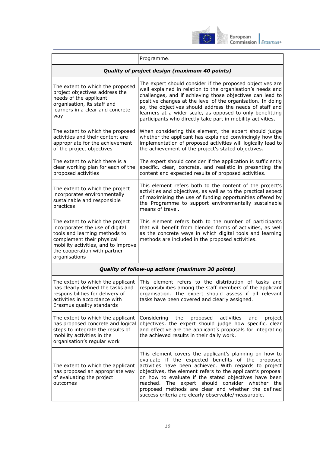

|                                                                                                                                                                                                                          | Programme.                                                                                                                                                                                                                                                                                                                                                                                                                                                   |  |  |
|--------------------------------------------------------------------------------------------------------------------------------------------------------------------------------------------------------------------------|--------------------------------------------------------------------------------------------------------------------------------------------------------------------------------------------------------------------------------------------------------------------------------------------------------------------------------------------------------------------------------------------------------------------------------------------------------------|--|--|
| Quality of project design (maximum 40 points)                                                                                                                                                                            |                                                                                                                                                                                                                                                                                                                                                                                                                                                              |  |  |
| The extent to which the proposed<br>project objectives address the<br>needs of the applicant<br>organisation, its staff and<br>learners in a clear and concrete<br>way                                                   | The expert should consider if the proposed objectives are<br>well explained in relation to the organisation's needs and<br>challenges, and if achieving those objectives can lead to<br>positive changes at the level of the organisation. In doing<br>so, the objectives should address the needs of staff and<br>learners at a wider scale, as opposed to only benefitting<br>participants who directly take part in mobility activities.                  |  |  |
| The extent to which the proposed<br>activities and their content are<br>appropriate for the achievement<br>of the project objectives                                                                                     | When considering this element, the expert should judge<br>whether the applicant has explained convincingly how the<br>implementation of proposed activities will logically lead to<br>the achievement of the project's stated objectives.                                                                                                                                                                                                                    |  |  |
| The extent to which there is a<br>clear working plan for each of the<br>proposed activities                                                                                                                              | The expert should consider if the application is sufficiently<br>specific, clear, concrete, and realistic in presenting the<br>content and expected results of proposed activities.                                                                                                                                                                                                                                                                          |  |  |
| The extent to which the project<br>incorporates environmentally<br>sustainable and responsible<br>practices                                                                                                              | This element refers both to the content of the project's<br>activities and objectives, as well as to the practical aspect<br>of maximising the use of funding opportunities offered by<br>the Programme to support environmentally sustainable<br>means of travel.                                                                                                                                                                                           |  |  |
| The extent to which the project<br>incorporates the use of digital<br>tools and learning methods to<br>complement their physical<br>mobility activities, and to improve<br>the cooperation with partner<br>organisations | This element refers both to the number of participants<br>that will benefit from blended forms of activities, as well<br>as the concrete ways in which digital tools and learning<br>methods are included in the proposed activities.                                                                                                                                                                                                                        |  |  |
| Quality of follow-up actions (maximum 30 points)                                                                                                                                                                         |                                                                                                                                                                                                                                                                                                                                                                                                                                                              |  |  |
| The extent to which the applicant<br>has clearly defined the tasks and<br>responsibilities for delivery of<br>activities in accordance with<br>Erasmus quality standards                                                 | This element refers to the distribution of tasks and<br>responsibilities among the staff members of the applicant<br>organisation. The expert should assess if all relevant<br>tasks have been covered and clearly assigned.                                                                                                                                                                                                                                 |  |  |
| The extent to which the applicant<br>has proposed concrete and logical<br>steps to integrate the results of<br>mobility activities in the<br>organisation's regular work                                                 | Considering the<br>proposed<br>activities<br>and<br>project<br>objectives, the expert should judge how specific, clear<br>and effective are the applicant's proposals for integrating<br>the achieved results in their daily work.                                                                                                                                                                                                                           |  |  |
| The extent to which the applicant<br>has proposed an appropriate way<br>of evaluating the project<br>outcomes                                                                                                            | This element covers the applicant's planning on how to<br>evaluate if the expected benefits of the proposed<br>activities have been achieved. With regards to project<br>objectives, the element refers to the applicant's proposal<br>on how to evaluate if the stated objectives have been<br>reached. The expert should consider whether the<br>proposed methods are clear and whether the defined<br>success criteria are clearly observable/measurable. |  |  |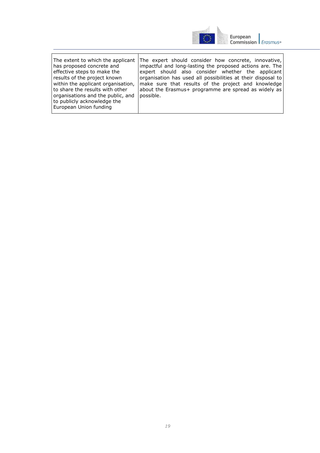

| The extent to which the applicant<br>has proposed concrete and<br>effective steps to make the<br>results of the project known<br>within the applicant organisation,<br>I to share the results with other<br>organisations and the public, and<br>to publicly acknowledge the<br>European Union funding | The expert should consider how concrete, innovative,<br>impactful and long-lasting the proposed actions are. The<br>expert should also consider whether the applicant<br>organisation has used all possibilities at their disposal to<br>make sure that results of the project and knowledge<br>about the Erasmus+ programme are spread as widely as<br>possible. |
|--------------------------------------------------------------------------------------------------------------------------------------------------------------------------------------------------------------------------------------------------------------------------------------------------------|-------------------------------------------------------------------------------------------------------------------------------------------------------------------------------------------------------------------------------------------------------------------------------------------------------------------------------------------------------------------|
|--------------------------------------------------------------------------------------------------------------------------------------------------------------------------------------------------------------------------------------------------------------------------------------------------------|-------------------------------------------------------------------------------------------------------------------------------------------------------------------------------------------------------------------------------------------------------------------------------------------------------------------------------------------------------------------|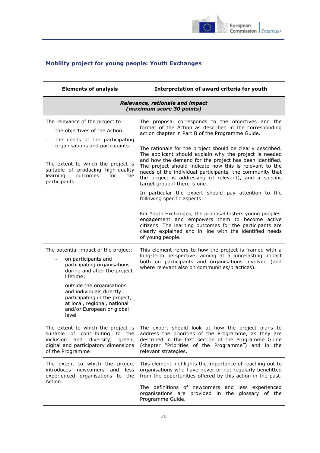

## <span id="page-19-0"></span>**Mobility project for young people: Youth Exchanges**

| <b>Elements of analysis</b>                                                                                                                                                                                                                                                                             | Interpretation of award criteria for youth                                                                                                                                                                                                                                                                                                                                                                                                                                                                                                                                                                                                                                                                                                                                                                                                                                                                            |  |
|---------------------------------------------------------------------------------------------------------------------------------------------------------------------------------------------------------------------------------------------------------------------------------------------------------|-----------------------------------------------------------------------------------------------------------------------------------------------------------------------------------------------------------------------------------------------------------------------------------------------------------------------------------------------------------------------------------------------------------------------------------------------------------------------------------------------------------------------------------------------------------------------------------------------------------------------------------------------------------------------------------------------------------------------------------------------------------------------------------------------------------------------------------------------------------------------------------------------------------------------|--|
| Relevance, rationale and impact<br>(maximum score 30 points)                                                                                                                                                                                                                                            |                                                                                                                                                                                                                                                                                                                                                                                                                                                                                                                                                                                                                                                                                                                                                                                                                                                                                                                       |  |
| The relevance of the project to:<br>the objectives of the Action;<br>the needs of the participating<br>organisations and participants.<br>The extent to which the project is<br>suitable of producing high-quality<br>outcomes<br>for<br>the<br>learning<br>participants                                | The proposal corresponds to the objectives and the<br>format of the Action as described in the corresponding<br>action chapter in Part B of the Programme Guide.<br>The rationale for the project should be clearly described.<br>The applicant should explain why the project is needed<br>and how the demand for the project has been identified.<br>The project should indicate how this is relevant to the<br>needs of the individual participants, the community that<br>the project is addressing (if relevant), and a specific<br>target group if there is one.<br>In particular the expert should pay attention to the<br>following specific aspects:<br>For Youth Exchanges, the proposal fosters young peoples'<br>engagement and empowers them to become active<br>citizens. The learning outcomes for the participants are<br>clearly explained and in line with the identified needs<br>of young people. |  |
| The potential impact of the project:<br>on participants and<br>participating organisations<br>during and after the project<br>lifetime;<br>outside the organisations<br>and individuals directly<br>participating in the project,<br>at local, regional, national<br>and/or European or global<br>level | This element refers to how the project is framed with a<br>long-term perspective, aiming at a long-lasting impact<br>both on participants and organisations involved (and<br>where relevant also on communities/practices).                                                                                                                                                                                                                                                                                                                                                                                                                                                                                                                                                                                                                                                                                           |  |
| The extent to which the project is<br>suitable of contributing to the<br>diversity,<br>inclusion and<br>green,<br>digital and participatory dimensions<br>of the Programme                                                                                                                              | The expert should look at how the project plans to<br>address the priorities of the Programme, as they are<br>described in the first section of the Programme Guide<br>(chapter "Priorities of the Programme") and in the<br>relevant strategies.                                                                                                                                                                                                                                                                                                                                                                                                                                                                                                                                                                                                                                                                     |  |
| The extent to which the project<br>introduces newcomers and less<br>experienced organisations to the<br>Action.                                                                                                                                                                                         | This element highlights the importance of reaching out to<br>organisations who have never or not regularly benefitted<br>from the opportunities offered by this action in the past.<br>The definitions of newcomers and less experienced<br>organisations are provided in the glossary of the<br>Programme Guide.                                                                                                                                                                                                                                                                                                                                                                                                                                                                                                                                                                                                     |  |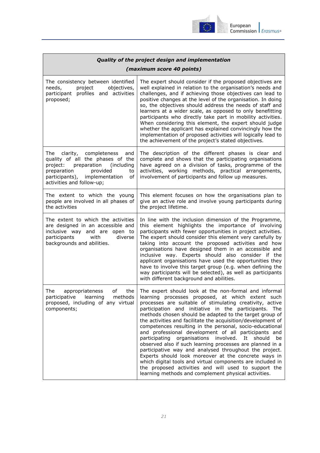

| Quality of the project design and implementation                                                                                                                                                                      |                                                                                                                                                                                                                                                                                                                                                                                                                                                                                                                                                                                                                                                                                                                                                                                                                                                                                                      |  |
|-----------------------------------------------------------------------------------------------------------------------------------------------------------------------------------------------------------------------|------------------------------------------------------------------------------------------------------------------------------------------------------------------------------------------------------------------------------------------------------------------------------------------------------------------------------------------------------------------------------------------------------------------------------------------------------------------------------------------------------------------------------------------------------------------------------------------------------------------------------------------------------------------------------------------------------------------------------------------------------------------------------------------------------------------------------------------------------------------------------------------------------|--|
| (maximum score 40 points)                                                                                                                                                                                             |                                                                                                                                                                                                                                                                                                                                                                                                                                                                                                                                                                                                                                                                                                                                                                                                                                                                                                      |  |
| The consistency between identified<br>needs,<br>project<br>objectives,<br>participant profiles and activities<br>proposed;                                                                                            | The expert should consider if the proposed objectives are<br>well explained in relation to the organisation's needs and<br>challenges, and if achieving those objectives can lead to<br>positive changes at the level of the organisation. In doing<br>so, the objectives should address the needs of staff and<br>learners at a wider scale, as opposed to only benefitting<br>participants who directly take part in mobility activities.<br>When considering this element, the expert should judge<br>whether the applicant has explained convincingly how the<br>implementation of proposed activities will logically lead to<br>the achievement of the project's stated objectives.                                                                                                                                                                                                             |  |
| The<br>clarity, completeness<br>and<br>quality of all the phases of the<br>project:<br>preparation<br>(including<br>preparation<br>provided<br>to<br>participants), implementation<br>of<br>activities and follow-up; | The description of the different phases is clear and<br>complete and shows that the participating organisations<br>have agreed on a division of tasks, programme of the<br>activities, working methods, practical arrangements,<br>involvement of participants and follow up measures.                                                                                                                                                                                                                                                                                                                                                                                                                                                                                                                                                                                                               |  |
| The extent to which the young<br>people are involved in all phases of<br>the activities                                                                                                                               | This element focuses on how the organisations plan to<br>give an active role and involve young participants during<br>the project lifetime.                                                                                                                                                                                                                                                                                                                                                                                                                                                                                                                                                                                                                                                                                                                                                          |  |
| The extent to which the activities<br>are designed in an accessible and<br>inclusive way and are open to<br>diverse<br>participants<br>with<br>backgrounds and abilities.                                             | In line with the inclusion dimension of the Programme,<br>this element highlights the importance of involving<br>participants with fewer opportunities in project activities.<br>The expert should consider this element very carefully by<br>taking into account the proposed activities and how<br>organisations have designed them in an accessible and<br>inclusive way. Experts should also consider if the<br>applicant organisations have used the opportunities they<br>have to involve this target group (e.g. when defining the<br>way participants will be selected), as well as participants<br>with different background and abilities.                                                                                                                                                                                                                                                 |  |
| оf<br>The<br>appropriateness<br>the<br>participative learning methods<br>proposed, including of any virtual<br>components;                                                                                            | The expert should look at the non-formal and informal<br>learning processes proposed, at which extent such<br>processes are suitable of stimulating creativity, active<br>participation and initiative in the participants. The<br>methods chosen should be adapted to the target group of<br>the activities and facilitate the acquisition/development of<br>competences resulting in the personal, socio-educational<br>and professional development of all participants and<br>participating organisations involved. It should<br>be<br>observed also if such learning processes are planned in a<br>participative way and analysed throughout the project.<br>Experts should look moreover at the concrete ways in<br>which digital tools and virtual components are included in<br>the proposed activities and will used to support the<br>learning methods and complement physical activities. |  |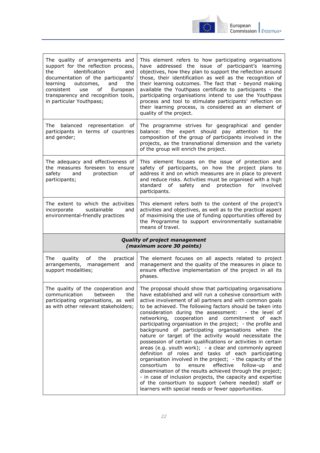

| The quality of arrangements and<br>support for the reflection process,<br>identification<br>the<br>and<br>documentation of the participants'<br>outcomes,<br>learning<br>and<br>the<br>consistent<br>of<br>use<br>European<br>transparency and recognition tools,<br>in particular Youthpass; | This element refers to how participating organisations<br>have addressed the issue of participant's learning<br>objectives, how they plan to support the reflection around<br>those, their identification as well as the recognition of<br>their learning outcomes. The fact that - beyond making<br>available the Youthpass certificate to participants - the<br>participating organisations intend to use the Youthpass<br>process and tool to stimulate participants' reflection on<br>their learning process, is considered as an element of<br>quality of the project. |  |
|-----------------------------------------------------------------------------------------------------------------------------------------------------------------------------------------------------------------------------------------------------------------------------------------------|-----------------------------------------------------------------------------------------------------------------------------------------------------------------------------------------------------------------------------------------------------------------------------------------------------------------------------------------------------------------------------------------------------------------------------------------------------------------------------------------------------------------------------------------------------------------------------|--|
| The balanced<br>representation<br>of<br>participants in terms of countries<br>and gender;                                                                                                                                                                                                     | The programme strives for geographical and gender<br>balance: the expert should pay attention to the<br>composition of the group of participants involved in the<br>projects, as the transnational dimension and the variety<br>of the group will enrich the project.                                                                                                                                                                                                                                                                                                       |  |
| The adequacy and effectiveness of<br>the measures foreseen to ensure<br>safety<br>and<br>protection<br>of<br>participants;                                                                                                                                                                    | This element focuses on the issue of protection and<br>safety of participants, on how the project plans to<br>address it and on which measures are in place to prevent<br>and reduce risks. Activities must be organised with a high<br>standard<br>of safety and<br>protection for<br>involved<br>participants.                                                                                                                                                                                                                                                            |  |
| The extent to which the activities<br>incorporate<br>sustainable<br>and<br>environmental-friendly practices                                                                                                                                                                                   | This element refers both to the content of the project's<br>activities and objectives, as well as to the practical aspect<br>of maximising the use of funding opportunities offered by<br>the Programme to support environmentally sustainable<br>means of travel.                                                                                                                                                                                                                                                                                                          |  |
| <b>Quality of project management</b><br>(maximum score 30 points)                                                                                                                                                                                                                             |                                                                                                                                                                                                                                                                                                                                                                                                                                                                                                                                                                             |  |
|                                                                                                                                                                                                                                                                                               |                                                                                                                                                                                                                                                                                                                                                                                                                                                                                                                                                                             |  |
| The<br>quality of<br>the<br>practical<br>arrangements, management and<br>support modalities;                                                                                                                                                                                                  | The element focuses on all aspects related to project<br>management and the quality of the measures in place to<br>ensure effective implementation of the project in all its<br>phases.                                                                                                                                                                                                                                                                                                                                                                                     |  |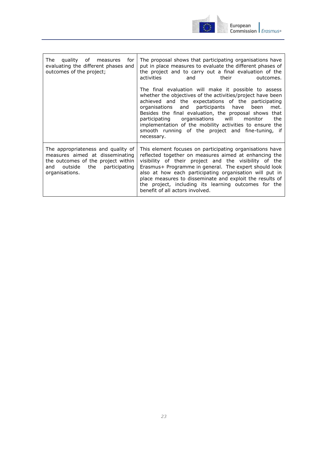

| of measures<br>The<br>quality<br>for<br>evaluating the different phases and<br>outcomes of the project;                                                                 | The proposal shows that participating organisations have<br>put in place measures to evaluate the different phases of<br>the project and to carry out a final evaluation of the<br>activities<br>their<br>and<br>outcomes.                                                                                                                                                                                                                                                         |
|-------------------------------------------------------------------------------------------------------------------------------------------------------------------------|------------------------------------------------------------------------------------------------------------------------------------------------------------------------------------------------------------------------------------------------------------------------------------------------------------------------------------------------------------------------------------------------------------------------------------------------------------------------------------|
|                                                                                                                                                                         | The final evaluation will make it possible to assess<br>whether the objectives of the activities/project have been<br>achieved and the expectations of the participating<br>participants have<br>organisations and<br>been<br>met.<br>Besides the final evaluation, the proposal shows that<br>organisations will<br>participating<br>the<br>monitor<br>implementation of the mobility activities to ensure the<br>smooth running of the project and fine-tuning, if<br>necessary. |
| The appropriateness and quality of<br>measures aimed at disseminating<br>the outcomes of the project within<br>the<br>outside<br>participating<br>and<br>organisations. | This element focuses on participating organisations have<br>reflected together on measures aimed at enhancing the<br>visibility of their project and the visibility of the<br>Erasmus+ Programme in general. The expert should look<br>also at how each participating organisation will put in<br>place measures to disseminate and exploit the results of<br>the project, including its learning outcomes for the<br>benefit of all actors involved.                              |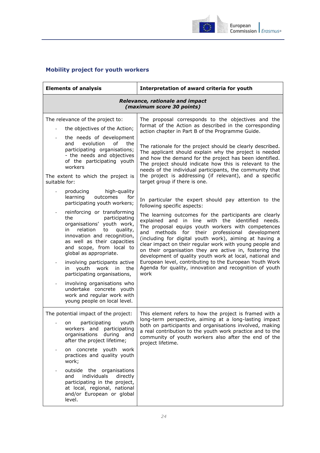

## <span id="page-23-0"></span>**Mobility project for youth workers**

| <b>Elements of analysis</b>                                                                                                                                                                                                               | Interpretation of award criteria for youth                                                                                                                                                                                                                                                                                                                                                                                                                         |  |
|-------------------------------------------------------------------------------------------------------------------------------------------------------------------------------------------------------------------------------------------|--------------------------------------------------------------------------------------------------------------------------------------------------------------------------------------------------------------------------------------------------------------------------------------------------------------------------------------------------------------------------------------------------------------------------------------------------------------------|--|
| Relevance, rationale and impact<br>(maximum score 30 points)                                                                                                                                                                              |                                                                                                                                                                                                                                                                                                                                                                                                                                                                    |  |
| The relevance of the project to:                                                                                                                                                                                                          | The proposal corresponds to the objectives and the                                                                                                                                                                                                                                                                                                                                                                                                                 |  |
| the objectives of the Action;                                                                                                                                                                                                             | format of the Action as described in the corresponding<br>action chapter in Part B of the Programme Guide.                                                                                                                                                                                                                                                                                                                                                         |  |
| the needs of development<br>evolution<br>of<br>the<br>and<br>participating organisations;<br>- the needs and objectives<br>of the participating youth<br>workers<br>The extent to which the project is<br>suitable for:                   | The rationale for the project should be clearly described.<br>The applicant should explain why the project is needed<br>and how the demand for the project has been identified.<br>The project should indicate how this is relevant to the<br>needs of the individual participants, the community that<br>the project is addressing (if relevant), and a specific<br>target group if there is one.                                                                 |  |
| high-quality<br>producing<br>learning<br>outcomes<br>for<br>participating youth workers;                                                                                                                                                  | In particular the expert should pay attention to the<br>following specific aspects:                                                                                                                                                                                                                                                                                                                                                                                |  |
| reinforcing or transforming<br>the<br>participating<br>organisations' youth work,<br>relation<br>in<br>to<br>quality,<br>innovation and recognition,<br>as well as their capacities<br>and scope, from local to<br>global as appropriate. | The learning outcomes for the participants are clearly<br>explained and in line with the identified needs.<br>The proposal equips youth workers with competences<br>methods for their professional development<br>and<br>(including for digital youth work), aiming at having a<br>clear impact on their regular work with young people and<br>on their organisation they are active in, fostering the<br>development of quality youth work at local, national and |  |
| involving participants active<br>youth<br>work in<br>the<br>in<br>participating organisations,                                                                                                                                            | European level, contributing to the European Youth Work<br>Agenda for quality, innovation and recognition of youth<br>work                                                                                                                                                                                                                                                                                                                                         |  |
| involving organisations who<br>undertake concrete youth<br>work and regular work with<br>young people on local level.                                                                                                                     |                                                                                                                                                                                                                                                                                                                                                                                                                                                                    |  |
| The potential impact of the project:<br>on participating youth<br>workers and participating<br>organisations<br>during and<br>after the project lifetime;                                                                                 | This element refers to how the project is framed with a<br>long-term perspective, aiming at a long-lasting impact<br>both on participants and organisations involved, making<br>a real contribution to the youth work practice and to the<br>community of youth workers also after the end of the<br>project lifetime.                                                                                                                                             |  |
| on concrete youth work<br>practices and quality youth<br>work;                                                                                                                                                                            |                                                                                                                                                                                                                                                                                                                                                                                                                                                                    |  |
| outside the organisations<br>individuals<br>directly<br>and<br>participating in the project,<br>at local, regional, national<br>and/or European or global<br>level.                                                                       |                                                                                                                                                                                                                                                                                                                                                                                                                                                                    |  |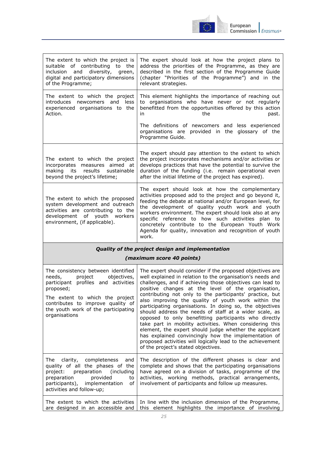

| The extent to which the project is<br>suitable of contributing to the<br>and diversity,<br>inclusion<br>green,<br>digital and participatory dimensions<br>of the Programme; | The expert should look at how the project plans to<br>address the priorities of the Programme, as they are<br>described in the first section of the Programme Guide<br>(chapter "Priorities of the Programme") and in the<br>relevant strategies.                                                                                                                                                                                                                   |
|-----------------------------------------------------------------------------------------------------------------------------------------------------------------------------|---------------------------------------------------------------------------------------------------------------------------------------------------------------------------------------------------------------------------------------------------------------------------------------------------------------------------------------------------------------------------------------------------------------------------------------------------------------------|
| The extent to which the project<br>introduces<br>newcomers and<br>less<br>experienced organisations to the<br>Action.                                                       | This element highlights the importance of reaching out<br>to organisations who have never or not regularly<br>benefitted from the opportunities offered by this action<br>the<br>past.<br>in<br>The definitions of newcomers and less experienced<br>organisations are provided in the glossary of the                                                                                                                                                              |
|                                                                                                                                                                             | Programme Guide.                                                                                                                                                                                                                                                                                                                                                                                                                                                    |
| The extent to which the project<br>incorporates measures aimed at<br>making<br>results<br>sustainable<br>its<br>beyond the project's lifetime;                              | The expert should pay attention to the extent to which<br>the project incorporates mechanisms and/or activities or<br>develops practices that have the potential to survive the<br>duration of the funding (i.e. remain operational even<br>after the initial lifetime of the project has expired).                                                                                                                                                                 |
| The extent to which the proposed<br>system development and outreach<br>activities are contributing to the<br>development of youth workers<br>environment, (if applicable).  | The expert should look at how the complementary<br>activities proposed add to the project and go beyond it,<br>feeding the debate at national and/or European level, for<br>the development of quality youth work and youth<br>workers environment. The expert should look also at any<br>specific reference to how such activities plan to<br>concretely contribute to the European Youth Work<br>Agenda for quality, innovation and recognition of youth<br>work. |
| Quality of the project design and implementation                                                                                                                            |                                                                                                                                                                                                                                                                                                                                                                                                                                                                     |

## *(maximum score 40 points)*

| The consistency between identified<br>needs,<br>project<br>objectives,<br>participant profiles and activities<br>proposed;<br>The extent to which the project<br>contributes to improve quality of<br>the youth work of the participating<br>organisations | The expert should consider if the proposed objectives are<br>well explained in relation to the organisation's needs and<br>challenges, and if achieving those objectives can lead to<br>positive changes at the level of the organisation,<br>contributing not only to the participants' practice, but<br>also improving the quality of youth work within the<br>participating organisations. In doing so, the objectives<br>should address the needs of staff at a wider scale, as<br>opposed to only benefitting participants who directly<br>take part in mobility activities. When considering this<br>element, the expert should judge whether the applicant<br>has explained convincingly how the implementation of<br>proposed activities will logically lead to the achievement<br>of the project's stated objectives. |
|------------------------------------------------------------------------------------------------------------------------------------------------------------------------------------------------------------------------------------------------------------|--------------------------------------------------------------------------------------------------------------------------------------------------------------------------------------------------------------------------------------------------------------------------------------------------------------------------------------------------------------------------------------------------------------------------------------------------------------------------------------------------------------------------------------------------------------------------------------------------------------------------------------------------------------------------------------------------------------------------------------------------------------------------------------------------------------------------------|
| The clarity, completeness<br>and<br>quality of all the phases of the<br>project: preparation (including<br>provided<br>preparation<br>to<br>participants), implementation<br>of<br>activities and follow-up;                                               | The description of the different phases is clear and<br>complete and shows that the participating organisations<br>have agreed on a division of tasks, programme of the<br>activities, working methods, practical arrangements,<br>involvement of participants and follow up measures.                                                                                                                                                                                                                                                                                                                                                                                                                                                                                                                                         |
| The extent to which the activities<br>are designed in an accessible and                                                                                                                                                                                    | In line with the inclusion dimension of the Programme,<br>this element highlights the importance of involving                                                                                                                                                                                                                                                                                                                                                                                                                                                                                                                                                                                                                                                                                                                  |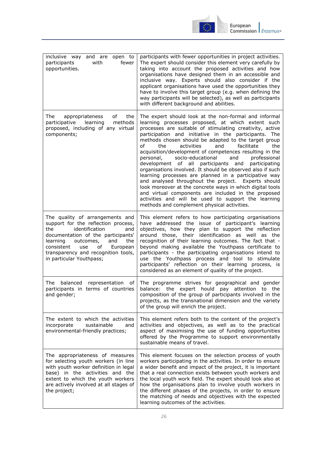

| inclusive way and are open to<br>fewer<br>participants<br>with<br>opportunities.                                                                                                                                                                                                              | participants with fewer opportunities in project activities.<br>The expert should consider this element very carefully by<br>taking into account the proposed activities and how<br>organisations have designed them in an accessible and<br>inclusive way. Experts should also consider if the<br>applicant organisations have used the opportunities they<br>have to involve this target group (e.g. when defining the<br>way participants will be selected), as well as participants<br>with different background and abilities.                                                                                                                                                                                                                                                                                                                                                                                                   |
|-----------------------------------------------------------------------------------------------------------------------------------------------------------------------------------------------------------------------------------------------------------------------------------------------|---------------------------------------------------------------------------------------------------------------------------------------------------------------------------------------------------------------------------------------------------------------------------------------------------------------------------------------------------------------------------------------------------------------------------------------------------------------------------------------------------------------------------------------------------------------------------------------------------------------------------------------------------------------------------------------------------------------------------------------------------------------------------------------------------------------------------------------------------------------------------------------------------------------------------------------|
| The<br>of<br>the<br>appropriateness<br>learning<br>methods<br>participative<br>proposed, including of any virtual<br>components;                                                                                                                                                              | The expert should look at the non-formal and informal<br>learning processes proposed, at which extent such<br>processes are suitable of stimulating creativity, active<br>participation and initiative in the participants. The<br>methods chosen should be adapted to the target group<br>facilitate<br>the<br>activities<br>and<br>the<br>οf<br>acquisition/development of competences resulting in the<br>socio-educational<br>and<br>personal,<br>professional<br>development of all participants<br>participating<br>and<br>organisations involved. It should be observed also if such<br>learning processes are planned in a participative way<br>and analysed throughout the project. Experts should<br>look moreover at the concrete ways in which digital tools<br>and virtual components are included in the proposed<br>activities and will be used to support the learning<br>methods and complement physical activities. |
| The quality of arrangements and<br>support for the reflection process,<br>the<br>identification<br>and<br>documentation of the participants'<br>outcomes,<br>and<br>the<br>learning<br>consistent<br>of<br>European<br>use<br>transparency and recognition tools,<br>in particular Youthpass; | This element refers to how participating organisations<br>have addressed the issue of participant's learning<br>objectives, how they plan to support the reflection<br>around those, their identification as well as the<br>recognition of their learning outcomes. The fact that -<br>beyond making available the Youthpass certificate to<br>participants - the participating organisations intend to<br>use the Youthpass process and tool to stimulate<br>participants' reflection on their learning process, is<br>considered as an element of quality of the project.                                                                                                                                                                                                                                                                                                                                                           |
| balanced representation of<br>The<br>participants in terms of countries<br>and gender;                                                                                                                                                                                                        | The programme strives for geographical and gender<br>balance: the expert hould pay attention to the<br>composition of the group of participants involved in the<br>projects, as the transnational dimension and the variety<br>of the group will enrich the project.                                                                                                                                                                                                                                                                                                                                                                                                                                                                                                                                                                                                                                                                  |
| The extent to which the activities<br>sustainable<br>incorporate<br>and<br>environmental-friendly practices;                                                                                                                                                                                  | This element refers both to the content of the project's<br>activities and objectives, as well as to the practical<br>aspect of maximising the use of funding opportunities<br>offered by the Programme to support environmentally<br>sustainable means of travel.                                                                                                                                                                                                                                                                                                                                                                                                                                                                                                                                                                                                                                                                    |
| The appropriateness of measures<br>for selecting youth workers (in line<br>with youth worker definition in legal<br>base) in the activities and the<br>extent to which the youth workers<br>are actively involved at all stages of<br>the project;                                            | This element focuses on the selection process of youth<br>workers participating in the activities. In order to ensure<br>a wider benefit and impact of the project, it is important<br>that a real connection exists between youth workers and<br>the local youth work field. The expert should look also at<br>how the organisations plan to involve youth workers in<br>the different phases of the projects, in order to ensure<br>the matching of needs and objectives with the expected<br>learning outcomes of the activities.                                                                                                                                                                                                                                                                                                                                                                                                  |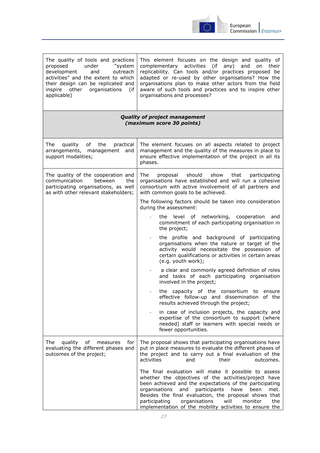

| The quality of tools and practices<br>proposed<br>under<br>"system<br>development<br>outreach<br>and<br>activities" and the extent to which<br>their design can be replicated and<br>inspire other organisations<br>(if<br>applicable) | This element focuses on the design and quality of<br>complementary activities<br>(if<br>any)<br>and<br>on their<br>replicability. Can tools and/or practices proposed be<br>adapted or re-used by other organisations? How the<br>organisations plan to make other actors from the field<br>aware of such tools and practices and to inspire other<br>organisations and processes?                                       |  |
|----------------------------------------------------------------------------------------------------------------------------------------------------------------------------------------------------------------------------------------|--------------------------------------------------------------------------------------------------------------------------------------------------------------------------------------------------------------------------------------------------------------------------------------------------------------------------------------------------------------------------------------------------------------------------|--|
| <b>Quality of project management</b><br>(maximum score 30 points)                                                                                                                                                                      |                                                                                                                                                                                                                                                                                                                                                                                                                          |  |
| The<br>quality of the<br>practical<br>arrangements, management and<br>support modalities;                                                                                                                                              | The element focuses on all aspects related to project<br>management and the quality of the measures in place to<br>ensure effective implementation of the project in all its<br>phases.                                                                                                                                                                                                                                  |  |
| The quality of the cooperation and<br>communication<br>between<br>the<br>participating organisations, as well<br>as with other relevant stakeholders;                                                                                  | The<br>proposal should<br>show<br>that<br>participating<br>organisations have established and will run a cohesive<br>consortium with active involvement of all partners and<br>with common goals to be achieved.                                                                                                                                                                                                         |  |
|                                                                                                                                                                                                                                        | The following factors should be taken into consideration<br>during the assessment:                                                                                                                                                                                                                                                                                                                                       |  |
|                                                                                                                                                                                                                                        | the level of networking, cooperation<br>and<br>commitment of each participating organisation in<br>the project;                                                                                                                                                                                                                                                                                                          |  |
|                                                                                                                                                                                                                                        | the profile and background of participating<br>organisations when the nature or target of the<br>activity would necessitate the possession of<br>certain qualifications or activities in certain areas<br>(e.g. youth work);                                                                                                                                                                                             |  |
|                                                                                                                                                                                                                                        | a clear and commonly agreed definition of roles<br>and tasks of each participating organisation<br>involved in the project;                                                                                                                                                                                                                                                                                              |  |
|                                                                                                                                                                                                                                        | the capacity of the consortium to ensure<br>effective follow-up and dissemination of the<br>results achieved through the project;                                                                                                                                                                                                                                                                                        |  |
|                                                                                                                                                                                                                                        | in case of inclusion projects, the capacity and<br>expertise of the consortium to support (where<br>needed) staff or learners with special needs or<br>fewer opportunities.                                                                                                                                                                                                                                              |  |
| The<br>quality<br>оf<br>measures<br>for<br>evaluating the different phases and<br>outcomes of the project;                                                                                                                             | The proposal shows that participating organisations have<br>put in place measures to evaluate the different phases of<br>the project and to carry out a final evaluation of the<br>activities<br>their<br>and<br>outcomes.                                                                                                                                                                                               |  |
|                                                                                                                                                                                                                                        | The final evaluation will make it possible to assess<br>whether the objectives of the activities/project have<br>been achieved and the expectations of the participating<br>organisations<br>participants<br>have<br>and<br>been<br>met.<br>Besides the final evaluation, the proposal shows that<br>organisations<br>the<br>participating<br>will<br>monitor<br>implementation of the mobility activities to ensure the |  |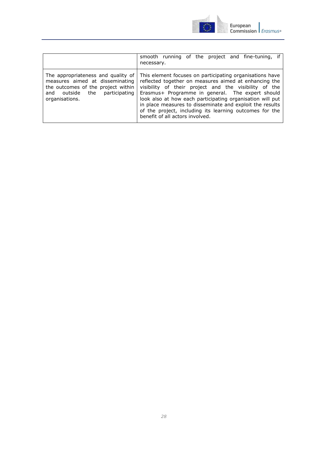

|                                                                                                                                                                      | smooth running of the project and fine-tuning, if<br>necessary.                                                                                                                                                                                                                                                                                                                                                                                       |
|----------------------------------------------------------------------------------------------------------------------------------------------------------------------|-------------------------------------------------------------------------------------------------------------------------------------------------------------------------------------------------------------------------------------------------------------------------------------------------------------------------------------------------------------------------------------------------------------------------------------------------------|
| The appropriateness and quality of<br>measures aimed at disseminating<br>the outcomes of the project within<br>participating<br>and outside<br>the<br>organisations. | This element focuses on participating organisations have<br>reflected together on measures aimed at enhancing the<br>visibility of their project and the visibility of the<br>Erasmus+ Programme in general. The expert should<br>look also at how each participating organisation will put<br>in place measures to disseminate and exploit the results<br>of the project, including its learning outcomes for the<br>benefit of all actors involved. |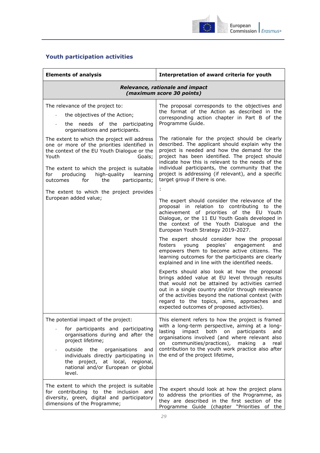

## <span id="page-28-0"></span>**Youth participation activities**

| <b>Elements of analysis</b>                                                                                                                                                                                                                                                                                     | Interpretation of award criteria for youth                                                                                                                                                                                                                                                                                                                                                            |
|-----------------------------------------------------------------------------------------------------------------------------------------------------------------------------------------------------------------------------------------------------------------------------------------------------------------|-------------------------------------------------------------------------------------------------------------------------------------------------------------------------------------------------------------------------------------------------------------------------------------------------------------------------------------------------------------------------------------------------------|
|                                                                                                                                                                                                                                                                                                                 | Relevance, rationale and impact<br>(maximum score 30 points)                                                                                                                                                                                                                                                                                                                                          |
| The relevance of the project to:<br>the objectives of the Action;<br>$\overline{\phantom{a}}$<br>the needs of the participating<br>organisations and participants.                                                                                                                                              | The proposal corresponds to the objectives and<br>the format of the Action as described in the<br>corresponding action chapter in Part B of the<br>Programme Guide.                                                                                                                                                                                                                                   |
| The extent to which the project will address<br>one or more of the priorities identified in<br>the context of the EU Youth Dialogue or the<br>Youth<br>Goals;<br>The extent to which the project is suitable<br>producing<br>high-quality<br>learning<br>for<br>for<br>the<br>participants;<br>outcomes         | The rationale for the project should be clearly<br>described. The applicant should explain why the<br>project is needed and how the demand for the<br>project has been identified. The project should<br>indicate how this is relevant to the needs of the<br>individual participants, the community that the<br>project is addressing (if relevant), and a specific<br>target group if there is one. |
| The extent to which the project provides                                                                                                                                                                                                                                                                        |                                                                                                                                                                                                                                                                                                                                                                                                       |
| European added value;                                                                                                                                                                                                                                                                                           | The expert should consider the relevance of the<br>proposal in relation to contributing to the<br>achievement of priorities of the EU Youth<br>Dialogue, or the 11 EU Youth Goals developed in<br>the context of the Youth Dialogue and the<br>European Youth Strategy 2019-2027.                                                                                                                     |
|                                                                                                                                                                                                                                                                                                                 | The expert should consider how the proposal<br>fosters<br>young peoples'<br>engagement<br>and<br>empowers them to become active citizens. The<br>learning outcomes for the participants are clearly<br>explained and in line with the identified needs.                                                                                                                                               |
|                                                                                                                                                                                                                                                                                                                 | Experts should also look at how the proposal<br>brings added value at EU level through results<br>that would not be attained by activities carried<br>out in a single country and/or through relevance<br>of the activities beyond the national context (with<br>regard to the topics, aims, approaches and<br>expected outcomes of proposed activities).                                             |
| The potential impact of the project:<br>for participants and participating<br>organisations during and after the<br>project lifetime;<br>outside<br>the<br>organisations<br>and<br>individuals directly participating in<br>project, at local, regional,<br>the<br>national and/or European or global<br>level. | This element refers to how the project is framed<br>with a long-term perspective, aiming at a long-<br>lasting<br>impact<br>both<br>participants<br>on<br>and<br>organisations involved (and where relevant also<br>communities/practices),<br>making<br>a<br>real<br>on<br>contribution to the youth work practice also after<br>the end of the project lifetime,                                    |
| The extent to which the project is suitable<br>for contributing to the inclusion<br>and<br>diversity, green, digital and participatory<br>dimensions of the Programme;                                                                                                                                          | The expert should look at how the project plans<br>to address the priorities of the Programme, as<br>they are described in the first section of the<br>Programme Guide (chapter "Priorities of the                                                                                                                                                                                                    |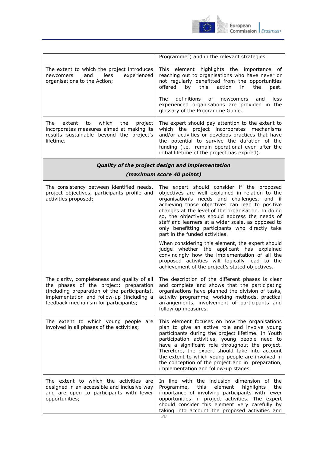

|                                                                                                                                                                                                                             | Programme") and in the relevant strategies.                                                                                                                                                                                                                                                                                                                                                                                                                                                                                                                                                                                                              |  |
|-----------------------------------------------------------------------------------------------------------------------------------------------------------------------------------------------------------------------------|----------------------------------------------------------------------------------------------------------------------------------------------------------------------------------------------------------------------------------------------------------------------------------------------------------------------------------------------------------------------------------------------------------------------------------------------------------------------------------------------------------------------------------------------------------------------------------------------------------------------------------------------------------|--|
| The extent to which the project introduces<br>less<br>experienced<br>newcomers<br>and<br>organisations to the Action;                                                                                                       | element highlights the importance<br>of<br>This.<br>reaching out to organisations who have never or<br>not regularly benefitted from the opportunities<br>offered<br>by<br>this<br>action<br>in<br>the<br>past.                                                                                                                                                                                                                                                                                                                                                                                                                                          |  |
|                                                                                                                                                                                                                             | The<br>definitions<br>οf<br>newcomers<br>less<br>and<br>experienced organisations are provided in the<br>glossary of the Programme Guide.                                                                                                                                                                                                                                                                                                                                                                                                                                                                                                                |  |
| which<br>The<br>the<br>extent<br>to<br>project<br>incorporates measures aimed at making its<br>results sustainable beyond the project's<br>lifetime.                                                                        | The expert should pay attention to the extent to<br>which the project incorporates mechanisms<br>and/or activities or develops practices that have<br>the potential to survive the duration of the<br>funding (i.e. remain operational even after the<br>initial lifetime of the project has expired).                                                                                                                                                                                                                                                                                                                                                   |  |
| Quality of the project design and implementation<br>(maximum score 40 points)                                                                                                                                               |                                                                                                                                                                                                                                                                                                                                                                                                                                                                                                                                                                                                                                                          |  |
| The consistency between identified needs,<br>project objectives, participants profile and<br>activities proposed;                                                                                                           | The expert should consider if the proposed<br>objectives are well explained in relation to the<br>organisation's needs and challenges, and if<br>achieving those objectives can lead to positive<br>changes at the level of the organisation. In doing<br>so, the objectives should address the needs of<br>staff and learners at a wider scale, as opposed to<br>only benefitting participants who directly take<br>part in the funded activities.<br>When considering this element, the expert should<br>judge whether the applicant has explained<br>convincingly how the implementation of all the<br>proposed activities will logically lead to the |  |
| The clarity, completeness and quality of all<br>the phases of the project: preparation<br>(including preparation of the participants),<br>implementation and follow-up (including a<br>feedback mechanism for participants; | achievement of the project's stated objectives.<br>The description of the different phases is clear<br>and complete and shows that the participating<br>organisations have planned the division of tasks,<br>activity programme, working methods, practical<br>arrangements, involvement of participants and<br>follow up measures.                                                                                                                                                                                                                                                                                                                      |  |
| The extent to which young people<br>are<br>involved in all phases of the activities;                                                                                                                                        | This element focuses on how the organisations<br>plan to give an active role and involve young<br>participants during the project lifetime. In Youth<br>participation activities, young people need to<br>have a significant role throughout the project.<br>Therefore, the expert should take into account<br>the extent to which young people are involved in<br>the conception of the project and in preparation,<br>implementation and follow-up stages.                                                                                                                                                                                             |  |
| The extent to which the activities are<br>designed in an accessible and inclusive way<br>and are open to participants with fewer<br>opportunities;                                                                          | In line with the inclusion dimension of the<br>Programme,<br>this<br>element<br>highlights<br>the<br>importance of involving participants with fewer<br>opportunities in project activities. The expert<br>should consider this element very carefully by<br>taking into account the proposed activities and                                                                                                                                                                                                                                                                                                                                             |  |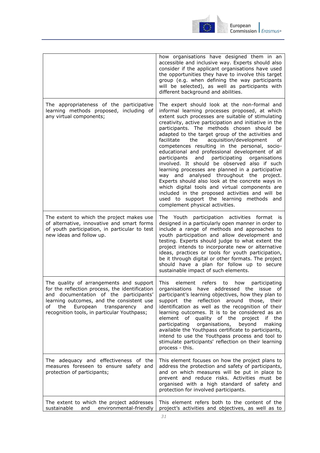

|                                                                                                                                                                                                                                                                                 | how organisations have designed them in an<br>accessible and inclusive way. Experts should also<br>consider if the applicant organisations have used<br>the opportunities they have to involve this target<br>group (e.g. when defining the way participants<br>will be selected), as well as participants with<br>different background and abilities.                                                                                                                                                                                                                                                                                                                                                                                                                                                                                                                                                                       |
|---------------------------------------------------------------------------------------------------------------------------------------------------------------------------------------------------------------------------------------------------------------------------------|------------------------------------------------------------------------------------------------------------------------------------------------------------------------------------------------------------------------------------------------------------------------------------------------------------------------------------------------------------------------------------------------------------------------------------------------------------------------------------------------------------------------------------------------------------------------------------------------------------------------------------------------------------------------------------------------------------------------------------------------------------------------------------------------------------------------------------------------------------------------------------------------------------------------------|
| The appropriateness of the participative<br>learning methods proposed, including of<br>any virtual components;                                                                                                                                                                  | The expert should look at the non-formal and<br>informal learning processes proposed, at which<br>extent such processes are suitable of stimulating<br>creativity, active participation and initiative in the<br>participants. The methods chosen should be<br>adapted to the target group of the activities and<br>facilitate<br>the<br>acquisition/development<br>оf<br>competences resulting in the personal, socio-<br>educational and professional development of all<br>participants<br>participating<br>organisations<br>and<br>involved. It should be observed also if such<br>learning processes are planned in a participative<br>way and analysed throughout the project.<br>Experts should also look at the concrete ways in<br>which digital tools and virtual components are<br>included in the proposed activities and will be<br>used to support the learning methods and<br>complement physical activities. |
| The extent to which the project makes use<br>of alternative, innovative and smart forms<br>of youth participation, in particular to test<br>new ideas and follow up.                                                                                                            | The Youth participation activities format is<br>designed in a particularly open manner in order to<br>include a range of methods and approaches to<br>youth participation and allow development and<br>testing. Experts should judge to what extent the<br>project intends to incorporate new or alternative<br>ideas, practices or tools for youth participation,<br>be it through digital or other formats. The project<br>should have a plan for follow up to secure<br>sustainable impact of such elements.                                                                                                                                                                                                                                                                                                                                                                                                              |
| The quality of arrangements and support<br>for the reflection process, the identification<br>and documentation of the participants'<br>learning outcomes, and the consistent use<br>of<br>the<br>European<br>transparency<br>and<br>recognition tools, in particular Youthpass; | This<br>element<br>refers<br>to<br>how<br>participating<br>organisations have addressed the issue of<br>participant's learning objectives, how they plan to<br>support the reflection<br>around those, their<br>identification as well as the recognition of their<br>learning outcomes. It is to be considered as an<br>element of quality of the<br>project<br>if the<br>participating<br>organisations,<br>beyond<br>making<br>available the Youthpass certificate to participants,<br>intend to use the Youthpass process and tool to<br>stimulate participants' reflection on their learning<br>process - this.                                                                                                                                                                                                                                                                                                         |
| The adequacy and effectiveness of the<br>measures foreseen to ensure safety and<br>protection of participants;                                                                                                                                                                  | This element focuses on how the project plans to<br>address the protection and safety of participants,<br>and on which measures will be put in place to<br>prevent and reduce risks. Activities must be<br>organised with a high standard of safety and<br>protection for involved participants.                                                                                                                                                                                                                                                                                                                                                                                                                                                                                                                                                                                                                             |
| The extent to which the project addresses<br>sustainable<br>environmental-friendly<br>and                                                                                                                                                                                       | This element refers both to the content of the<br>project's activities and objectives, as well as to                                                                                                                                                                                                                                                                                                                                                                                                                                                                                                                                                                                                                                                                                                                                                                                                                         |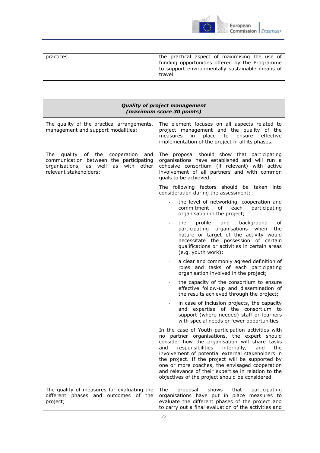

| practices.                                                                                                                                                     | the practical aspect of maximising the use of<br>funding opportunities offered by the Programme<br>to support environmentally sustainable means of<br>travel.                                                                                                                                                                                                                                                                                                                    |
|----------------------------------------------------------------------------------------------------------------------------------------------------------------|----------------------------------------------------------------------------------------------------------------------------------------------------------------------------------------------------------------------------------------------------------------------------------------------------------------------------------------------------------------------------------------------------------------------------------------------------------------------------------|
|                                                                                                                                                                |                                                                                                                                                                                                                                                                                                                                                                                                                                                                                  |
|                                                                                                                                                                | <b>Quality of project management</b><br>(maximum score 30 points)                                                                                                                                                                                                                                                                                                                                                                                                                |
| The quality of the practical arrangements,<br>management and support modalities;                                                                               | The element focuses on all aspects related to<br>project management and the quality of the<br>in<br>place<br>ensure<br>effective<br>measures<br>to<br>implementation of the project in all its phases.                                                                                                                                                                                                                                                                           |
| The<br>quality<br>of the<br>cooperation<br>and<br>communication between the participating<br>organisations, as well<br>as with other<br>relevant stakeholders; | The proposal should show that participating<br>organisations have established and will run a<br>cohesive consortium (if relevant) with active<br>involvement of all partners and with common<br>goals to be achieved.                                                                                                                                                                                                                                                            |
|                                                                                                                                                                | The following factors should be taken into<br>consideration during the assessment:                                                                                                                                                                                                                                                                                                                                                                                               |
|                                                                                                                                                                | the level of networking, cooperation and<br>commitment<br>of<br>each<br>participating<br>organisation in the project;                                                                                                                                                                                                                                                                                                                                                            |
|                                                                                                                                                                | background<br>the<br>profile<br>and<br>оf<br>participating organisations when<br>the<br>nature or target of the activity would<br>necessitate the possession of certain<br>qualifications or activities in certain areas<br>(e.g. youth work);                                                                                                                                                                                                                                   |
|                                                                                                                                                                | a clear and commonly agreed definition of<br>roles and tasks of each participating<br>organisation involved in the project;                                                                                                                                                                                                                                                                                                                                                      |
|                                                                                                                                                                | the capacity of the consortium to ensure<br>effective follow-up and dissemination of<br>the results achieved through the project;                                                                                                                                                                                                                                                                                                                                                |
|                                                                                                                                                                | in case of inclusion projects, the capacity<br>and expertise of the consortium to<br>support (where needed) staff or learners<br>with special needs or fewer opportunities                                                                                                                                                                                                                                                                                                       |
|                                                                                                                                                                | In the case of Youth participation activities with<br>no partner organisations, the expert should<br>consider how the organisation will share tasks<br>responsibilities<br>the<br>and<br>internally,<br>and<br>involvement of potential external stakeholders in<br>the project. If the project will be supported by<br>one or more coaches, the envisaged cooperation<br>and relevance of their expertise in relation to the<br>objectives of the project should be considered. |
| The quality of measures for evaluating the<br>different phases and outcomes of the<br>project;                                                                 | The<br>shows<br>that<br>participating<br>proposal<br>organisations have put in place measures to<br>evaluate the different phases of the project and<br>to carry out a final evaluation of the activities and                                                                                                                                                                                                                                                                    |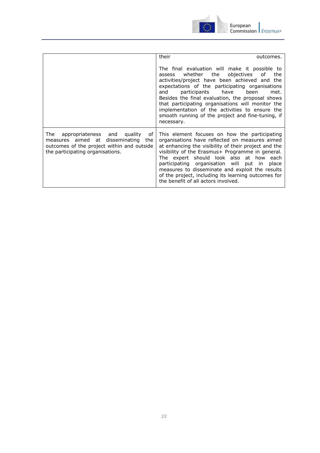

|                                                                                                                                                                         | their<br>outcomes.                                                                                                                                                                                                                                                                                                                                                                                                                                                              |
|-------------------------------------------------------------------------------------------------------------------------------------------------------------------------|---------------------------------------------------------------------------------------------------------------------------------------------------------------------------------------------------------------------------------------------------------------------------------------------------------------------------------------------------------------------------------------------------------------------------------------------------------------------------------|
|                                                                                                                                                                         | The final evaluation will make it possible to<br>objectives<br>whether the<br>of<br>the<br>assess<br>activities/project have been achieved and the<br>expectations of the participating organisations<br>participants have<br>been<br>and<br>met.<br>Besides the final evaluation, the proposal shows<br>that participating organisations will monitor the<br>implementation of the activities to ensure the<br>smooth running of the project and fine-tuning, if<br>necessary. |
| appropriateness and quality<br>of<br>The<br>disseminating<br>measures aimed at<br>the<br>outcomes of the project within and outside<br>the participating organisations. | This element focuses on how the participating<br>organisations have reflected on measures aimed<br>at enhancing the visibility of their project and the<br>visibility of the Erasmus+ Programme in general.<br>The expert should look also at how each<br>participating organisation will put in place<br>measures to disseminate and exploit the results<br>of the project, including its learning outcomes for<br>the benefit of all actors involved.                         |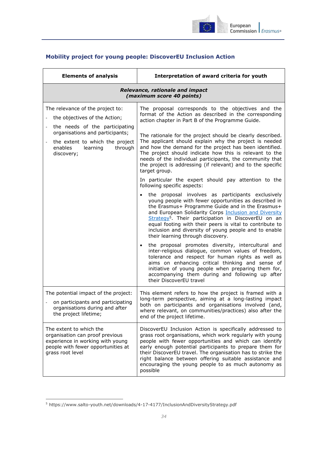

## <span id="page-33-0"></span>**Mobility project for young people: DiscoverEU Inclusion Action**

| <b>Elements of analysis</b>                                                                                                                                                                                                                 | Interpretation of award criteria for youth                                                                                                                                                                                                                                                                                                                                                                                                                                                                                                                                                                                                                                                                                                                                                                                                                                                                                                                                                                                                                                                                                                                                                                                                                                                                                                                                                                                                                                        |
|---------------------------------------------------------------------------------------------------------------------------------------------------------------------------------------------------------------------------------------------|-----------------------------------------------------------------------------------------------------------------------------------------------------------------------------------------------------------------------------------------------------------------------------------------------------------------------------------------------------------------------------------------------------------------------------------------------------------------------------------------------------------------------------------------------------------------------------------------------------------------------------------------------------------------------------------------------------------------------------------------------------------------------------------------------------------------------------------------------------------------------------------------------------------------------------------------------------------------------------------------------------------------------------------------------------------------------------------------------------------------------------------------------------------------------------------------------------------------------------------------------------------------------------------------------------------------------------------------------------------------------------------------------------------------------------------------------------------------------------------|
| Relevance, rationale and impact<br>(maximum score 40 points)                                                                                                                                                                                |                                                                                                                                                                                                                                                                                                                                                                                                                                                                                                                                                                                                                                                                                                                                                                                                                                                                                                                                                                                                                                                                                                                                                                                                                                                                                                                                                                                                                                                                                   |
| The relevance of the project to:<br>the objectives of the Action;<br>the needs of the participating<br>organisations and participants;<br>the extent to which the project<br>$\blacksquare$<br>enables<br>learning<br>through<br>discovery; | The proposal corresponds to the objectives and the<br>format of the Action as described in the corresponding<br>action chapter in Part B of the Programme Guide.<br>The rationale for the project should be clearly described.<br>The applicant should explain why the project is needed<br>and how the demand for the project has been identified.<br>The project should indicate how this is relevant to the<br>needs of the individual participants, the community that<br>the project is addressing (if relevant) and to the specific<br>target group.<br>In particular the expert should pay attention to the<br>following specific aspects:<br>the proposal involves as participants exclusively<br>young people with fewer opportunities as described in<br>the Erasmus+ Programme Guide and in the Erasmus+<br>and European Solidarity Corps Inclusion and Diversity<br>Strategy <sup>5</sup> . Their participation in DiscoverEU on an<br>equal footing with their peers is vital to contribute to<br>inclusion and diversity of young people and to enable<br>their learning through discovery.<br>the proposal promotes diversity, intercultural and<br>$\bullet$<br>inter-religious dialogue, common values of freedom,<br>tolerance and respect for human rights as well as<br>aims on enhancing critical thinking and sense of<br>initiative of young people when preparing them for,<br>accompanying them during and following up after<br>their DiscoverEU travel |
| The potential impact of the project:<br>on participants and participating<br>organisations during and after<br>the project lifetime;                                                                                                        | This element refers to how the project is framed with a<br>long-term perspective, aiming at a long-lasting impact<br>both on participants and organisations involved (and,<br>where relevant, on communities/practices) also after the<br>end of the project lifetime.                                                                                                                                                                                                                                                                                                                                                                                                                                                                                                                                                                                                                                                                                                                                                                                                                                                                                                                                                                                                                                                                                                                                                                                                            |
| The extent to which the<br>organisation can proof previous<br>experience in working with young<br>people with fewer opportunities at<br>grass root level                                                                                    | DiscoverEU Inclusion Action is specifically addressed to<br>grass root organisations, which work regularly with young<br>people with fewer opportunities and which can identify<br>early enough potential participants to prepare them for<br>their DiscoverEU travel. The organisation has to strike the<br>right balance between offering suitable assistance and<br>encouraging the young people to as much autonomy as<br>possible                                                                                                                                                                                                                                                                                                                                                                                                                                                                                                                                                                                                                                                                                                                                                                                                                                                                                                                                                                                                                                            |

 $\overline{a}$ 

<sup>5</sup> https://www.salto-youth.net/downloads/4-17-4177/InclusionAndDiversityStrategy.pdf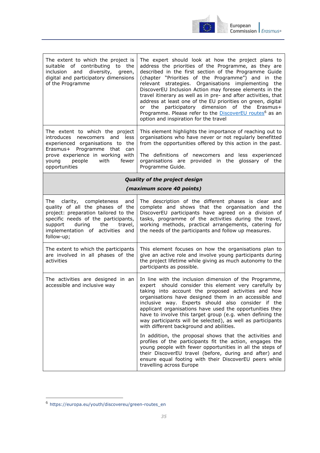

| The extent to which the project is<br>suitable of contributing to the<br>inclusion and diversity, green,<br>digital and participatory dimensions<br>of the Programme                                                                      | The expert should look at how the project plans to<br>address the priorities of the Programme, as they are<br>described in the first section of the Programme Guide<br>(chapter "Priorities of the Programme") and in the<br>relevant strategies. Organisations implementing<br>the<br>DiscoverEU Inclusion Action may foresee elements in the<br>travel itinerary as well as in pre- and after activities, that<br>address at least one of the EU priorities on green, digital<br>or the participatory dimension of the Erasmus+<br>Programme. Please refer to the <b>DiscoverEU</b> routes <sup>6</sup> as an<br>option and inspiration for the travel |  |
|-------------------------------------------------------------------------------------------------------------------------------------------------------------------------------------------------------------------------------------------|----------------------------------------------------------------------------------------------------------------------------------------------------------------------------------------------------------------------------------------------------------------------------------------------------------------------------------------------------------------------------------------------------------------------------------------------------------------------------------------------------------------------------------------------------------------------------------------------------------------------------------------------------------|--|
| The extent to which the project<br>introduces newcomers and<br>less<br>experienced organisations to the<br>Erasmus+ Programme that<br>can<br>prove experience in working with<br>people<br>with<br>fewer<br>young<br>opportunities        | This element highlights the importance of reaching out to<br>organisations who have never or not regularly benefitted<br>from the opportunities offered by this action in the past.<br>The definitions of newcomers and less experienced<br>organisations are provided in the glossary of the<br>Programme Guide.                                                                                                                                                                                                                                                                                                                                        |  |
| <b>Quality of the project design</b><br>(maximum score 40 points)                                                                                                                                                                         |                                                                                                                                                                                                                                                                                                                                                                                                                                                                                                                                                                                                                                                          |  |
| The clarity, completeness and<br>quality of all the phases of the<br>project: preparation tailored to the<br>specific needs of the participants,<br>during<br>the<br>support<br>travel,<br>implementation of activities and<br>follow-up; | The description of the different phases is clear and<br>complete and shows that the organisation and the<br>DiscoverEU participants have agreed on a division of<br>tasks, programme of the activities during the travel,<br>working methods, practical arrangements, catering for<br>the needs of the participants and follow up measures.                                                                                                                                                                                                                                                                                                              |  |
| The extent to which the participants<br>are involved in all phases of the<br>activities                                                                                                                                                   | This element focuses on how the organisations plan to<br>give an active role and involve young participants during<br>the project lifetime while giving as much autonomy to the<br>participants as possible.                                                                                                                                                                                                                                                                                                                                                                                                                                             |  |
| The activities are designed in an<br>accessible and inclusive way                                                                                                                                                                         | In line with the inclusion dimension of the Programme,<br>should consider this element very carefully by<br>expert<br>taking into account the proposed activities and how<br>organisations have designed them in an accessible and<br>inclusive way. Experts should also consider if the<br>applicant organisations have used the opportunities they<br>have to involve this target group (e.g. when defining the<br>way participants will be selected), as well as participants<br>with different background and abilities.                                                                                                                             |  |
|                                                                                                                                                                                                                                           | In addition, the proposal shows that the activities and<br>profiles of the participants fit the action, engages the<br>young people with fewer opportunities in all the steps of<br>their DiscoverEU travel (before, during and after) and<br>ensure equal footing with their DiscoverEU peers while<br>travelling across Europe                                                                                                                                                                                                                                                                                                                         |  |

-

<sup>6</sup> [https://europa.eu/youth/discovereu/green-routes\\_en](https://europa.eu/youth/discovereu/green-routes_en)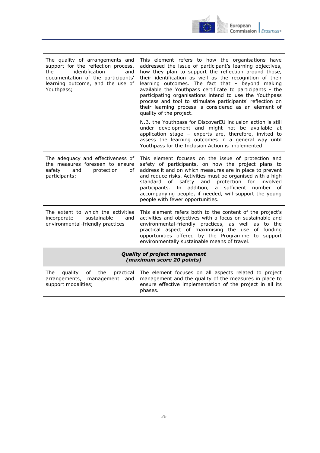

| The quality of arrangements and<br>support for the reflection process,<br>identification<br>the<br>and<br>documentation of the participants'<br>learning outcome, and the use of<br>Youthpass; | This element refers to how the organisations have<br>addressed the issue of participant's learning objectives,<br>how they plan to support the reflection around those,<br>their identification as well as the recognition of their<br>learning outcomes. The fact that - beyond making<br>available the Youthpass certificate to participants - the<br>participating organisations intend to use the Youthpass<br>process and tool to stimulate participants' reflection on<br>their learning process is considered as an element of<br>quality of the project.<br>N.B. the Youthpass for DiscoverEU inclusion action is still<br>under development and might not be available at<br>application stage - experts are, therefore, invited to<br>assess the learning outcomes in a general way until<br>Youthpass for the Inclusion Action is implemented. |  |
|------------------------------------------------------------------------------------------------------------------------------------------------------------------------------------------------|-----------------------------------------------------------------------------------------------------------------------------------------------------------------------------------------------------------------------------------------------------------------------------------------------------------------------------------------------------------------------------------------------------------------------------------------------------------------------------------------------------------------------------------------------------------------------------------------------------------------------------------------------------------------------------------------------------------------------------------------------------------------------------------------------------------------------------------------------------------|--|
| The adequacy and effectiveness of<br>the measures foreseen to ensure<br>and<br>safetv<br>protection<br>of<br>participants;                                                                     | This element focuses on the issue of protection and<br>safety of participants, on how the project plans to<br>address it and on which measures are in place to prevent<br>and reduce risks. Activities must be organised with a high<br>standard of safety and protection for involved<br>In addition, a sufficient number of<br>participants.<br>accompanying people, if needed, will support the young<br>people with fewer opportunities.                                                                                                                                                                                                                                                                                                                                                                                                              |  |
| The extent to which the activities<br>sustainable<br>incorporate<br>and<br>environmental-friendly practices                                                                                    | This element refers both to the content of the project's<br>activities and objectives with a focus on sustainable and<br>environmental-friendly practices, as well as to the<br>practical aspect of maximising the use of funding<br>opportunities offered by the Programme to support<br>environmentally sustainable means of travel.                                                                                                                                                                                                                                                                                                                                                                                                                                                                                                                    |  |
| <b>Quality of project management</b><br>(maximum score 20 points)                                                                                                                              |                                                                                                                                                                                                                                                                                                                                                                                                                                                                                                                                                                                                                                                                                                                                                                                                                                                           |  |
| The<br>quality<br>of<br>the<br>practical<br>arrangements, management<br>and<br>support modalities;                                                                                             | The element focuses on all aspects related to project<br>management and the quality of the measures in place to<br>ensure effective implementation of the project in all its<br>phases.                                                                                                                                                                                                                                                                                                                                                                                                                                                                                                                                                                                                                                                                   |  |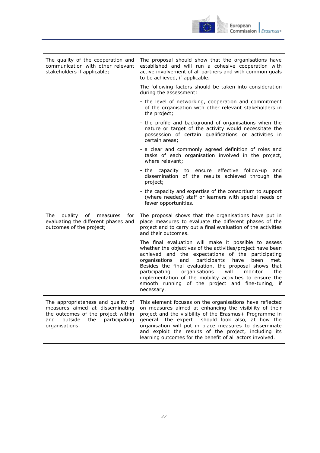

| The quality of the cooperation and<br>communication with other relevant<br>stakeholders if applicable;                                                                  | The proposal should show that the organisations have<br>established and will run a cohesive cooperation with<br>active involvement of all partners and with common goals<br>to be achieved, if applicable.                                                                                                                                                                                                                                                                                  |
|-------------------------------------------------------------------------------------------------------------------------------------------------------------------------|---------------------------------------------------------------------------------------------------------------------------------------------------------------------------------------------------------------------------------------------------------------------------------------------------------------------------------------------------------------------------------------------------------------------------------------------------------------------------------------------|
|                                                                                                                                                                         | The following factors should be taken into consideration<br>during the assessment:                                                                                                                                                                                                                                                                                                                                                                                                          |
|                                                                                                                                                                         | - the level of networking, cooperation and commitment<br>of the organisation with other relevant stakeholders in<br>the project;                                                                                                                                                                                                                                                                                                                                                            |
|                                                                                                                                                                         | - the profile and background of organisations when the<br>nature or target of the activity would necessitate the<br>possession of certain qualifications or activities in<br>certain areas;                                                                                                                                                                                                                                                                                                 |
|                                                                                                                                                                         | - a clear and commonly agreed definition of roles and<br>tasks of each organisation involved in the project,<br>where relevant;                                                                                                                                                                                                                                                                                                                                                             |
|                                                                                                                                                                         | capacity to ensure effective follow-up<br>- the<br>and<br>dissemination of the results achieved through the<br>project;                                                                                                                                                                                                                                                                                                                                                                     |
|                                                                                                                                                                         | - the capacity and expertise of the consortium to support<br>(where needed) staff or learners with special needs or<br>fewer opportunities.                                                                                                                                                                                                                                                                                                                                                 |
| The<br>quality<br>of<br>measures<br>for<br>evaluating the different phases and<br>outcomes of the project;                                                              | The proposal shows that the organisations have put in<br>place measures to evaluate the different phases of the<br>project and to carry out a final evaluation of the activities<br>and their outcomes.                                                                                                                                                                                                                                                                                     |
|                                                                                                                                                                         | The final evaluation will make it possible to assess<br>whether the objectives of the activities/project have been<br>achieved and the expectations of the participating<br>participants<br>organisations<br>and<br>have<br>been<br>met.<br>Besides the final evaluation, the proposal shows that<br>participating<br>organisations<br>will<br>monitor<br>the<br>implementation of the mobility activities to ensure the<br>smooth running of the project and fine-tuning, if<br>necessary. |
| The appropriateness and quality of<br>measures aimed at disseminating<br>the outcomes of the project within<br>outside<br>the<br>participating<br>and<br>organisations. | This element focuses on the organisations have reflected<br>on measures aimed at enhancing the visibility of their<br>project and the visibility of the Erasmus+ Programme in<br>should look also, at how the<br>general. The expert<br>organisation will put in place measures to disseminate<br>and exploit the results of the project, including its<br>learning outcomes for the benefit of all actors involved.                                                                        |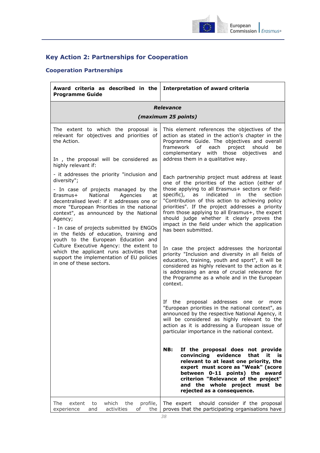

## <span id="page-37-0"></span>**Key Action 2: Partnerships for Cooperation**

## <span id="page-37-1"></span>**Cooperation Partnerships**

| Award criteria as described in the<br><b>Programme Guide</b>                                                                                                                                                                                                                                                                                                                                                                                                                                                                                                                                | <b>Interpretation of award criteria</b>                                                                                                                                                                                                                                                                                                                                                                                                                                                                                                                                                                                                                                                                                                                                                                                                                                                                                                                                                                                                                                                                                                                                                                                                                                                                                                                                                                                                                        |
|---------------------------------------------------------------------------------------------------------------------------------------------------------------------------------------------------------------------------------------------------------------------------------------------------------------------------------------------------------------------------------------------------------------------------------------------------------------------------------------------------------------------------------------------------------------------------------------------|----------------------------------------------------------------------------------------------------------------------------------------------------------------------------------------------------------------------------------------------------------------------------------------------------------------------------------------------------------------------------------------------------------------------------------------------------------------------------------------------------------------------------------------------------------------------------------------------------------------------------------------------------------------------------------------------------------------------------------------------------------------------------------------------------------------------------------------------------------------------------------------------------------------------------------------------------------------------------------------------------------------------------------------------------------------------------------------------------------------------------------------------------------------------------------------------------------------------------------------------------------------------------------------------------------------------------------------------------------------------------------------------------------------------------------------------------------------|
|                                                                                                                                                                                                                                                                                                                                                                                                                                                                                                                                                                                             | Relevance                                                                                                                                                                                                                                                                                                                                                                                                                                                                                                                                                                                                                                                                                                                                                                                                                                                                                                                                                                                                                                                                                                                                                                                                                                                                                                                                                                                                                                                      |
|                                                                                                                                                                                                                                                                                                                                                                                                                                                                                                                                                                                             | (maximum 25 points)                                                                                                                                                                                                                                                                                                                                                                                                                                                                                                                                                                                                                                                                                                                                                                                                                                                                                                                                                                                                                                                                                                                                                                                                                                                                                                                                                                                                                                            |
| The extent to which the proposal<br>is<br>relevant for objectives and priorities of<br>the Action.<br>In, the proposal will be considered as<br>highly relevant if:                                                                                                                                                                                                                                                                                                                                                                                                                         | This element references the objectives of the<br>action as stated in the action's chapter in the<br>Programme Guide. The objectives and overall<br>be<br>framework<br>of<br>each<br>project<br>should<br>complementary with those objectives<br>and<br>address them in a qualitative way.                                                                                                                                                                                                                                                                                                                                                                                                                                                                                                                                                                                                                                                                                                                                                                                                                                                                                                                                                                                                                                                                                                                                                                      |
| - it addresses the priority "inclusion and<br>diversity";<br>- In case of projects managed by the<br>National<br>Agencies<br>Erasmus+<br>at<br>decentralised level: if it addresses one or<br>more "European Priorities in the national<br>context", as announced by the National<br>Agency;<br>- In case of projects submitted by ENGOs<br>in the fields of education, training and<br>youth to the European Education and<br>Culture Executive Agency: the extent to<br>which the applicant runs activities that<br>support the implementation of EU policies<br>in one of these sectors. | Each partnership project must address at least<br>one of the priorities of the action (either of<br>those applying to all Erasmus+ sectors or field-<br>specific), as indicated<br>the<br>section<br>in<br>"Contribution of this action to achieving policy<br>priorities". If the project addresses a priority<br>from those applying to all Erasmus+, the expert<br>should judge whether it clearly proves the<br>impact in the field under which the application<br>has been submitted.<br>In case the project addresses the horizontal<br>priority "Inclusion and diversity in all fields of<br>education, training, youth and sport", it will be<br>considered as highly relevant to the action as it<br>is addressing an area of crucial relevance for<br>the Programme as a whole and in the European<br>context.<br>If the<br>proposal addresses<br>one<br>or<br>more<br>"European priorities in the national context", as<br>announced by the respective National Agency, it<br>will be considered as highly relevant to the<br>action as it is addressing a European issue of<br>particular importance in the national context.<br>NB:<br>If the proposal does not provide<br>convincing<br>evidence<br>that<br>it<br>is is<br>relevant to at least one priority, the<br>expert must score as "Weak" (score<br>between 0-11 points) the award<br>criterion "Relevance of the project"<br>and the whole project must be<br>rejected as a consequence. |
| which<br>the<br>profile,<br>The<br>extent<br>to<br>activities<br>experience<br>and<br>οf<br>the                                                                                                                                                                                                                                                                                                                                                                                                                                                                                             | The expert<br>should consider if the proposal<br>proves that the participating organisations have                                                                                                                                                                                                                                                                                                                                                                                                                                                                                                                                                                                                                                                                                                                                                                                                                                                                                                                                                                                                                                                                                                                                                                                                                                                                                                                                                              |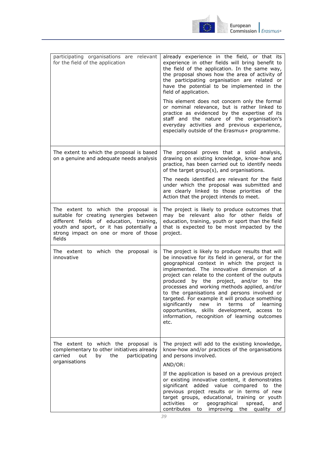

| participating organisations are relevant<br>for the field of the application                                                                                                                                              | already experience in the field, or that its<br>experience in other fields will bring benefit to<br>the field of the application. In the same way,<br>the proposal shows how the area of activity of<br>the participating organisation are related or<br>have the potential to be implemented in the<br>field of application.<br>This element does not concern only the formal<br>or nominal relevance, but is rather linked to<br>practice as evidenced by the expertise of its<br>staff and the nature of the organisation's                                                                                             |
|---------------------------------------------------------------------------------------------------------------------------------------------------------------------------------------------------------------------------|----------------------------------------------------------------------------------------------------------------------------------------------------------------------------------------------------------------------------------------------------------------------------------------------------------------------------------------------------------------------------------------------------------------------------------------------------------------------------------------------------------------------------------------------------------------------------------------------------------------------------|
|                                                                                                                                                                                                                           | everyday activities and previous experience,<br>especially outside of the Erasmus+ programme.                                                                                                                                                                                                                                                                                                                                                                                                                                                                                                                              |
| The extent to which the proposal is based<br>on a genuine and adequate needs analysis                                                                                                                                     | The proposal proves that a solid analysis,<br>drawing on existing knowledge, know-how and<br>practice, has been carried out to identify needs<br>of the target group(s), and organisations.                                                                                                                                                                                                                                                                                                                                                                                                                                |
|                                                                                                                                                                                                                           | The needs identified are relevant for the field<br>under which the proposal was submitted and<br>are clearly linked to those priorities of the<br>Action that the project intends to meet.                                                                                                                                                                                                                                                                                                                                                                                                                                 |
| The extent to which the proposal is<br>suitable for creating synergies between<br>different fields of education, training,<br>youth and sport, or it has potentially a<br>strong impact on one or more of those<br>fields | The project is likely to produce outcomes that<br>may be relevant also for other fields of<br>education, training, youth or sport than the field<br>that is expected to be most impacted by the<br>project.                                                                                                                                                                                                                                                                                                                                                                                                                |
| The extent to which the proposal is<br>innovative                                                                                                                                                                         | The project is likely to produce results that will<br>be innovative for its field in general, or for the<br>geographical context in which the project is<br>implemented. The innovative dimension of a<br>project can relate to the content of the outputs<br>produced by the project, and/or to the<br>processes and working methods applied, and/or<br>to the organisations and persons involved or<br>targeted. For example it will produce something<br>significantly<br>in<br>terms<br>of<br>learning<br>new<br>opportunities, skills development, access to<br>information, recognition of learning outcomes<br>etc. |
| The extent to which the proposal is<br>complementary to other initiatives already<br>carried<br>out<br>the<br>participating<br>by<br>organisations                                                                        | The project will add to the existing knowledge,<br>know-how and/or practices of the organisations<br>and persons involved.                                                                                                                                                                                                                                                                                                                                                                                                                                                                                                 |
|                                                                                                                                                                                                                           | AND/OR:<br>If the application is based on a previous project<br>or existing innovative content, it demonstrates<br>significant added value compared<br>the<br>to<br>previous project results or in terms of new<br>target groups, educational, training or youth<br>activities<br>geographical<br>spread,<br>or<br>and<br>contributes to improving the<br>quality<br>of                                                                                                                                                                                                                                                    |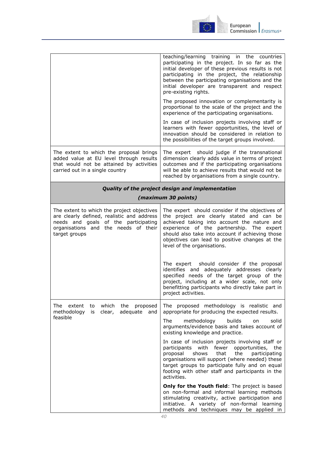

|                                                                                                                                                                                           | teaching/learning training in the countries<br>participating in the project. In so far as the<br>initial developer of these previous results is not<br>participating in the project, the relationship<br>between the participating organisations and the<br>initial developer are transparent and respect<br>pre-existing rights.<br>The proposed innovation or complementarity is<br>proportional to the scale of the project and the<br>experience of the participating organisations.<br>In case of inclusion projects involving staff or<br>learners with fewer opportunities, the level of<br>innovation should be considered in relation to                                                                                                                                                                 |
|-------------------------------------------------------------------------------------------------------------------------------------------------------------------------------------------|-------------------------------------------------------------------------------------------------------------------------------------------------------------------------------------------------------------------------------------------------------------------------------------------------------------------------------------------------------------------------------------------------------------------------------------------------------------------------------------------------------------------------------------------------------------------------------------------------------------------------------------------------------------------------------------------------------------------------------------------------------------------------------------------------------------------|
| The extent to which the proposal brings<br>added value at EU level through results<br>that would not be attained by activities<br>carried out in a single country                         | the possibilities of the target groups involved.<br>The expert should judge if the transnational<br>dimension clearly adds value in terms of project<br>outcomes and if the participating organisations<br>will be able to achieve results that would not be<br>reached by organisations from a single country.                                                                                                                                                                                                                                                                                                                                                                                                                                                                                                   |
| Quality of the project design and implementation<br>(maximum 30 points)                                                                                                                   |                                                                                                                                                                                                                                                                                                                                                                                                                                                                                                                                                                                                                                                                                                                                                                                                                   |
| The extent to which the project objectives<br>are clearly defined, realistic and address<br>needs and goals of the participating<br>organisations and the needs of their<br>target groups | The expert should consider if the objectives of<br>the project are clearly stated and can be<br>achieved taking into account the nature and<br>experience of the partnership. The expert<br>should also take into account if achieving those<br>objectives can lead to positive changes at the<br>level of the organisations.<br>The expert should consider if the proposal<br>identifies and adequately addresses clearly<br>specified needs of the target group of the<br>project, including at a wider scale, not only<br>benefitting participants who directly take part in<br>project activities.                                                                                                                                                                                                            |
| The extent<br>to which<br>the<br>proposed<br>adequate and<br>methodology<br>clear,<br>is<br>feasible                                                                                      | The proposed methodology is realistic and<br>appropriate for producing the expected results.<br>The<br>builds<br>solid<br>methodology<br>on<br>arguments/evidence basis and takes account of<br>existing knowledge and practice.<br>In case of inclusion projects involving staff or<br>participants with fewer opportunities, the<br>proposal<br>shows<br>the<br>that<br>participating<br>organisations will support (where needed) these<br>target groups to participate fully and on equal<br>footing with other staff and participants in the<br>activities.<br>Only for the Youth field: The project is based<br>on non-formal and informal learning methods<br>stimulating creativity, active participation and<br>initiative. A variety of non-formal learning<br>methods and techniques may be applied in |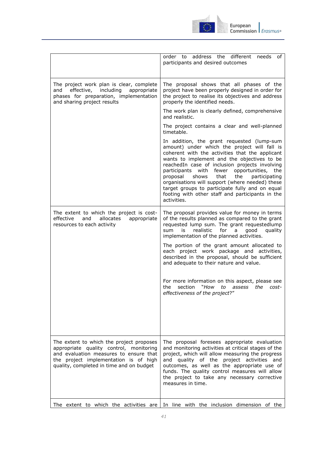

| .ui upean                   |  |
|-----------------------------|--|
| ommission   <i>Erasmus+</i> |  |
|                             |  |

|                                                                                                                                                                                                                    | order to address the different<br>needs<br>of<br>participants and desired outcomes                                                                                                                                                                                                                                                                                                                                                                                                                                         |
|--------------------------------------------------------------------------------------------------------------------------------------------------------------------------------------------------------------------|----------------------------------------------------------------------------------------------------------------------------------------------------------------------------------------------------------------------------------------------------------------------------------------------------------------------------------------------------------------------------------------------------------------------------------------------------------------------------------------------------------------------------|
| The project work plan is clear, complete<br>effective, including<br>and<br>appropriate<br>phases for preparation, implementation<br>and sharing project results                                                    | The proposal shows that all phases of the<br>project have been properly designed in order for<br>the project to realise its objectives and address<br>properly the identified needs.                                                                                                                                                                                                                                                                                                                                       |
|                                                                                                                                                                                                                    | The work plan is clearly defined, comprehensive<br>and realistic.                                                                                                                                                                                                                                                                                                                                                                                                                                                          |
|                                                                                                                                                                                                                    | The project contains a clear and well-planned<br>timetable.                                                                                                                                                                                                                                                                                                                                                                                                                                                                |
|                                                                                                                                                                                                                    | In addition, the grant requested (lump-sum<br>amount) under which the project will fall is<br>coherent with the activities that the applicant<br>wants to implement and the objectives to be<br>reachedIn case of inclusion projects involving<br>participants with fewer opportunities, the<br>proposal<br>shows<br>that<br>the<br>participating<br>organisations will support (where needed) these<br>target groups to participate fully and on equal<br>footing with other staff and participants in the<br>activities. |
| The extent to which the project is cost-<br>effective<br>and<br>allocates<br>appropriate<br>resources to each activity                                                                                             | The proposal provides value for money in terms<br>of the results planned as compared to the grant<br>requested lump sum. The grant requestedlump<br>sum<br>is<br>realistic<br>for<br>good<br>a<br>quality<br>implementation of the planned activities.                                                                                                                                                                                                                                                                     |
|                                                                                                                                                                                                                    | The portion of the grant amount allocated to<br>each project work package and activities,<br>described in the proposal, should be sufficient<br>and adequate to their nature and value.                                                                                                                                                                                                                                                                                                                                    |
|                                                                                                                                                                                                                    | For more information on this aspect, please see<br>section "How to assess the cost-<br>the<br>effectiveness of the project?"                                                                                                                                                                                                                                                                                                                                                                                               |
| The extent to which the project proposes<br>appropriate quality control, monitoring<br>and evaluation measures to ensure that<br>the project implementation is of high<br>quality, completed in time and on budget | The proposal foresees appropriate evaluation<br>and monitoring activities at critical stages of the<br>project, which will allow measuring the progress<br>and quality of the project activities and<br>outcomes, as well as the appropriate use of<br>funds. The quality control measures will allow<br>the project to take any necessary corrective<br>measures in time.                                                                                                                                                 |
| The extent to which the activities are                                                                                                                                                                             | In line with the inclusion dimension of the                                                                                                                                                                                                                                                                                                                                                                                                                                                                                |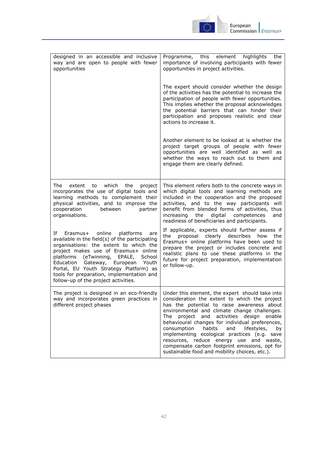

| designed in an accessible and inclusive<br>way and are open to people with fewer<br>opportunities                                                                                                                                                                                                                                                                                                    | Programme, this element highlights the<br>importance of involving participants with fewer<br>opportunities in project activities.<br>The expert should consider whether the design<br>of the activities has the potential to increase the<br>participation of people with fewer opportunities.<br>This implies whether the proposal acknowledges<br>the potential barriers that can hinder their<br>participation and proposes realistic and clear<br>actions to increase it.<br>Another element to be looked at is whether the<br>project target groups of people with fewer                          |
|------------------------------------------------------------------------------------------------------------------------------------------------------------------------------------------------------------------------------------------------------------------------------------------------------------------------------------------------------------------------------------------------------|--------------------------------------------------------------------------------------------------------------------------------------------------------------------------------------------------------------------------------------------------------------------------------------------------------------------------------------------------------------------------------------------------------------------------------------------------------------------------------------------------------------------------------------------------------------------------------------------------------|
|                                                                                                                                                                                                                                                                                                                                                                                                      | opportunities are well identified as well as<br>whether the ways to reach out to them and<br>engage them are clearly defined.                                                                                                                                                                                                                                                                                                                                                                                                                                                                          |
| which<br>the<br>The<br>extent to<br>project<br>incorporates the use of digital tools and<br>learning methods to complement their<br>physical activities, and to improve the<br>cooperation<br>between<br>partner<br>organisations.                                                                                                                                                                   | This element refers both to the concrete ways in<br>which digital tools and learning methods are<br>included in the cooperation and the proposed<br>activities, and to the way participants will<br>benefit from blended forms of activities, thus<br>increasing the<br>digital competences<br>and<br>readiness of beneficiaries and participants.                                                                                                                                                                                                                                                     |
| If<br>online<br>Erasmus+<br>platforms<br>are<br>available in the field(s) of the participating<br>organisations: the extent to which the<br>project makes use of Erasmus+ online<br>platforms (eTwinning, EPALE,<br>School<br>Education<br>Gateway, European<br>Youth<br>Portal, EU Youth Strategy Platform) as<br>tools for preparation, implementation and<br>follow-up of the project activities. | If applicable, experts should further assess if<br>proposal clearly describes<br>the<br>how<br>the<br>Erasmus+ online platforms have been used to<br>prepare the project or includes concrete and<br>realistic plans to use these platforms in the<br>future for project preparation, implementation<br>or follow-up.                                                                                                                                                                                                                                                                                  |
| way and incorporates green practices in<br>different project phases                                                                                                                                                                                                                                                                                                                                  | The project is designed in an eco-friendly $\vert$ Under this element, the expert should take into<br>consideration the extent to which the project<br>has the potential to raise awareness about<br>environmental and climate change challenges.<br>project and activities design enable<br>The<br>behavioural changes for individual preferences,<br>habits<br>consumption<br>and<br>lifestyles,<br>by<br>implementing ecological practices (e.g. save<br>resources, reduce energy use and waste,<br>compensate carbon footprint emissions, opt for<br>sustainable food and mobility choices, etc.). |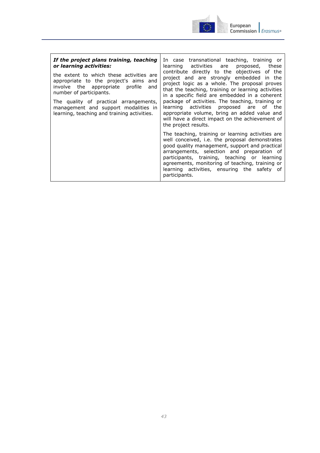

| If the project plans training, teaching<br>or learning activities:<br>the extent to which these activities are<br>appropriate to the project's aims<br>and<br>involve the appropriate profile<br>and<br>number of participants.<br>The quality of practical arrangements,<br>management and support modalities in<br>learning, teaching and training activities. | In case transnational teaching, training or<br>learning activities are proposed,<br>these<br>contribute directly to the objectives of the<br>project and are strongly embedded in the<br>project logic as a whole. The proposal proves<br>that the teaching, training or learning activities<br>in a specific field are embedded in a coherent<br>package of activities. The teaching, training or<br>learning activities proposed are of the<br>appropriate volume, bring an added value and<br>will have a direct impact on the achievement of<br>the project results. |
|------------------------------------------------------------------------------------------------------------------------------------------------------------------------------------------------------------------------------------------------------------------------------------------------------------------------------------------------------------------|--------------------------------------------------------------------------------------------------------------------------------------------------------------------------------------------------------------------------------------------------------------------------------------------------------------------------------------------------------------------------------------------------------------------------------------------------------------------------------------------------------------------------------------------------------------------------|
|                                                                                                                                                                                                                                                                                                                                                                  | The teaching, training or learning activities are<br>well conceived, i.e. the proposal demonstrates<br>good quality management, support and practical<br>arrangements, selection and preparation of<br>participants, training, teaching or learning<br>agreements, monitoring of teaching, training or<br>learning activities, ensuring the safety of<br>participants.                                                                                                                                                                                                   |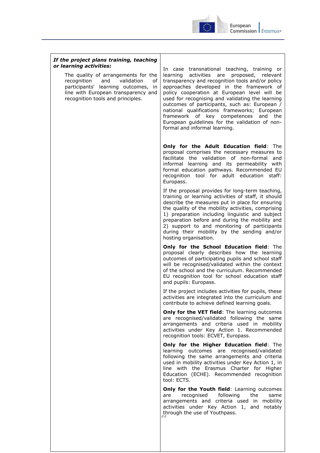

#### *If the project plans training, teaching or learning activities:*

The quality of arrangements for the recognition and validation of participants' learning outcomes, in line with European transparency and recognition tools and principles.

In case transnational teaching, training or learning activities are proposed, relevant transparency and recognition tools and/or policy approaches developed in the framework of policy cooperation at European level will be used for recognising and validating the learning outcomes of participants, such as: European / national qualifications frameworks; European framework of key competences and the European guidelines for the validation of nonformal and informal learning.

**Only for the Adult Education field**: The proposal comprises the necessary measures to facilitate the validation of non-formal and informal learning and its permeability with formal education pathways. Recommended EU recognition tool for adult education staff: Europass.

If the proposal provides for long-term teaching, training or learning activities of staff, it should describe the measures put in place for ensuring the quality of the mobility activities, comprising 1) preparation including linguistic and subject preparation before and during the mobility and 2) support to and monitoring of participants during their mobility by the sending and/or hosting organisation.

**Only for the School Education field**: The proposal clearly describes how the learning outcomes of participating pupils and school staff will be recognised/validated within the context of the school and the curriculum. Recommended EU recognition tool for school education staff and pupils: Europass.

If the project includes activities for pupils, these activities are integrated into the curriculum and contribute to achieve defined learning goals.

**Only for the VET field:** The learning outcomes are recognised/validated following the same arrangements and criteria used in mobility activities under Key Action 1. Recommended recognition tools: ECVET, Europass.

**Only for the Higher Education field**: The learning outcomes are recognised/validated following the same arrangements and criteria used in mobility activities under Key Action 1, in line with the Erasmus Charter for Higher Education (ECHE). Recommended recognition tool: ECTS.

*44* through the use of Youthpass.**Only for the Youth field: Learning outcomes** are recognised following the same arrangements and criteria used in mobility activities under Key Action 1, and notably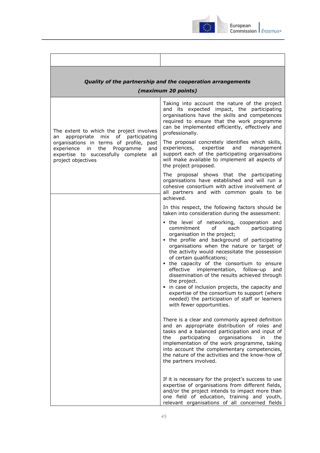

|                                                                                                                                                                                               | Quality of the partnership and the cooperation arrangements<br>(maximum 20 points)                                                                                                                                                                                                                                                                                                                                                                                                                                                                                                                                                                    |
|-----------------------------------------------------------------------------------------------------------------------------------------------------------------------------------------------|-------------------------------------------------------------------------------------------------------------------------------------------------------------------------------------------------------------------------------------------------------------------------------------------------------------------------------------------------------------------------------------------------------------------------------------------------------------------------------------------------------------------------------------------------------------------------------------------------------------------------------------------------------|
| The extent to which the project involves                                                                                                                                                      | Taking into account the nature of the project<br>and its expected impact, the participating<br>organisations have the skills and competences<br>required to ensure that the work programme<br>can be implemented efficiently, effectively and<br>professionally.                                                                                                                                                                                                                                                                                                                                                                                      |
| of participating<br>appropriate<br>mix<br>an<br>organisations in terms of profile, past<br>experience in the Programme<br>and<br>expertise to successfully complete all<br>project objectives | The proposal concretely identifies which skills,<br>experiences, expertise<br>and<br>management<br>support each of the participating organisations<br>will make available to implement all aspects of<br>the project proposed.                                                                                                                                                                                                                                                                                                                                                                                                                        |
|                                                                                                                                                                                               | The proposal shows that the participating<br>organisations have established and will run a<br>cohesive consortium with active involvement of<br>all partners and with common goals to be<br>achieved.                                                                                                                                                                                                                                                                                                                                                                                                                                                 |
|                                                                                                                                                                                               | In this respect, the following factors should be<br>taken into consideration during the assessment:                                                                                                                                                                                                                                                                                                                                                                                                                                                                                                                                                   |
|                                                                                                                                                                                               | the level of networking, cooperation and<br>commitment<br>of<br>each<br>participating<br>organisation in the project;<br>• the profile and background of participating<br>organisations when the nature or target of<br>the activity would necessitate the possession<br>of certain qualifications;<br>• the capacity of the consortium to ensure<br>effective implementation, follow-up<br>and<br>dissemination of the results achieved through<br>the project.<br>• in case of inclusion projects, the capacity and<br>expertise of the consortium to support (where<br>needed) the participation of staff or learners<br>with fewer opportunities. |
|                                                                                                                                                                                               | There is a clear and commonly agreed definition<br>and an appropriate distribution of roles and<br>tasks and a balanced participation and input of<br>the<br>participating<br>organisations<br>the<br>in<br>implementation of the work programme, taking<br>into account the complementary competencies,<br>the nature of the activities and the know-how of<br>the partners involved.                                                                                                                                                                                                                                                                |
|                                                                                                                                                                                               | If it is necessary for the project's success to use<br>expertise of organisations from different fields,<br>and/or the project intends to impact more than<br>one field of education, training and youth,<br>relevant organisations of all concerned fields                                                                                                                                                                                                                                                                                                                                                                                           |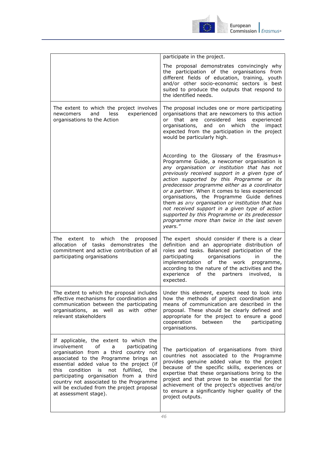

|                                                                                                                                                                                                                                                                                                                                                                                                                         | participate in the project.                                                                                                                                                                                                                                                                                                                                                                                                                                                                                                                                                                                 |
|-------------------------------------------------------------------------------------------------------------------------------------------------------------------------------------------------------------------------------------------------------------------------------------------------------------------------------------------------------------------------------------------------------------------------|-------------------------------------------------------------------------------------------------------------------------------------------------------------------------------------------------------------------------------------------------------------------------------------------------------------------------------------------------------------------------------------------------------------------------------------------------------------------------------------------------------------------------------------------------------------------------------------------------------------|
|                                                                                                                                                                                                                                                                                                                                                                                                                         | The proposal demonstrates convincingly why<br>the participation of the organisations from<br>different fields of education, training, youth<br>and/or other socio-economic sectors is best<br>suited to produce the outputs that respond to<br>the identified needs.                                                                                                                                                                                                                                                                                                                                        |
| The extent to which the project involves<br>and<br>experienced<br>newcomers<br>less<br>organisations to the Action                                                                                                                                                                                                                                                                                                      | The proposal includes one or more participating<br>organisations that are newcomers to this action<br>or<br>that are considered<br>less<br>experienced<br>organisations,<br>and on which<br>the impact<br>expected from the participation in the project<br>would be particularly high.                                                                                                                                                                                                                                                                                                                     |
|                                                                                                                                                                                                                                                                                                                                                                                                                         | According to the Glossary of the Erasmus+<br>Programme Guide, a newcomer organisation is<br>any organisation or institution that has not<br>previously received support in a given type of<br>action supported by this Programme or its<br>predecessor programme either as a coordinator<br>or a partner. When it comes to less experienced<br>organisations, the Programme Guide defines<br>them as any organisation or institution that has<br>not received support in a given type of action<br>supported by this Programme or its predecessor<br>programme more than twice in the last seven<br>years." |
| The<br>extent to which the<br>proposed<br>allocation of tasks demonstrates the<br>commitment and active contribution of all<br>participating organisations                                                                                                                                                                                                                                                              | The expert should consider if there is a clear<br>definition and an appropriate distribution of<br>roles and tasks. Balanced participation of the<br>participating<br>organisations<br>in<br>the<br>implementation<br>of the work<br>programme,<br>according to the nature of the activities and the<br>of the partners<br>experience<br>involved,<br>İS.<br>expected.                                                                                                                                                                                                                                      |
| effective mechanisms for coordination and<br>communication between the participating<br>organisations, as well as with other<br>relevant stakeholders                                                                                                                                                                                                                                                                   | The extent to which the proposal includes   Under this element, experts need to look into<br>how the methods of project coordination and<br>means of communication are described in the<br>proposal. These should be clearly defined and<br>appropriate for the project to ensure a good<br>cooperation<br>between the<br>participating<br>organisations.                                                                                                                                                                                                                                                   |
| If applicable, the extent to which the<br>involvement<br>of<br>participating<br>a<br>organisation from a third country not<br>associated to the Programme brings an<br>essential added value to the project (if<br>this condition is not fulfilled,<br>the<br>participating organisation from a third<br>country not associated to the Programme<br>will be excluded from the project proposal<br>at assessment stage). | The participation of organisations from third<br>countries not associated to the Programme<br>provides genuine added value to the project<br>because of the specific skills, experiences or<br>expertise that these organisations bring to the<br>project and that prove to be essential for the<br>achievement of the project's objectives and/or<br>to ensure a significantly higher quality of the<br>project outputs.                                                                                                                                                                                   |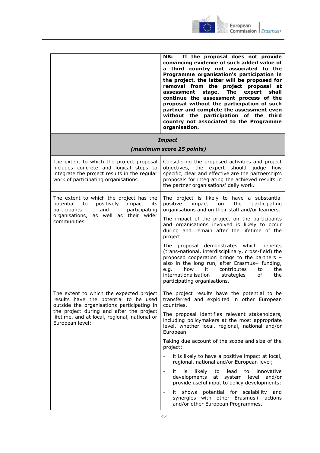

|                                                                                                                                                                                                     | If the proposal does not provide<br>NB:<br>convincing evidence of such added value of<br>a third country not associated to the<br>Programme organisation's participation in<br>the project, the latter will be proposed for<br>removal from the project proposal at<br>stage.<br>The<br>expert<br>shall<br>assessment<br>continue the assessment process of the<br>proposal without the participation of such<br>partner and complete the assessment even<br>without the participation of the third<br>country not associated to the Programme<br>organisation. |
|-----------------------------------------------------------------------------------------------------------------------------------------------------------------------------------------------------|-----------------------------------------------------------------------------------------------------------------------------------------------------------------------------------------------------------------------------------------------------------------------------------------------------------------------------------------------------------------------------------------------------------------------------------------------------------------------------------------------------------------------------------------------------------------|
|                                                                                                                                                                                                     | <b>Impact</b>                                                                                                                                                                                                                                                                                                                                                                                                                                                                                                                                                   |
|                                                                                                                                                                                                     | (maximum score 25 points)                                                                                                                                                                                                                                                                                                                                                                                                                                                                                                                                       |
| The extent to which the project proposal<br>includes concrete and logical steps to<br>integrate the project results in the regular<br>work of participating organisations                           | Considering the proposed activities and project<br>objectives, the expert should judge how<br>specific, clear and effective are the partnership's<br>proposals for integrating the achieved results in<br>the partner organisations' daily work.                                                                                                                                                                                                                                                                                                                |
| The extent to which the project has the<br>potential<br>positively<br>to<br>impact<br>its<br>participants<br>participating<br>and<br>organisations, as well as their wider<br>communities           | The project is likely to have a substantial<br>positive<br>the<br>impact<br>participating<br>on<br>organisations and on their staff and/or learners.                                                                                                                                                                                                                                                                                                                                                                                                            |
|                                                                                                                                                                                                     | The impact of the project on the participants<br>and organisations involved is likely to occur<br>during and remain after the lifetime of the<br>project.                                                                                                                                                                                                                                                                                                                                                                                                       |
|                                                                                                                                                                                                     | The proposal demonstrates which benefits<br>(trans-national, interdisciplinary, cross-field) the<br>proposed cooperation brings to the partners -<br>also in the long run, after Erasmus+ funding,<br>how<br>contributes<br>it<br>to<br>the<br>e.g.<br>internationalisation<br>0f<br>the<br>strategies<br>participating organisations.                                                                                                                                                                                                                          |
| results have the potential to be used<br>outside the organisations participating in<br>the project during and after the project<br>lifetime, and at local, regional, national or<br>European level; | The extent to which the expected project $\vert$ The project results have the potential to be<br>transferred and exploited in other European<br>countries.                                                                                                                                                                                                                                                                                                                                                                                                      |
|                                                                                                                                                                                                     | The proposal identifies relevant stakeholders,<br>including policymakers at the most appropriate<br>level, whether local, regional, national and/or<br>European.                                                                                                                                                                                                                                                                                                                                                                                                |
|                                                                                                                                                                                                     | Taking due account of the scope and size of the<br>project:                                                                                                                                                                                                                                                                                                                                                                                                                                                                                                     |
|                                                                                                                                                                                                     | it is likely to have a positive impact at local,<br>regional, national and/or European level;                                                                                                                                                                                                                                                                                                                                                                                                                                                                   |
|                                                                                                                                                                                                     | $\qquad \qquad -$<br>it<br>is<br>likely<br>to<br>lead<br>to<br>innovative<br>developments<br>at system level and/or<br>provide useful input to policy developments;                                                                                                                                                                                                                                                                                                                                                                                             |
|                                                                                                                                                                                                     | it shows potential for scalability<br>and<br>$\qquad \qquad \blacksquare$<br>synergies<br>with other Erasmus+ actions<br>and/or other European Programmes.                                                                                                                                                                                                                                                                                                                                                                                                      |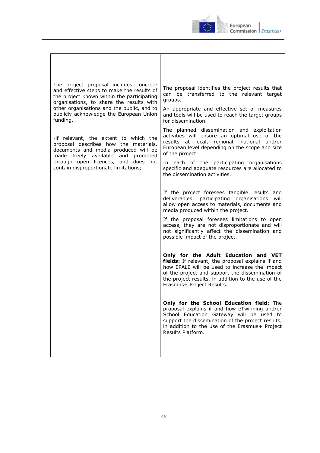

| The project proposal includes concrete<br>and effective steps to make the results of<br>the project known within the participating<br>organisations, to share the results with<br>other organisations and the public, and to<br>publicly acknowledge the European Union<br>funding. | The proposal identifies the project results that<br>can be transferred to the relevant target<br>groups.                                                                                                                                                                         |
|-------------------------------------------------------------------------------------------------------------------------------------------------------------------------------------------------------------------------------------------------------------------------------------|----------------------------------------------------------------------------------------------------------------------------------------------------------------------------------------------------------------------------------------------------------------------------------|
|                                                                                                                                                                                                                                                                                     | An appropriate and effective set of measures<br>and tools will be used to reach the target groups<br>for dissemination.                                                                                                                                                          |
| -if relevant, the extent to which the<br>proposal describes how the materials,<br>documents and media produced will be<br>made freely available and promoted<br>through open licences, and does not<br>contain disproportionate limitations;                                        | The planned dissemination and exploitation<br>activities will ensure an optimal use of the<br>results at local, regional, national<br>and/or<br>European level depending on the scope and size<br>of the project.                                                                |
|                                                                                                                                                                                                                                                                                     | In each of the participating organisations<br>specific and adequate resources are allocated to<br>the dissemination activities.                                                                                                                                                  |
|                                                                                                                                                                                                                                                                                     | If the project foresees tangible results and<br>deliverables, participating organisations<br>will<br>allow open access to materials, documents and<br>media produced within the project.                                                                                         |
|                                                                                                                                                                                                                                                                                     | If the proposal foresees limitations to open<br>access, they are not disproportionate and will<br>not significantly affect the dissemination and<br>possible impact of the project.                                                                                              |
|                                                                                                                                                                                                                                                                                     | Only for the Adult Education and VET<br>fields: If relevant, the proposal explains if and<br>how EPALE will be used to increase the impact<br>of the project and support the dissemination of<br>the project results, in addition to the use of the<br>Erasmus+ Project Results. |
|                                                                                                                                                                                                                                                                                     | Only for the School Education field: The<br>proposal explains if and how eTwinning and/or<br>School Education Gateway will be used to<br>support the dissemination of the project results,<br>in addition to the use of the Erasmus+ Project<br>Results Platform.                |
|                                                                                                                                                                                                                                                                                     |                                                                                                                                                                                                                                                                                  |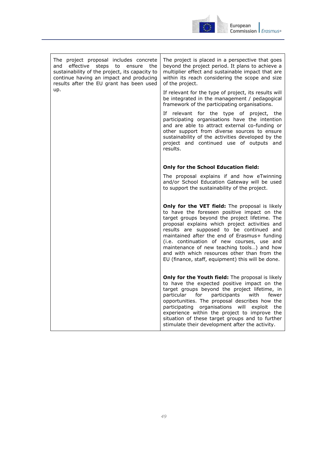

| The project proposal includes concrete<br>and effective steps to<br>ensure<br>the<br>sustainability of the project, its capacity to<br>continue having an impact and producing<br>results after the EU grant has been used<br>up. | The project is placed in a perspective that goes<br>beyond the project period. It plans to achieve a<br>multiplier effect and sustainable impact that are<br>within its reach considering the scope and size<br>of the project.<br>If relevant for the type of project, its results will<br>be integrated in the management / pedagogical<br>framework of the participating organisations.<br>If relevant for the type of project, the<br>participating organisations have the intention<br>and are able to attract external co-funding or<br>other support from diverse sources to ensure<br>sustainability of the activities developed by the |
|-----------------------------------------------------------------------------------------------------------------------------------------------------------------------------------------------------------------------------------|-------------------------------------------------------------------------------------------------------------------------------------------------------------------------------------------------------------------------------------------------------------------------------------------------------------------------------------------------------------------------------------------------------------------------------------------------------------------------------------------------------------------------------------------------------------------------------------------------------------------------------------------------|
|                                                                                                                                                                                                                                   | project and continued use of outputs and<br>results.                                                                                                                                                                                                                                                                                                                                                                                                                                                                                                                                                                                            |
|                                                                                                                                                                                                                                   | <b>Only for the School Education field:</b>                                                                                                                                                                                                                                                                                                                                                                                                                                                                                                                                                                                                     |
|                                                                                                                                                                                                                                   | The proposal explains if and how eTwinning<br>and/or School Education Gateway will be used<br>to support the sustainability of the project.                                                                                                                                                                                                                                                                                                                                                                                                                                                                                                     |
|                                                                                                                                                                                                                                   | Only for the VET field: The proposal is likely<br>to have the foreseen positive impact on the<br>target groups beyond the project lifetime. The<br>proposal explains which project activities and<br>results are supposed to be continued and<br>maintained after the end of Erasmus+ funding<br>(i.e. continuation of new courses, use and<br>maintenance of new teaching tools) and how<br>and with which resources other than from the<br>EU (finance, staff, equipment) this will be done.                                                                                                                                                  |
|                                                                                                                                                                                                                                   | Only for the Youth field: The proposal is likely<br>to have the expected positive impact on the<br>target groups beyond the project lifetime, in<br>participants<br>particular for<br>with<br>fewer<br>opportunities. The proposal describes how the<br>participating organisations will exploit the<br>experience within the project to improve the<br>situation of these target groups and to further<br>stimulate their development after the activity.                                                                                                                                                                                      |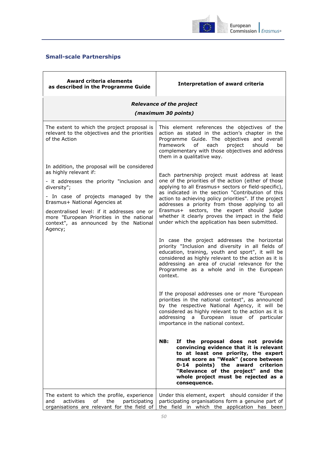

## <span id="page-49-0"></span>**Small-scale Partnerships**

| <b>Award criteria elements</b><br>as described in the Programme Guide                                                                                                                                                                                                                                                                                         | <b>Interpretation of award criteria</b>                                                                                                                                                                                                                                                                                                                                                                                                                                                                                                                                                                                                                                                                                                                                                                                                                                                                                                                                                                                                                                                                                                                                                                                                                                                                                                                                                                                    |
|---------------------------------------------------------------------------------------------------------------------------------------------------------------------------------------------------------------------------------------------------------------------------------------------------------------------------------------------------------------|----------------------------------------------------------------------------------------------------------------------------------------------------------------------------------------------------------------------------------------------------------------------------------------------------------------------------------------------------------------------------------------------------------------------------------------------------------------------------------------------------------------------------------------------------------------------------------------------------------------------------------------------------------------------------------------------------------------------------------------------------------------------------------------------------------------------------------------------------------------------------------------------------------------------------------------------------------------------------------------------------------------------------------------------------------------------------------------------------------------------------------------------------------------------------------------------------------------------------------------------------------------------------------------------------------------------------------------------------------------------------------------------------------------------------|
| <b>Relevance of the project</b><br>(maximum 30 points)                                                                                                                                                                                                                                                                                                        |                                                                                                                                                                                                                                                                                                                                                                                                                                                                                                                                                                                                                                                                                                                                                                                                                                                                                                                                                                                                                                                                                                                                                                                                                                                                                                                                                                                                                            |
| The extent to which the project proposal is<br>relevant to the objectives and the priorities<br>of the Action                                                                                                                                                                                                                                                 | This element references the objectives of the<br>action as stated in the action's chapter in the<br>Programme Guide. The objectives and overall<br>of<br>framework<br>each<br>project<br>should<br>be<br>complementary with those objectives and address<br>them in a qualitative way.                                                                                                                                                                                                                                                                                                                                                                                                                                                                                                                                                                                                                                                                                                                                                                                                                                                                                                                                                                                                                                                                                                                                     |
| In addition, the proposal will be considered<br>as highly relevant if:<br>- it addresses the priority "inclusion and<br>diversity";<br>- In case of projects managed by the<br>Erasmus+ National Agencies at<br>decentralised level: if it addresses one or<br>more "European Priorities in the national<br>context", as announced by the National<br>Agency; | Each partnership project must address at least<br>one of the priorities of the action (either of those<br>applying to all Erasmus+ sectors or field-specific),<br>as indicated in the section "Contribution of this<br>action to achieving policy priorities". If the project<br>addresses a priority from those applying to all<br>Erasmus+ sectors, the expert should judge<br>whether it clearly proves the impact in the field<br>under which the application has been submitted.<br>In case the project addresses the horizontal<br>priority "Inclusion and diversity in all fields of<br>education, training, youth and sport", it will be<br>considered as highly relevant to the action as it is<br>addressing an area of crucial relevance for the<br>Programme as a whole and in the European<br>context.<br>If the proposal addresses one or more "European<br>priorities in the national context", as announced<br>by the respective National Agency, it will be<br>considered as highly relevant to the action as it is<br>addressing a European<br>issue<br>particular<br>ot<br>importance in the national context.<br>If the proposal does not provide<br>NB:<br>convincing evidence that it is relevant<br>to at least one priority, the expert<br>must score as "Weak" (score between<br>points) the award criterion<br>0-14<br>"Relevance of the project" and the<br>whole project must be rejected as a |
| The extent to which the profile, experience<br>activities<br>οf<br>the<br>participating<br>and<br>organisations are relevant for the field of                                                                                                                                                                                                                 | consequence.<br>Under this element, expert should consider if the<br>participating organisations form a genuine part of<br>the field in which the application has been                                                                                                                                                                                                                                                                                                                                                                                                                                                                                                                                                                                                                                                                                                                                                                                                                                                                                                                                                                                                                                                                                                                                                                                                                                                     |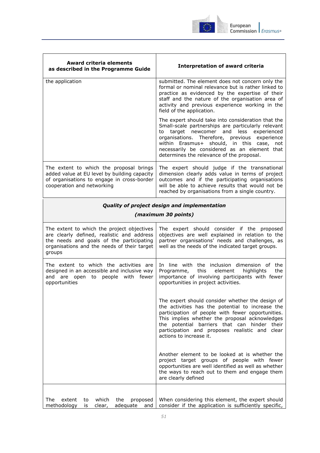

| <b>Award criteria elements</b><br>as described in the Programme Guide                                                                                                                         | <b>Interpretation of award criteria</b>                                                                                                                                                                                                                                                                                                        |
|-----------------------------------------------------------------------------------------------------------------------------------------------------------------------------------------------|------------------------------------------------------------------------------------------------------------------------------------------------------------------------------------------------------------------------------------------------------------------------------------------------------------------------------------------------|
| the application                                                                                                                                                                               | submitted. The element does not concern only the<br>formal or nominal relevance but is rather linked to<br>practice as evidenced by the expertise of their<br>staff and the nature of the organisation area of<br>activity and previous experience working in the<br>field of the application.                                                 |
|                                                                                                                                                                                               | The expert should take into consideration that the<br>Small-scale partnerships are particularly relevant<br>to target newcomer and less experienced<br>organisations. Therefore, previous experience<br>within Erasmus+ should, in this case, not<br>necessarily be considered as an element that<br>determines the relevance of the proposal. |
| The extent to which the proposal brings<br>added value at EU level by building capacity<br>of organisations to engage in cross-border<br>cooperation and networking                           | The expert should judge if the transnational<br>dimension clearly adds value in terms of project<br>outcomes and if the participating organisations<br>will be able to achieve results that would not be<br>reached by organisations from a single country.                                                                                    |
|                                                                                                                                                                                               | Quality of project design and implementation                                                                                                                                                                                                                                                                                                   |
|                                                                                                                                                                                               | (maximum 30 points)                                                                                                                                                                                                                                                                                                                            |
| The extent to which the project objectives<br>are clearly defined, realistic and address<br>the needs and goals of the participating<br>organisations and the needs of their target<br>groups | The expert should consider if the proposed<br>objectives are well explained in relation to the<br>partner organisations' needs and challenges, as<br>well as the needs of the indicated target groups.                                                                                                                                         |
| The extent to which the activities are<br>designed in an accessible and inclusive way<br>and are open to people with fewer<br>opportunities                                                   | In line with the inclusion dimension of the<br>this<br>element<br>highlights<br>the<br>Programme,<br>importance of involving participants with fewer<br>opportunities in project activities.                                                                                                                                                   |
|                                                                                                                                                                                               | The expert should consider whether the design of<br>the activities has the potential to increase the<br>participation of people with fewer opportunities.<br>This implies whether the proposal acknowledges<br>the potential barriers that can hinder their<br>participation and proposes realistic and clear<br>actions to increase it.       |
|                                                                                                                                                                                               | Another element to be looked at is whether the<br>project target groups of people with fewer<br>opportunities are well identified as well as whether<br>the ways to reach out to them and engage them<br>are clearly defined                                                                                                                   |
| The<br>extent<br>which<br>the<br>proposed<br>to<br>methodology<br>adequate<br>is<br>clear,<br>and                                                                                             | When considering this element, the expert should<br>consider if the application is sufficiently specific,                                                                                                                                                                                                                                      |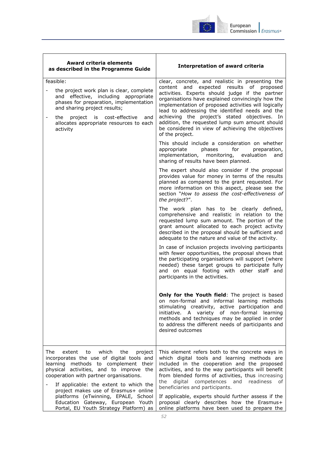

| ıropean |                            |
|---------|----------------------------|
|         | mmission I <i>Erasmus+</i> |

| <b>Award criteria elements</b><br>as described in the Programme Guide                                                                                                                                                                                                                                                                              | <b>Interpretation of award criteria</b>                                                                                                                                                                                                                                                                                                                                                                                                                                                    |
|----------------------------------------------------------------------------------------------------------------------------------------------------------------------------------------------------------------------------------------------------------------------------------------------------------------------------------------------------|--------------------------------------------------------------------------------------------------------------------------------------------------------------------------------------------------------------------------------------------------------------------------------------------------------------------------------------------------------------------------------------------------------------------------------------------------------------------------------------------|
| feasible:<br>the project work plan is clear, complete<br>and effective, including appropriate<br>phases for preparation, implementation<br>and sharing project results;<br>project is cost-effective and<br>the<br>allocates appropriate resources to each<br>activity                                                                             | clear, concrete, and realistic in presenting the<br>content and expected results of proposed<br>activities. Experts should judge if the partner<br>organisations have explained convincingly how the<br>implementation of proposed activities will logically<br>lead to addressing the identified needs and the<br>achieving the project's stated objectives. In<br>addition, the requested lump sum amount should<br>be considered in view of achieving the objectives<br>of the project. |
|                                                                                                                                                                                                                                                                                                                                                    | This should include a consideration on whether<br>for<br>appropriate<br>phases<br>preparation,<br>implementation, monitoring, evaluation<br>and<br>sharing of results have been planned.                                                                                                                                                                                                                                                                                                   |
|                                                                                                                                                                                                                                                                                                                                                    | The expert should also consider if the proposal<br>provides value for money in terms of the results<br>planned as compared to the grant requested. For<br>more information on this aspect, please see the<br>section "How to assess the cost-effectiveness of<br>the project?".                                                                                                                                                                                                            |
|                                                                                                                                                                                                                                                                                                                                                    | The work plan has to be clearly defined,<br>comprehensive and realistic in relation to the<br>requested lump sum amount. The portion of the<br>grant amount allocated to each project activity<br>described in the proposal should be sufficient and<br>adequate to the nature and value of the activity.                                                                                                                                                                                  |
|                                                                                                                                                                                                                                                                                                                                                    | In case of inclusion projects involving participants<br>with fewer opportunities, the proposal shows that<br>the participating organisations will support (where<br>needed) these target groups to participate fully<br>and on equal footing with other staff and<br>participants in the activities.                                                                                                                                                                                       |
|                                                                                                                                                                                                                                                                                                                                                    | Only for the Youth field: The project is based<br>on non-formal and informal learning methods<br>stimulating creativity, active participation and<br>initiative. A variety of non-formal learning<br>methods and techniques may be applied in order<br>to address the different needs of participants and<br>desired outcomes                                                                                                                                                              |
| The<br>extent<br>which<br>the<br>to<br>project<br>incorporates the use of digital tools and<br>learning methods to complement their<br>physical activities, and to improve the<br>cooperation with partner organisations.<br>If applicable: the extent to which the<br>project makes use of Erasmus+ online<br>platforms (eTwinning, EPALE, School | This element refers both to the concrete ways in<br>which digital tools and learning methods are<br>included in the cooperation and the proposed<br>activities, and to the way participants will benefit<br>from blended forms of activities, thus increasing<br>digital competences and readiness<br>the<br>of<br>beneficiaries and participants.<br>If applicable, experts should further assess if the                                                                                  |
| Education Gateway, European Youth<br>Portal, EU Youth Strategy Platform) as                                                                                                                                                                                                                                                                        | proposal clearly describes how the Erasmus+<br>online platforms have been used to prepare the                                                                                                                                                                                                                                                                                                                                                                                              |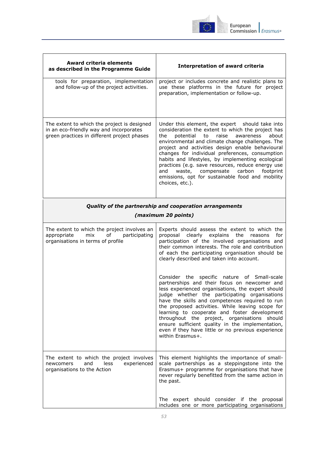

| <b>Award criteria elements</b><br>as described in the Programme Guide                                                                 | <b>Interpretation of award criteria</b>                                                                                                                                                                                                                                                                                                                                                                                                                                                                                                                   |
|---------------------------------------------------------------------------------------------------------------------------------------|-----------------------------------------------------------------------------------------------------------------------------------------------------------------------------------------------------------------------------------------------------------------------------------------------------------------------------------------------------------------------------------------------------------------------------------------------------------------------------------------------------------------------------------------------------------|
| tools for preparation, implementation<br>and follow-up of the project activities.                                                     | project or includes concrete and realistic plans to<br>use these platforms in the future for project<br>preparation, implementation or follow-up.                                                                                                                                                                                                                                                                                                                                                                                                         |
| The extent to which the project is designed<br>in an eco-friendly way and incorporates<br>green practices in different project phases | Under this element, the expert should take into<br>consideration the extent to which the project has<br>potential<br>to<br>raise<br>about<br>the<br>awareness<br>environmental and climate change challenges. The<br>project and activities design enable behavioural<br>changes for individual preferences, consumption<br>habits and lifestyles, by implementing ecological<br>practices (e.g. save resources, reduce energy use<br>and<br>waste, compensate carbon<br>footprint<br>emissions, opt for sustainable food and mobility<br>choices, etc.). |
| Quality of the partnership and cooperation arrangements<br>(maximum 20 points)                                                        |                                                                                                                                                                                                                                                                                                                                                                                                                                                                                                                                                           |
| The extent to which the project involves an<br>appropriate<br>participating<br>mix<br>of<br>organisations in terms of profile         | Experts should assess the extent to which the<br>proposal clearly explains the<br>for<br>reasons<br>participation of the involved organisations and<br>their common interests. The role and contribution<br>of each the participating organisation should be<br>clearly described and taken into account.                                                                                                                                                                                                                                                 |
|                                                                                                                                       | Consider the specific nature of Small-scale<br>partnerships and their focus on newcomer and<br>less experienced organisations, the expert should<br>judge whether the participating organisations<br>have the skills and competences required to run<br>the proposed activities. While leaving scope for<br>learning to cooperate and foster development<br>throughout the project, organisations should<br>ensure sufficient quality in the implementation,<br>even if they have little or no previous experience<br>within Erasmus+.                    |
| The extent to which the project involves<br>newcomers<br>and<br>less<br>experienced<br>organisations to the Action                    | This element highlights the importance of small-<br>scale partnerships as a steppingstone into the<br>Erasmus+ programme for organisations that have<br>never regularly benefitted from the same action in<br>the past.                                                                                                                                                                                                                                                                                                                                   |
|                                                                                                                                       | expert should consider if the proposal<br>The<br>includes one or more participating organisations                                                                                                                                                                                                                                                                                                                                                                                                                                                         |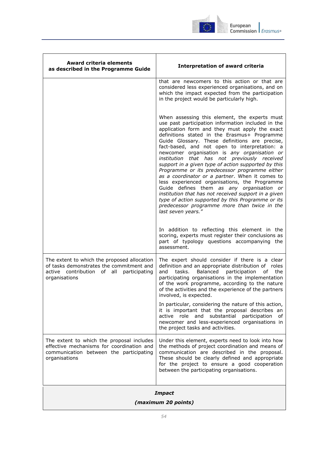

| <b>Award criteria elements</b><br>as described in the Programme Guide                                                                                | <b>Interpretation of award criteria</b>                                                                                                                                                                                                                                                                                                                                                                                                                                                                                                                                                                                                                                                                                                                                                                                                              |
|------------------------------------------------------------------------------------------------------------------------------------------------------|------------------------------------------------------------------------------------------------------------------------------------------------------------------------------------------------------------------------------------------------------------------------------------------------------------------------------------------------------------------------------------------------------------------------------------------------------------------------------------------------------------------------------------------------------------------------------------------------------------------------------------------------------------------------------------------------------------------------------------------------------------------------------------------------------------------------------------------------------|
|                                                                                                                                                      | that are newcomers to this action or that are<br>considered less experienced organisations, and on<br>which the impact expected from the participation<br>in the project would be particularly high.                                                                                                                                                                                                                                                                                                                                                                                                                                                                                                                                                                                                                                                 |
|                                                                                                                                                      | When assessing this element, the experts must<br>use past participation information included in the<br>application form and they must apply the exact<br>definitions stated in the Erasmus+ Programme<br>Guide Glossary. These definitions are precise,<br>fact-based, and not open to interpretation: a<br>newcomer organisation is any organisation or<br>institution that has not previously received<br>support in a given type of action supported by this<br>Programme or its predecessor programme either<br>as a coordinator or a partner. When it comes to<br>less experienced organisations, the Programme<br>Guide defines them as any organisation or<br>institution that has not received support in a given<br>type of action supported by this Programme or its<br>predecessor programme more than twice in the<br>last seven years." |
|                                                                                                                                                      | In addition to reflecting this element in the<br>scoring, experts must register their conclusions as<br>part of typology questions accompanying the<br>assessment.                                                                                                                                                                                                                                                                                                                                                                                                                                                                                                                                                                                                                                                                                   |
| The extent to which the proposed allocation<br>of tasks demonstrates the commitment and<br>active contribution of all participating<br>organisations | The expert should consider if there is a clear<br>definition and an appropriate distribution of roles<br>Balanced participation<br>tasks.<br>the<br>and<br>οf<br>participating organisations in the implementation<br>of the work programme, according to the nature<br>of the activities and the experience of the partners<br>involved, is expected.                                                                                                                                                                                                                                                                                                                                                                                                                                                                                               |
|                                                                                                                                                      | In particular, considering the nature of this action,<br>it is important that the proposal describes an<br>substantial participation<br>active role<br>and<br>οf<br>newcomer and less-experienced organisations in<br>the project tasks and activities.                                                                                                                                                                                                                                                                                                                                                                                                                                                                                                                                                                                              |
| The extent to which the proposal includes<br>effective mechanisms for coordination and<br>communication between the participating<br>organisations   | Under this element, experts need to look into how<br>the methods of project coordination and means of<br>communication are described in the proposal.<br>These should be clearly defined and appropriate<br>for the project to ensure a good cooperation<br>between the participating organisations.                                                                                                                                                                                                                                                                                                                                                                                                                                                                                                                                                 |
| <b>Impact</b><br>(maximum 20 points)                                                                                                                 |                                                                                                                                                                                                                                                                                                                                                                                                                                                                                                                                                                                                                                                                                                                                                                                                                                                      |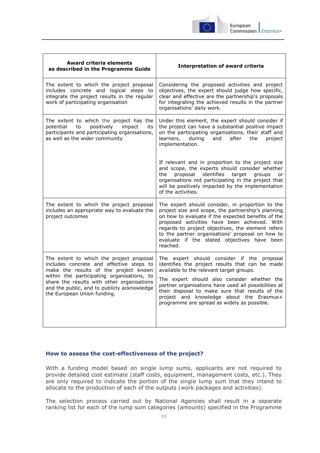

| <b>Award criteria elements</b><br>as described in the Programme Guide                                                                                                                                                                                                                                   | <b>Interpretation of award criteria</b>                                                                                                                                                                                                                                                                                                                                                        |
|---------------------------------------------------------------------------------------------------------------------------------------------------------------------------------------------------------------------------------------------------------------------------------------------------------|------------------------------------------------------------------------------------------------------------------------------------------------------------------------------------------------------------------------------------------------------------------------------------------------------------------------------------------------------------------------------------------------|
| The extent to which the project proposal<br>includes concrete and logical steps to<br>integrate the project results in the regular<br>work of participating organisation                                                                                                                                | Considering the proposed activities and project<br>objectives, the expert should judge how specific,<br>clear and effective are the partnership's proposals<br>for integrating the achieved results in the partner<br>organisations' daily work.                                                                                                                                               |
| The extent to which the project has the<br>positively<br>potential<br>to<br>impact<br>its<br>participants and participating organisations,<br>as well as the wider community                                                                                                                            | Under this element, the expert should consider if<br>the project can have a substantial positive impact<br>on the participating organisations, their staff and<br>learners,<br>during<br>and<br>after<br>the<br>project<br>implementation.                                                                                                                                                     |
|                                                                                                                                                                                                                                                                                                         | If relevant and in proportion to the project size<br>and scope, the experts should consider whether<br>proposal identifies target<br>the<br>groups<br><b>or</b><br>organisations not participating in the project that<br>will be positively impacted by the implementation<br>of the activities.                                                                                              |
| The extent to which the project proposal<br>includes an appropriate way to evaluate the<br>project outcomes                                                                                                                                                                                             | The expert should consider, in proportion to the<br>project size and scope, the partnership's planning<br>on how to evaluate if the expected benefits of the<br>proposed activities have been achieved. With<br>regards to project objectives, the element refers<br>to the partner organisations' proposal on how to<br>evaluate if the stated objectives have been<br>reached.               |
| The extent to which the project proposal<br>includes concrete and effective steps to<br>make the results of the project known<br>within the participating organisations, to<br>share the results with other organisations<br>and the public, and to publicly acknowledge<br>the European Union funding. | The expert should consider if the proposal<br>identifies the project results that can be made<br>available to the relevant target groups.<br>The expert should also consider whether the<br>partner organisations have used all possibilities at<br>their disposal to make sure that results of the<br>project and knowledge about the Erasmus+<br>programme are spread as widely as possible. |

## <span id="page-54-0"></span>**How to assess the cost-effectiveness of the project?**

With a funding model based on single lump sums, applicants are not required to provide detailed cost estimate (staff costs, equipment, management costs, etc.). They are only required to indicate the portion of the single lump sum that they intend to allocate to the production of each of the outputs (work packages and activities).

The selection process carried out by National Agencies shall result in a separate ranking list for each of the lump sum categories (amounts) specified in the Programme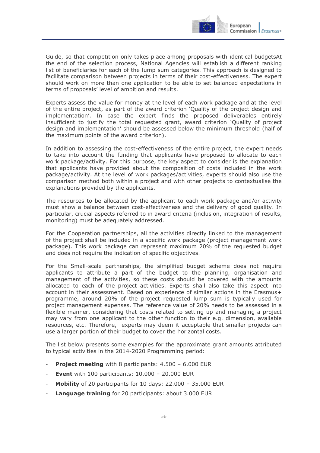

Guide, so that competition only takes place among proposals with identical budgetsAt the end of the selection process, National Agencies will establish a different ranking list of beneficiaries for each of the lump sum categories. This approach is designed to facilitate comparison between projects in terms of their cost-effectiveness. The expert should work on more than one application to be able to set balanced expectations in terms of proposals' level of ambition and results.

Experts assess the value for money at the level of each work package and at the level of the entire project, as part of the award criterion 'Quality of the project design and implementation'. In case the expert finds the proposed deliverables entirely insufficient to justify the total requested grant, award criterion 'Quality of project design and implementation' should be assessed below the minimum threshold (half of the maximum points of the award criterion).

In addition to assessing the cost-effectiveness of the entire project, the expert needs to take into account the funding that applicants have proposed to allocate to each work package/activity. For this purpose, the key aspect to consider is the explanation that applicants have provided about the composition of costs included in the work package/activity. At the level of work packages/activities, experts should also use the comparison method both within a project and with other projects to contextualise the explanations provided by the applicants.

The resources to be allocated by the applicant to each work package and/or activity must show a balance between cost-effectiveness and the delivery of good quality. In particular, crucial aspects referred to in award criteria (inclusion, integration of results, monitoring) must be adequately addressed.

For the Cooperation partnerships, all the activities directly linked to the management of the project shall be included in a specific work package (project management work package). This work package can represent maximum 20% of the requested budget and does not require the indication of specific objectives.

For the Small-scale partnerships, the simplified budget scheme does not require applicants to attribute a part of the budget to the planning, organisation and management of the activities, so these costs should be covered with the amounts allocated to each of the project activities. Experts shall also take this aspect into account in their assessment. Based on experience of similar actions in the Erasmus+ programme, around 20% of the project requested lump sum is typically used for project management expenses. The reference value of 20% needs to be assessed in a flexible manner, considering that costs related to setting up and managing a project may vary from one applicant to the other function to their e.g. dimension, available resources, etc. Therefore, experts may deem it acceptable that smaller projects can use a larger portion of their budget to cover the horizontal costs.

The list below presents some examples for the approximate grant amounts attributed to typical activities in the 2014-2020 Programming period:

- **Project meeting** with 8 participants: 4.500 6.000 EUR
- **Event** with 100 participants: 10.000 20.000 EUR
- **Mobility** of 20 participants for 10 days: 22.000 35.000 EUR
- **Language training** for 20 participants: about 3.000 EUR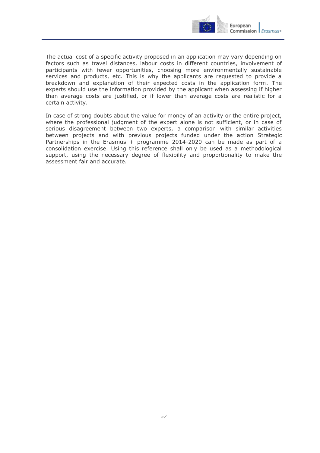

The actual cost of a specific activity proposed in an application may vary depending on factors such as travel distances, labour costs in different countries, involvement of participants with fewer opportunities, choosing more environmentally sustainable services and products, etc. This is why the applicants are requested to provide a breakdown and explanation of their expected costs in the application form. The experts should use the information provided by the applicant when assessing if higher than average costs are justified, or if lower than average costs are realistic for a certain activity.

In case of strong doubts about the value for money of an activity or the entire project, where the professional judgment of the expert alone is not sufficient, or in case of serious disagreement between two experts, a comparison with similar activities between projects and with previous projects funded under the action Strategic Partnerships in the Erasmus + programme 2014-2020 can be made as part of a consolidation exercise. Using this reference shall only be used as a methodological support, using the necessary degree of flexibility and proportionality to make the assessment fair and accurate.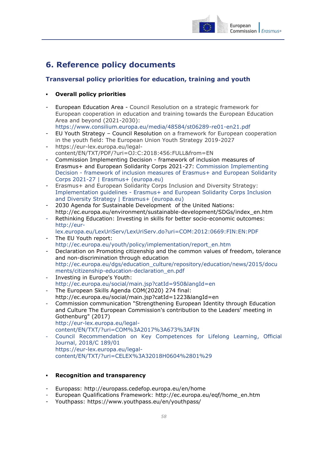

## <span id="page-57-0"></span>**6. Reference policy documents**

## <span id="page-57-1"></span>**Transversal policy priorities for education, training and youth**

## **Overall policy priorities**

- European Education Area Council Resolution on a strategic framework for European cooperation in education and training towards the European Education Area and beyond (2021-2030): <https://www.consilium.europa.eu/media/48584/st06289-re01-en21.pdf>
- EU Youth Strategy Council Resolution on a framework for European cooperation in the youth field: The European Union Youth Strategy 2019-2027
- https://eur-lex.europa.eu/legalcontent/EN/TXT/PDF/?uri=OJ:C:2018:456:FULL&from=EN
- Commission Implementing Decision framework of inclusion measures of Erasmus+ and European Solidarity Corps 2021-27: [Commission Implementing](https://erasmus-plus.ec.europa.eu/document/commission-decision-framework-inclusion-2021-27)  Decision - [framework of inclusion measures of Erasmus+ and European Solidarity](https://erasmus-plus.ec.europa.eu/document/commission-decision-framework-inclusion-2021-27)  [Corps 2021-27 | Erasmus+ \(europa.eu\)](https://erasmus-plus.ec.europa.eu/document/commission-decision-framework-inclusion-2021-27)
- Erasmus+ and European Solidarity Corps Inclusion and Diversity Strategy: Implementation guidelines - [Erasmus+ and European Solidarity Corps Inclusion](https://erasmus-plus.ec.europa.eu/document/implementation-guidelines-erasmus-and-european-solidarity-corps-inclusion-and-diversity-strategy)  [and Diversity Strategy | Erasmus+ \(europa.eu\)](https://erasmus-plus.ec.europa.eu/document/implementation-guidelines-erasmus-and-european-solidarity-corps-inclusion-and-diversity-strategy)
- 2030 Agenda for Sustainable Development of the United Nations: http://ec.europa.eu/environment/sustainable-development/SDGs/index\_en.htm
- Rethinking Education: Investing in skills for better socio-economic outcomes: [http://eur-](http://eur-lex.europa.eu/LexUriServ/LexUriServ.do?uri=COM:2012:0669:FIN:EN:PDF)

[lex.europa.eu/LexUriServ/LexUriServ.do?uri=COM:2012:0669:FIN:EN:PDF](http://eur-lex.europa.eu/LexUriServ/LexUriServ.do?uri=COM:2012:0669:FIN:EN:PDF)

- The EU Youth report: [http://ec.europa.eu/youth/policy/implementation/report\\_en.htm](http://ec.europa.eu/youth/policy/implementation/report_en.htm)
- Declaration on Promoting citizenship and the common values of freedom, tolerance and non-discrimination through education [http://ec.europa.eu/dgs/education\\_culture/repository/education/news/2015/docu](http://ec.europa.eu/dgs/education_culture/repository/education/news/2015/documents/citizenship-education-declaration_en.pdf) [ments/citizenship-education-declaration\\_en.pdf](http://ec.europa.eu/dgs/education_culture/repository/education/news/2015/documents/citizenship-education-declaration_en.pdf)
- Investing in Europe's Youth: <http://ec.europa.eu/social/main.jsp?catId=950&langId=en>
- The European Skills Agenda COM(2020) 274 final: http://ec.europa.eu/social/main.jsp?catId=1223&langId=en
- Commission communication "Strengthening European Identity through Education and Culture The European Commission's contribution to the Leaders' meeting in Gothenburg" (2017) [http://eur-lex.europa.eu/legal](http://eur-lex.europa.eu/legal-content/EN/TXT/?uri=COM%3A2017%3A673%3AFIN)[content/EN/TXT/?uri=COM%3A2017%3A673%3AFIN](http://eur-lex.europa.eu/legal-content/EN/TXT/?uri=COM%3A2017%3A673%3AFIN)
- Council Recommendation on Key Competences for Lifelong Learning, Official Journal, 2018/C 189/01 https://eur-lex.europa.eu/legalcontent/EN/TXT/?uri=CELEX%3A32018H0604%2801%29

## **Recognition and transparency**

- Europass: <http://europass.cedefop.europa.eu/en/home>
- European Qualifications Framework: [http://ec.europa.eu/eqf/home\\_en.htm](http://ec.europa.eu/eqf/home_en.htm)
- Youthpass:<https://www.youthpass.eu/en/youthpass/>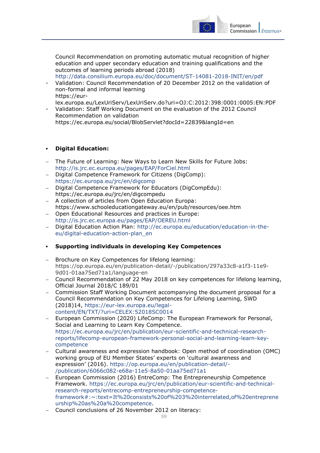

Council Recommendation on promoting automatic mutual recognition of higher education and upper secondary education and training qualifications and the outcomes of learning periods abroad (2018)

<http://data.consilium.europa.eu/doc/document/ST-14081-2018-INIT/en/pdf>

- Validation: Council Recommendation of 20 December 2012 on the validation of non-formal and informal learning https://eur-

lex.europa.eu/LexUriServ/LexUriServ.do?uri=OJ:C:2012:398:0001:0005:EN:PDF

Validation: Staff Working Document on the evaluation of the 2012 Council Recommendation on validation https://ec.europa.eu/social/BlobServlet?docId=22839&langId=en

#### **Digital Education:**

- The Future of Learning: New Ways to Learn New Skills for Future Jobs: <http://is.jrc.ec.europa.eu/pages/EAP/ForCiel.html>
- Digital Competence Framework for Citizens (DigComp): <https://ec.europa.eu/jrc/en/digcomp>
- Digital Competence Framework for Educators (DigCompEdu): https://ec.europa.eu/jrc/en/digcompedu
- A collection of articles from Open Education Europa: https://www.schooleducationgateway.eu/en/pub/resources/oee.htm
- Open Educational Resources and practices in Europe: <http://is.jrc.ec.europa.eu/pages/EAP/OEREU.html>
- Digital Education Action Plan: [http://ec.europa.eu/education/education-in-the](http://ec.europa.eu/education/education-in-the-eu/digital-education-action-plan_en)[eu/digital-education-action-plan\\_en](http://ec.europa.eu/education/education-in-the-eu/digital-education-action-plan_en)

#### **Supporting individuals in developing Key Competences**

- Brochure on Key Competences for lifelong learning: https://op.europa.eu/en/publication-detail/-/publication/297a33c8-a1f3-11e9- 9d01-01aa75ed71a1/language-en
- Council Recommendation of 22 May 2018 on key competences for lifelong learning, Official Journal 2018/C 189/01
- Commission Staff Working Document accompanying the document proposal for a Council Recommendation on Key Competences for Lifelong Learning, SWD (2018)14, [https://eur-lex.europa.eu/legal](https://eur-lex.europa.eu/legal-content/EN/TXT/?uri=CELEX:52018SC0014)[content/EN/TXT/?uri=CELEX:52018SC0014](https://eur-lex.europa.eu/legal-content/EN/TXT/?uri=CELEX:52018SC0014)
- European Commission (2020) LifeComp: The European Framework for Personal, Social and Learning to Learn Key Competence. [https://ec.europa.eu/jrc/en/publication/eur-scientific-and-technical-research](https://ec.europa.eu/jrc/en/publication/eur-scientific-and-technical-research-reports/lifecomp-european-framework-personal-social-and-learning-learn-key-competence)[reports/lifecomp-european-framework-personal-social-and-learning-learn-key](https://ec.europa.eu/jrc/en/publication/eur-scientific-and-technical-research-reports/lifecomp-european-framework-personal-social-and-learning-learn-key-competence)[competence](https://ec.europa.eu/jrc/en/publication/eur-scientific-and-technical-research-reports/lifecomp-european-framework-personal-social-and-learning-learn-key-competence)
- Cultural awareness and expression handbook: Open method of coordination (OMC) working group of EU Member States' experts on 'cultural awareness and expression' (2016). [https://op.europa.eu/en/publication-detail/-](https://op.europa.eu/en/publication-detail/-/publication/6066c082-e68a-11e5-8a50-01aa75ed71a1) [/publication/6066c082-e68a-11e5-8a50-01aa75ed71a1](https://op.europa.eu/en/publication-detail/-/publication/6066c082-e68a-11e5-8a50-01aa75ed71a1)
- European Commission (2016) EntreComp: The Entrepreneurship Competence Framework. [https://ec.europa.eu/jrc/en/publication/eur-scientific-and-technical](https://ec.europa.eu/jrc/en/publication/eur-scientific-and-technical-research-reports/entrecomp-entrepreneurship-competence-framework#:~:text=It%20consists%20of%203%20interrelated,of%20entrepreneurship%20as%20a%20competence)[research-reports/entrecomp-entrepreneurship-competence](https://ec.europa.eu/jrc/en/publication/eur-scientific-and-technical-research-reports/entrecomp-entrepreneurship-competence-framework#:~:text=It%20consists%20of%203%20interrelated,of%20entrepreneurship%20as%20a%20competence)[framework#:~:text=It%20consists%20of%203%20interrelated,of%20entreprene](https://ec.europa.eu/jrc/en/publication/eur-scientific-and-technical-research-reports/entrecomp-entrepreneurship-competence-framework#:~:text=It%20consists%20of%203%20interrelated,of%20entrepreneurship%20as%20a%20competence) [urship%20as%20a%20competence.](https://ec.europa.eu/jrc/en/publication/eur-scientific-and-technical-research-reports/entrecomp-entrepreneurship-competence-framework#:~:text=It%20consists%20of%203%20interrelated,of%20entrepreneurship%20as%20a%20competence)
- Council conclusions of 26 November 2012 on literacy: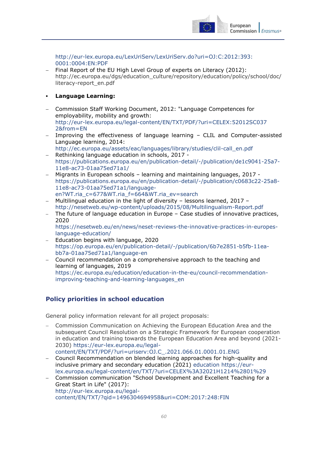

[http://eur-lex.europa.eu/LexUriServ/LexUriServ.do?uri=OJ:C:2012:393:](http://eur-lex.europa.eu/LexUriServ/LexUriServ.do?uri=OJ:C:2012:393:0001:0004:EN:PDF) [0001:0004:EN:PDF](http://eur-lex.europa.eu/LexUriServ/LexUriServ.do?uri=OJ:C:2012:393:0001:0004:EN:PDF)

- Final Report of the EU High Level Group of experts on Literacy (2012): http://ec.europa.eu/dgs/education\_culture/repository/education/policy/school/doc/ literacy-report\_en.pdf
- **Language Learning:**
- Commission Staff Working Document, 2012: "Language Competences for employability, mobility and growth: [http://eur-lex.europa.eu/legal-content/EN/TXT/PDF/?uri=CELEX:52012SC037](http://eur-lex.europa.eu/legal-content/EN/TXT/PDF/?uri=CELEX:52012SC0372&from=EN) [2&from=EN](http://eur-lex.europa.eu/legal-content/EN/TXT/PDF/?uri=CELEX:52012SC0372&from=EN)
- Improving the effectiveness of language learning CLIL and Computer-assisted Language learning, 2014:
- [http://ec.europa.eu/assets/eac/languages/library/studies/clil-call\\_en.pdf](http://ec.europa.eu/assets/eac/languages/library/studies/clil-call_en.pdf) - Rethinking language education in schools, 2017 [https://publications.europa.eu/en/publication-detail/-/publication/de1c9041-25a7-](https://publications.europa.eu/en/publication-detail/-/publication/de1c9041-25a7-11e8-ac73-01aa75ed71a1/) [11e8-ac73-01aa75ed71a1/](https://publications.europa.eu/en/publication-detail/-/publication/de1c9041-25a7-11e8-ac73-01aa75ed71a1/)
- Migrants in European schools learning and maintaining languages, 2017 [https://publications.europa.eu/en/publication-detail/-/publication/c0683c22-25a8-](https://publications.europa.eu/en/publication-detail/-/publication/c0683c22-25a8-11e8-ac73-01aa75ed71a1/language-en?WT.ria_c=677&WT.ria_f=664&WT.ria_ev=search) [11e8-ac73-01aa75ed71a1/language](https://publications.europa.eu/en/publication-detail/-/publication/c0683c22-25a8-11e8-ac73-01aa75ed71a1/language-en?WT.ria_c=677&WT.ria_f=664&WT.ria_ev=search)[en?WT.ria\\_c=677&WT.ria\\_f=664&WT.ria\\_ev=search](https://publications.europa.eu/en/publication-detail/-/publication/c0683c22-25a8-11e8-ac73-01aa75ed71a1/language-en?WT.ria_c=677&WT.ria_f=664&WT.ria_ev=search)
- Multilingual education in the light of diversity lessons learned, 2017 <http://nesetweb.eu/wp-content/uploads/2015/08/Multilingualism-Report.pdf>
- The future of language education in Europe Case studies of innovative practices, 2020 [https://nesetweb.eu/en/news/neset-reviews-the-innovative-practices-in-europes-](https://nesetweb.eu/en/news/neset-reviews-the-innovative-practices-in-europes-language-education/)
- [language-education/](https://nesetweb.eu/en/news/neset-reviews-the-innovative-practices-in-europes-language-education/) Education begins with language, 2020 [https://op.europa.eu/en/publication-detail/-/publication/6b7e2851-b5fb-11ea-](https://op.europa.eu/en/publication-detail/-/publication/6b7e2851-b5fb-11ea-bb7a-01aa75ed71a1/language-en)
- [bb7a-01aa75ed71a1/language-en](https://op.europa.eu/en/publication-detail/-/publication/6b7e2851-b5fb-11ea-bb7a-01aa75ed71a1/language-en) Council recommendation on a comprehensive approach to the teaching and learning of languages, 2019 [https://ec.europa.eu/education/education-in-the-eu/council-recommendation](https://ec.europa.eu/education/education-in-the-eu/council-recommendation-improving-teaching-and-learning-languages_en)[improving-teaching-and-learning-languages\\_en](https://ec.europa.eu/education/education-in-the-eu/council-recommendation-improving-teaching-and-learning-languages_en)

## <span id="page-59-0"></span>**Policy priorities in school education**

General policy information relevant for all project proposals:

- Commission Communication on Achieving the European Education Area and the subsequent Council Resolution on a Strategic Framework for European cooperation in education and training towards the European Education Area and beyond (2021- 2030) [https://eur-lex.europa.eu/legal](https://eur-lex.europa.eu/legal-content/EN/TXT/PDF/?uri=uriserv:OJ.C_.2021.066.01.0001.01.ENG)[content/EN/TXT/PDF/?uri=uriserv:OJ.C\\_.2021.066.01.0001.01.ENG](https://eur-lex.europa.eu/legal-content/EN/TXT/PDF/?uri=uriserv:OJ.C_.2021.066.01.0001.01.ENG)
- Council Recommendation on blended learning approaches for high-quality and inclusive primary and secondary education (2021) education [https://eur](https://myintracomm-collab.ec.europa.eu/dg/EAC/B.4/Horizontal%20Tasks/education%20https:/eur-lex.europa.eu/legal-content/en/TXT/?uri=CELEX%3A32021H1214%2801%29)[lex.europa.eu/legal-content/en/TXT/?uri=CELEX%3A32021H1214%2801%29](https://myintracomm-collab.ec.europa.eu/dg/EAC/B.4/Horizontal%20Tasks/education%20https:/eur-lex.europa.eu/legal-content/en/TXT/?uri=CELEX%3A32021H1214%2801%29)
- Commission communication "School Development and Excellent Teaching for a Great Start in Life" (2017): http://eur-lex.europa.eu/legalcontent/EN/TXT/?qid=1496304694958&uri=COM:2017:248:FIN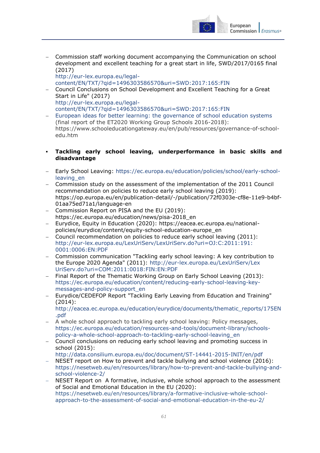

 Commission staff working document accompanying the Communication on school development and excellent teaching for a great start in life, SWD/2017/0165 final (2017) http://eur-lex.europa.eu/legal-

content/EN/TXT/?qid=1496303586570&uri=SWD:2017:165:FIN

- Council Conclusions on School Development and Excellent Teaching for a Great Start in Life" (2017) [http://eur-lex.europa.eu/legal](http://eur-lex.europa.eu/legal-content/EN/TXT/?qid=1496303586570&uri=SWD:2017:165:FIN)[content/EN/TXT/?qid=1496303586570&uri=SWD:2017:165:FIN](http://eur-lex.europa.eu/legal-content/EN/TXT/?qid=1496303586570&uri=SWD:2017:165:FIN)
- [European ideas for better learning: the governance of school education systems](https://www.schooleducationgateway.eu/downloads/Governance/2018-wgs1-governance-school_en.pdf) (final report of the ET2020 Working Group Schools 2016-2018): https://www.schooleducationgateway.eu/en/pub/resources/governance-of-schooledu.htm
- **Tackling early school leaving, underperformance in basic skills and disadvantage**
- Early School Leaving: [https://ec.europa.eu/education/policies/school/early-school](https://ec.europa.eu/education/policies/school/early-school-leaving_en)leaving en
- Commission study on the assessment of the implementation of the 2011 Council recommendation on policies to reduce early school leaving (2019): https://op.europa.eu/en/publication-detail/-/publication/72f0303e-cf8e-11e9-b4bf-01aa75ed71a1/language-en
- Commission Report on PISA and the EU (2019): https://ec.europa.eu/education/news/pisa-2018\_en
- Eurydice, Equity in Education (2020): https://eacea.ec.europa.eu/nationalpolicies/eurydice/content/equity-school-education-europe\_en
- Council recommendation on policies to reduce early school leaving (2011): [http://eur-lex.europa.eu/LexUriServ/LexUriServ.do?uri=OJ:C:2011:191:](http://eur-lex.europa.eu/LexUriServ/LexUriServ.do?uri=OJ:C:2011:191:0001:0006:EN:PDF) [0001:0006:EN:PDF](http://eur-lex.europa.eu/LexUriServ/LexUriServ.do?uri=OJ:C:2011:191:0001:0006:EN:PDF)
- Commission communication "Tackling early school leaving: A key contribution to the Europe 2020 Agenda" (2011): [http://eur-lex.europa.eu/LexUriServ/Lex](http://eur-lex.europa.eu/LexUriServ/LexUriServ.do?uri=COM:2011:0018:FIN:EN:PDF) [UriServ.do?uri=COM:2011:0018:FIN:EN:PDF](http://eur-lex.europa.eu/LexUriServ/LexUriServ.do?uri=COM:2011:0018:FIN:EN:PDF)
- Final Report of the Thematic Working Group on Early School Leaving (2013): [https://ec.europa.eu/education/content/reducing-early-school-leaving-key](https://ec.europa.eu/education/content/reducing-early-school-leaving-key-messages-and-policy-support_en)[messages-and-policy-support\\_en](https://ec.europa.eu/education/content/reducing-early-school-leaving-key-messages-and-policy-support_en)
- Eurydice/CEDEFOP Report "Tackling Early Leaving from Education and Training" (2014):

[http://eacea.ec.europa.eu/education/eurydice/documents/thematic\\_reports/175EN](http://eacea.ec.europa.eu/education/eurydice/documents/thematic_reports/175EN.pdf) [.pdf](http://eacea.ec.europa.eu/education/eurydice/documents/thematic_reports/175EN.pdf)

- A whole school approach to tackling early school leaving: Policy messages, [https://ec.europa.eu/education/resources-and-tools/document-library/schools](https://ec.europa.eu/education/resources-and-tools/document-library/schools-policy-a-whole-school-approach-to-tackling-early-school-leaving_en)[policy-a-whole-school-approach-to-tackling-early-school-leaving\\_en](https://ec.europa.eu/education/resources-and-tools/document-library/schools-policy-a-whole-school-approach-to-tackling-early-school-leaving_en)
- Council conclusions on reducing early school leaving and promoting success in school (2015):

<http://data.consilium.europa.eu/doc/document/ST-14441-2015-INIT/en/pdf>

- NESET report on How to prevent and tackle bullying and school violence (2016): [https://nesetweb.eu/en/resources/library/how-to-prevent-and-tackle-bullying-and](https://nesetweb.eu/en/resources/library/how-to-prevent-and-tackle-bullying-and-school-violence-2/)[school-violence-2/](https://nesetweb.eu/en/resources/library/how-to-prevent-and-tackle-bullying-and-school-violence-2/)
- NESET Report on A formative, inclusive, whole school approach to the assessment of Social and Emotional Education in the EU (2020): https://nesetweb.eu/en/resources/library/a-formative-inclusive-whole-schoolapproach-to-the-assessment-of-social-and-emotional-education-in-the-eu-2/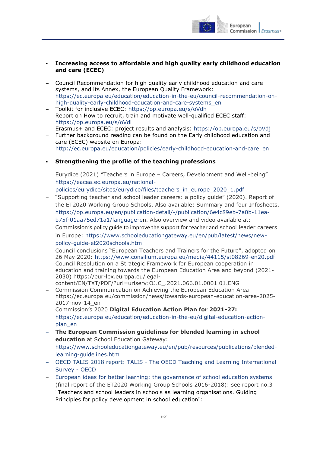

## **Increasing access to affordable and high quality early childhood education and care (ECEC)**

- Council Recommendation for high quality early childhood education and care systems, and its Annex, the European Quality Framework: [https://ec.europa.eu/education/education-in-the-eu/council-recommendation-on](https://ec.europa.eu/education/education-in-the-eu/council-recommendation-on-high-quality-early-childhood-education-and-care-systems_en)[high-quality-early-childhood-education-and-care-systems\\_en](https://ec.europa.eu/education/education-in-the-eu/council-recommendation-on-high-quality-early-childhood-education-and-care-systems_en)
- Toolkit for inclusive ECEC:<https://op.europa.eu/s/oVdh>
- Report on How to recruit, train and motivate well-qualified ECEC staff: <https://op.europa.eu/s/oVdi> Erasmus+ and ECEC: project results and analysis:<https://op.europa.eu/s/oVdj>
- Further background reading can be found on the Early childhood education and care (ECEC) website on Europa: [http://ec.europa.eu/education/policies/early-childhood-education-and-care\\_en](http://ec.europa.eu/education/policies/early-childhood-education-and-care_en)
- **Strengthening the profile of the teaching professions**
- Eurydice (2021) "Teachers in Europe Careers, Development and Well-being" [https://eacea.ec.europa.eu/national](https://eacea.ec.europa.eu/national-policies/eurydice/sites/eurydice/files/teachers_in_europe_2020_1.pdf)[policies/eurydice/sites/eurydice/files/teachers\\_in\\_europe\\_2020\\_1.pdf](https://eacea.ec.europa.eu/national-policies/eurydice/sites/eurydice/files/teachers_in_europe_2020_1.pdf)
- "Supporting teacher and school leader careers: a policy guide" (2020). Report of the ET2020 Working Group Schools. Also available: Summary and four Infosheets. [https://op.europa.eu/en/publication-detail/-/publication/6e4c89eb-7a0b-11ea](https://op.europa.eu/en/publication-detail/-/publication/6e4c89eb-7a0b-11ea-b75f-01aa75ed71a1/language-en)[b75f-01aa75ed71a1/language-en.](https://op.europa.eu/en/publication-detail/-/publication/6e4c89eb-7a0b-11ea-b75f-01aa75ed71a1/language-en) Also overview and video available at: Commission's policy guide to improve the support for teacher and school leader careers in Europe: https://www.schooleducationgateway.eu/en/pub/latest/news/newpolicy-guide-et2020schools.htm
- Council conclusions "European Teachers and Trainers for the Future", adopted on 26 May 2020:<https://www.consilium.europa.eu/media/44115/st08269-en20.pdf>
- Council Resolution on a Strategic Framework for European cooperation in education and training towards the European Education Area and beyond (2021- 2030) [https://eur-lex.europa.eu/legal](https://eur-lex.europa.eu/legal-content/EN/TXT/PDF/?uri=uriserv:OJ.C_.2021.066.01.0001.01.ENG)[content/EN/TXT/PDF/?uri=uriserv:OJ.C\\_.2021.066.01.0001.01.ENG](https://eur-lex.europa.eu/legal-content/EN/TXT/PDF/?uri=uriserv:OJ.C_.2021.066.01.0001.01.ENG)
- Commission Communication on Achieving the European Education Area [https://ec.europa.eu/commission/news/towards-european-education-area-2025-](https://ec.europa.eu/commission/news/towards-european-education-area-2025-2017-nov-14_en) [2017-nov-14\\_en](https://ec.europa.eu/commission/news/towards-european-education-area-2025-2017-nov-14_en)
- Commission's 2020 **Digital Education Action Plan for 2021-27:**  [https://ec.europa.eu/education/education-in-the-eu/digital-education-action](https://ec.europa.eu/education/education-in-the-eu/digital-education-action-plan_en)[plan\\_en](https://ec.europa.eu/education/education-in-the-eu/digital-education-action-plan_en)
- **The European Commission guidelines for blended learning in school education** at School Education Gateway: [https://www.schooleducationgateway.eu/en/pub/resources/publications/blended](https://www.schooleducationgateway.eu/en/pub/resources/publications/blended-learning-guidelines.htm)[learning-guidelines.htm](https://www.schooleducationgateway.eu/en/pub/resources/publications/blended-learning-guidelines.htm)
- OECD TALIS 2018 report: TALIS [The OECD Teaching and Learning International](https://www.oecd.org/education/talis/)  [Survey -](https://www.oecd.org/education/talis/) OECD
- [European ideas for better learning: the governance of school education systems](https://www.schooleducationgateway.eu/downloads/Governance/2018-wgs1-governance-school_en.pdf) (final report of the ET2020 Working Group Schools 2016-2018): see report no.3 "Teachers and school leaders in schools as learning organisations. Guiding Principles for policy development in school education":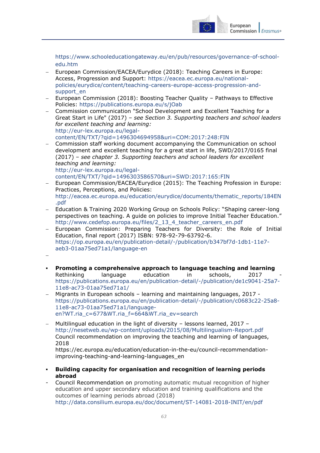

[https://www.schooleducationgateway.eu/en/pub/resources/governance-of-school](https://www.schooleducationgateway.eu/en/pub/resources/governance-of-school-edu.htm)[edu.htm](https://www.schooleducationgateway.eu/en/pub/resources/governance-of-school-edu.htm)

- European Commission/EACEA/Eurydice (2018): Teaching Careers in Europe: Access, Progression and Support: [https://eacea.ec.europa.eu/national](https://eacea.ec.europa.eu/national-policies/eurydice/content/teaching-careers-europe-access-progression-and-support_en)[policies/eurydice/content/teaching-careers-europe-access-progression-and](https://eacea.ec.europa.eu/national-policies/eurydice/content/teaching-careers-europe-access-progression-and-support_en)[support\\_en](https://eacea.ec.europa.eu/national-policies/eurydice/content/teaching-careers-europe-access-progression-and-support_en)
- European Commission (2018): Boosting Teacher Quality Pathways to Effective Policies:<https://publications.europa.eu/s/jOab>
- Commission communication "School Development and Excellent Teaching for a Great Start in Life" (2017) – *see Section 3. Supporting teachers and school leaders for excellent teaching and learning:* [http://eur-lex.europa.eu/legal](http://eur-lex.europa.eu/legal-content/EN/TXT/?qid=1496304694958&uri=COM:2017:248:FIN)[content/EN/TXT/?qid=1496304694958&uri=COM:2017:248:FIN](http://eur-lex.europa.eu/legal-content/EN/TXT/?qid=1496304694958&uri=COM:2017:248:FIN)
- Commission staff working document accompanying the Communication on school development and excellent teaching for a great start in life, SWD/2017/0165 final (2017) – *see chapter 3. Supporting teachers and school leaders for excellent teaching and learning:* [http://eur-lex.europa.eu/legal](http://eur-lex.europa.eu/legal-content/EN/TXT/?qid=1496303586570&uri=SWD:2017:165:FIN)[content/EN/TXT/?qid=1496303586570&uri=SWD:2017:165:FIN](http://eur-lex.europa.eu/legal-content/EN/TXT/?qid=1496303586570&uri=SWD:2017:165:FIN)
- European Commission/EACEA/Eurydice (2015): The Teaching Profession in Europe: Practices, Perceptions, and Policies: http://eacea.ec.europa.eu/education/eurydice/documents/thematic\_reports/184EN .pdf
- Education & Training 2020 Working Group on Schools Policy: "Shaping career-long perspectives on teaching. A guide on policies to improve Initial Teacher Education." [http://www.cedefop.europa.eu/files/2\\_13\\_4\\_teacher\\_careers\\_en.pdf](http://www.cedefop.europa.eu/files/2_13_4_teacher_careers_en.pdf)
- European Commission: Preparing Teachers for Diversity: the Role of Initial Education, final report (2017) ISBN: 978-92-79-63792-6. [https://op.europa.eu/en/publication-detail/-/publication/b347bf7d-1db1-11e7](https://op.europa.eu/en/publication-detail/-/publication/b347bf7d-1db1-11e7-aeb3-01aa75ed71a1/language-en) [aeb3-01aa75ed71a1/language-en](https://op.europa.eu/en/publication-detail/-/publication/b347bf7d-1db1-11e7-aeb3-01aa75ed71a1/language-en)

 $\overline{a}$ 

- **Promoting a comprehensive approach to language teaching and learning** Rethinking language education in schools. 2017 [https://publications.europa.eu/en/publication-detail/-/publication/de1c9041-25a7-](https://publications.europa.eu/en/publication-detail/-/publication/de1c9041-25a7-11e8-ac73-01aa75ed71a1/) [11e8-ac73-01aa75ed71a1/](https://publications.europa.eu/en/publication-detail/-/publication/de1c9041-25a7-11e8-ac73-01aa75ed71a1/)
- Migrants in European schools learning and maintaining languages, 2017 [https://publications.europa.eu/en/publication-detail/-/publication/c0683c22-25a8-](https://publications.europa.eu/en/publication-detail/-/publication/c0683c22-25a8-11e8-ac73-01aa75ed71a1/language-en?WT.ria_c=677&WT.ria_f=664&WT.ria_ev=search) [11e8-ac73-01aa75ed71a1/language](https://publications.europa.eu/en/publication-detail/-/publication/c0683c22-25a8-11e8-ac73-01aa75ed71a1/language-en?WT.ria_c=677&WT.ria_f=664&WT.ria_ev=search)[en?WT.ria\\_c=677&WT.ria\\_f=664&WT.ria\\_ev=search](https://publications.europa.eu/en/publication-detail/-/publication/c0683c22-25a8-11e8-ac73-01aa75ed71a1/language-en?WT.ria_c=677&WT.ria_f=664&WT.ria_ev=search)
- Multilingual education in the light of diversity lessons learned, 2017 <http://nesetweb.eu/wp-content/uploads/2015/08/Multilingualism-Report.pdf> Council recommendation on improving the teaching and learning of languages, 2018 https://ec.europa.eu/education/education-in-the-eu/council-recommendation-

improving-teaching-and-learning-languages\_en

- **Building capacity for organisation and recognition of learning periods abroad**
- Council Recommendation on promoting automatic mutual recognition of higher education and upper secondary education and training qualifications and the outcomes of learning periods abroad (2018) <http://data.consilium.europa.eu/doc/document/ST-14081-2018-INIT/en/pdf>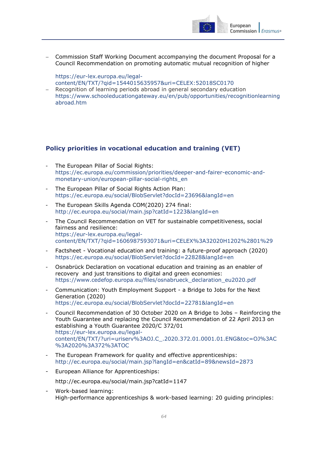

 Commission Staff Working Document accompanying the document Proposal for a Council Recommendation on promoting automatic mutual recognition of higher

[https://eur-lex.europa.eu/legal-](https://eur-lex.europa.eu/legal-content/EN/TXT/?qid=1544015635957&uri=CELEX:52018SC0170)

- [content/EN/TXT/?qid=1544015635957&uri=CELEX:52018SC0170](https://eur-lex.europa.eu/legal-content/EN/TXT/?qid=1544015635957&uri=CELEX:52018SC0170)
- Recognition of learning periods abroad in general secondary education [https://www.schooleducationgateway.eu/en/pub/opportunities/recognitionlearning](https://www.schooleducationgateway.eu/en/pub/opportunities/recognitionlearningabroad.htm) [abroad.htm](https://www.schooleducationgateway.eu/en/pub/opportunities/recognitionlearningabroad.htm)

## <span id="page-63-0"></span>**Policy priorities in vocational education and training (VET)**

- The European Pillar of Social Rights: [https://ec.europa.eu/commission/priorities/deeper-and-fairer-economic-and](https://ec.europa.eu/commission/priorities/deeper-and-fairer-economic-and-monetary-union/european-pillar-social-rights_en)[monetary-union/european-pillar-social-rights\\_en](https://ec.europa.eu/commission/priorities/deeper-and-fairer-economic-and-monetary-union/european-pillar-social-rights_en)
- The European Pillar of Social Rights Action Plan: https://ec.europa.eu/social/BlobServlet?docId=23696&langId=en
- The European [Skills Agenda](http://ec.europa.eu/social/main.jsp?catId=1223&langId=en) COM(2020) 274 final: <http://ec.europa.eu/social/main.jsp?catId=1223&langId=en>
- The Council Recommendation on VET for sustainable competitiveness, social fairness and resilience: [https://eur-lex.europa.eu/legal](https://eur-lex.europa.eu/legal-content/EN/TXT/?qid=1606987593071&uri=CELEX%3A32020H1202%2801%29)[content/EN/TXT/?qid=1606987593071&uri=CELEX%3A32020H1202%2801%29](https://eur-lex.europa.eu/legal-content/EN/TXT/?qid=1606987593071&uri=CELEX%3A32020H1202%2801%29)
- Factsheet Vocational education and training: a future-proof approach (2020) <https://ec.europa.eu/social/BlobServlet?docId=22828&langId=en>
- Osnabrück Declaration on vocational education and training as an enabler of recovery and just transitions to digital and green economies: [https://www.cedefop.europa.eu/files/osnabrueck\\_declaration\\_eu2020.pdf](https://www.cedefop.europa.eu/files/osnabrueck_declaration_eu2020.pdf)
- Communication: Youth Employment Support a Bridge to Jobs for the Next Generation (2020) <https://ec.europa.eu/social/BlobServlet?docId=22781&langId=en>
- Council Recommendation of 30 October 2020 on A Bridge to Jobs Reinforcing the Youth Guarantee and replacing the Council Recommendation of 22 April 2013 on establishing a Youth Guarantee 2020/C 372/01 [https://eur-lex.europa.eu/legal](https://eur-lex.europa.eu/legal-content/EN/TXT/?uri=uriserv%3AOJ.C_.2020.372.01.0001.01.ENG&toc=OJ%3AC%3A2020%3A372%3ATOC)[content/EN/TXT/?uri=uriserv%3AOJ.C\\_.2020.372.01.0001.01.ENG&toc=OJ%3AC](https://eur-lex.europa.eu/legal-content/EN/TXT/?uri=uriserv%3AOJ.C_.2020.372.01.0001.01.ENG&toc=OJ%3AC%3A2020%3A372%3ATOC) [%3A2020%3A372%3ATOC](https://eur-lex.europa.eu/legal-content/EN/TXT/?uri=uriserv%3AOJ.C_.2020.372.01.0001.01.ENG&toc=OJ%3AC%3A2020%3A372%3ATOC)
- The European Framework for quality and effective apprenticeships: <http://ec.europa.eu/social/main.jsp?langId=en&catId=89&newsId=2873>
- European Alliance for Apprenticeships: <http://ec.europa.eu/social/main.jsp?catId=1147>
- Work-based learning: [High-performance apprenticeships & work-based learning: 20 guiding principles:](http://ec.europa.eu/social/BlobServlet?docId=14881&langId=en)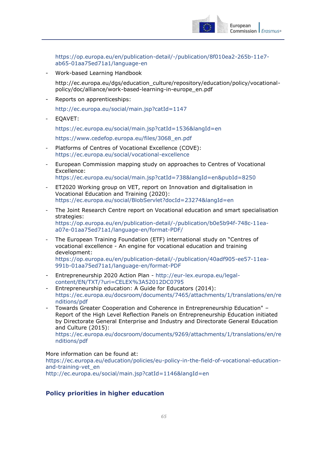

[https://op.europa.eu/en/publication-detail/-/publication/8f010ea2-265b-11e7](https://op.europa.eu/en/publication-detail/-/publication/8f010ea2-265b-11e7-ab65-01aa75ed71a1/language-en) [ab65-01aa75ed71a1/language-en](https://op.europa.eu/en/publication-detail/-/publication/8f010ea2-265b-11e7-ab65-01aa75ed71a1/language-en)

- Work-based Learning Handbook

[http://ec.europa.eu/dgs/education\\_culture/repository/education/policy/vocational](http://ec.europa.eu/dgs/education_culture/repository/education/policy/vocational-policy/doc/alliance/work-based-learning-in-europe_en.pdf)[policy/doc/alliance/work-based-learning-in-europe\\_en.pdf](http://ec.europa.eu/dgs/education_culture/repository/education/policy/vocational-policy/doc/alliance/work-based-learning-in-europe_en.pdf)

Reports on apprenticeships:

<http://ec.europa.eu/social/main.jsp?catId=1147>

EOAVET:

<https://ec.europa.eu/social/main.jsp?catId=1536&langId=en>

[https://www.cedefop.europa.eu/files/3068\\_en.pdf](https://www.cedefop.europa.eu/files/3068_en.pdf)

- Platforms of Centres of Vocational Excellence (COVE): <https://ec.europa.eu/social/vocational-excellence>
- European Commission mapping study on approaches to Centres of Vocational Excellence: <https://ec.europa.eu/social/main.jsp?catId=738&langId=en&pubId=8250>
- ET2020 Working group on VET, report on Innovation and digitalisation in Vocational Education and Training (2020): <https://ec.europa.eu/social/BlobServlet?docId=23274&langId=en>
- The Joint Research Centre report on Vocational education and smart specialisation strategies: [https://op.europa.eu/en/publication-detail/-/publication/b0e5b94f-748c-11ea](https://op.europa.eu/en/publication-detail/-/publication/b0e5b94f-748c-11ea-a07e-01aa75ed71a1/language-en/format-PDF/)[a07e-01aa75ed71a1/language-en/format-PDF/](https://op.europa.eu/en/publication-detail/-/publication/b0e5b94f-748c-11ea-a07e-01aa75ed71a1/language-en/format-PDF/)
- The European Training Foundation (ETF) international study on "Centres of vocational excellence - An engine for vocational education and training development: [https://op.europa.eu/en/publication-detail/-/publication/40adf905-ee57-11ea-](https://op.europa.eu/en/publication-detail/-/publication/40adf905-ee57-11ea-991b-01aa75ed71a1/language-en/format-PDF)[991b-01aa75ed71a1/language-en/format-PDF](https://op.europa.eu/en/publication-detail/-/publication/40adf905-ee57-11ea-991b-01aa75ed71a1/language-en/format-PDF)
- Entrepreneurship 2020 Action Plan [http://eur-lex.europa.eu/legal](http://eur-lex.europa.eu/legal-content/EN/TXT/?uri=CELEX%3A52012DC0795)[content/EN/TXT/?uri=CELEX%3A52012DC0795](http://eur-lex.europa.eu/legal-content/EN/TXT/?uri=CELEX%3A52012DC0795)
- Entrepreneurship education: A Guide for Educators (2014): [https://ec.europa.eu/docsroom/documents/7465/attachments/1/translations/en/re](https://ec.europa.eu/docsroom/documents/7465/attachments/1/translations/en/renditions/pdf) [nditions/pdf](https://ec.europa.eu/docsroom/documents/7465/attachments/1/translations/en/renditions/pdf)
- Towards Greater Cooperation and Coherence in Entrepreneurship Education" Report of the High Level Reflection Panels on Entrepreneurship Education initiated by Directorate General Enterprise and Industry and Directorate General Education and Culture (2015):

[https://ec.europa.eu/docsroom/documents/9269/attachments/1/translations/en/re](https://ec.europa.eu/docsroom/documents/9269/attachments/1/translations/en/renditions/pdf) [nditions/pdf](https://ec.europa.eu/docsroom/documents/9269/attachments/1/translations/en/renditions/pdf)

More information can be found at:

[https://ec.europa.eu/education/policies/eu-policy-in-the-field-of-vocational-education](https://ec.europa.eu/education/policies/eu-policy-in-the-field-of-vocational-education-and-training-vet_en)[and-training-vet\\_en](https://ec.europa.eu/education/policies/eu-policy-in-the-field-of-vocational-education-and-training-vet_en) <http://ec.europa.eu/social/main.jsp?catId=1146&langId=en>

## <span id="page-64-0"></span>**Policy priorities in higher education**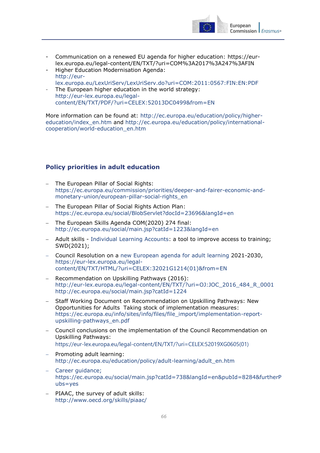

- Communication on a renewed EU agenda for higher education: https://eurlex.europa.eu/legal-content/EN/TXT/?uri=COM%3A2017%3A247%3AFIN
- Higher Education Modernisation Agenda: [http://eur](http://eur-lex.europa.eu/LexUriServ/LexUriServ.do?uri=COM:2011:0567:FIN:EN:PDF)[lex.europa.eu/LexUriServ/LexUriServ.do?uri=COM:2011:0567:FIN:EN:PDF](http://eur-lex.europa.eu/LexUriServ/LexUriServ.do?uri=COM:2011:0567:FIN:EN:PDF)
- The European higher education in the world strategy: [http://eur-lex.europa.eu/legal](http://eur-lex.europa.eu/legal-content/EN/TXT/PDF/?uri=CELEX:52013DC0499&from=EN)[content/EN/TXT/PDF/?uri=CELEX:52013DC0499&from=EN](http://eur-lex.europa.eu/legal-content/EN/TXT/PDF/?uri=CELEX:52013DC0499&from=EN)

More information can be found at: [http://ec.europa.eu/education/policy/higher](http://ec.europa.eu/education/policy/higher-education/index_en.htm)[education/index\\_en.htm](http://ec.europa.eu/education/policy/higher-education/index_en.htm) and [http://ec.europa.eu/education/policy/international](http://ec.europa.eu/education/policy/international-cooperation/world-education_en.htm)[cooperation/world-education\\_en.htm](http://ec.europa.eu/education/policy/international-cooperation/world-education_en.htm)

## <span id="page-65-0"></span>**Policy priorities in adult education**

- The European Pillar of Social Rights: [https://ec.europa.eu/commission/priorities/deeper-and-fairer-economic-and](https://ec.europa.eu/commission/priorities/deeper-and-fairer-economic-and-monetary-union/european-pillar-social-rights_en)[monetary-union/european-pillar-social-rights\\_en](https://ec.europa.eu/commission/priorities/deeper-and-fairer-economic-and-monetary-union/european-pillar-social-rights_en)
- The European Pillar of Social Rights Action Plan: https://ec.europa.eu/social/BlobServlet?docId=23696&langId=en
- The European [Skills Agenda](http://ec.europa.eu/social/main.jsp?catId=1223&langId=en) COM(2020) 274 final: <http://ec.europa.eu/social/main.jsp?catId=1223&langId=en>
- Adult skills [Individual Learning Accounts:](https://ec.europa.eu/info/law/better-regulation/have-your-say/initiatives/12876-Adult-skills-Individual-Learning-Accounts-a-tool-to-improve-access-to-training_en) a tool to improve access to training; SWD(2021);
- Council Resolution on a [new European agenda for adult learning](https://eur-lex.europa.eu/legal-content/EN/TXT/HTML/?uri=CELEX:32021G1214(01)&from=EN) 2021-2030, https://eur-lex.europa.eu/legalcontent/EN/TXT/HTML/?uri=CELEX:32021G1214(01)&from=EN
- Recommendation on Upskilling Pathways (2016): [http://eur-lex.europa.eu/legal-content/EN/TXT/?uri=OJ:JOC\\_2016\\_484\\_R\\_0001](http://eur-lex.europa.eu/legal-content/EN/TXT/?uri=OJ:JOC_2016_484_R_0001) <http://ec.europa.eu/social/main.jsp?catId=1224>
- Staff Working Document on Recommendation on Upskilling Pathways: New Opportunities for Adults Taking stock of implementation measures: [https://ec.europa.eu/info/sites/info/files/file\\_import/implementation-report](https://ec.europa.eu/info/sites/info/files/file_import/implementation-report-upskilling-pathways_en.pdf)[upskilling-pathways\\_en.pdf](https://ec.europa.eu/info/sites/info/files/file_import/implementation-report-upskilling-pathways_en.pdf)
- Council conclusions on the implementation of the Council Recommendation on Upskilling Pathways: [https://eur-lex.europa.eu/legal-content/EN/TXT/?uri=CELEX:52019XG0605\(01\)](https://eur-lex.europa.eu/legal-content/EN/TXT/?uri=CELEX:52019XG0605(01))
- $-$  Promoting adult learning: [http://ec.europa.eu/education/policy/adult-learning/adult\\_en.htm](http://ec.europa.eu/education/policy/adult-learning/adult_en.htm)
- Career guidance; [https://ec.europa.eu/social/main.jsp?catId=738&langId=en&pubId=8284&furtherP](https://ec.europa.eu/social/main.jsp?catId=738&langId=en&pubId=8284&furtherPubs=yes) [ubs=yes](https://ec.europa.eu/social/main.jsp?catId=738&langId=en&pubId=8284&furtherPubs=yes)
- [PIAAC,](http://www.oecd.org/skills/piaac/) the survey of adult skills: <http://www.oecd.org/skills/piaac/>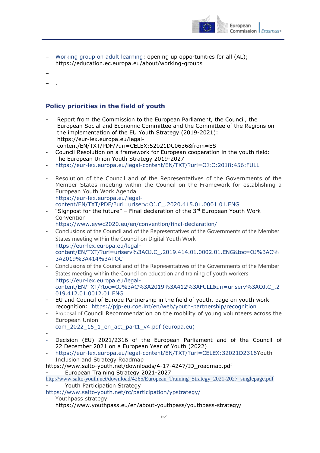

- [Working group on adult learning:](https://education.ec.europa.eu/about/working-groups) opening up opportunities for all (AL); https://education.ec.europa.eu/about/working-groups
- $\overline{a}$
- .

## <span id="page-66-0"></span>**Policy priorities in the field of youth**

- Report from the Commission to the European Parliament, the Council, the European Social and Economic Committee and the Committee of the Regions on the implementation of the EU Youth Strategy (2019-2021): https://eur-lex.europa.eu/legalcontent/EN/TXT/PDF/?uri=CELEX:52021DC0636&from=ES
- Council Resolution on a framework for European cooperation in the youth field: The European Union Youth Strategy 2019-2027
- <https://eur-lex.europa.eu/legal-content/EN/TXT/?uri=OJ:C:2018:456:FULL>
- Resolution of the Council and of the Representatives of the Governments of the Member States meeting within the Council on the Framework for establishing a European Youth Work Agenda [https://eur-lex.europa.eu/legal](https://eur-lex.europa.eu/legal-content/EN/TXT/PDF/?uri=uriserv:OJ.C_.2020.415.01.0001.01.ENG)[content/EN/TXT/PDF/?uri=uriserv:OJ.C\\_.2020.415.01.0001.01.ENG](https://eur-lex.europa.eu/legal-content/EN/TXT/PDF/?uri=uriserv:OJ.C_.2020.415.01.0001.01.ENG)
- "Signpost for the future" Final declaration of the  $3<sup>rd</sup>$  European Youth Work Convention

<https://www.eywc2020.eu/en/convention/final-declaration/>

- Conclusions of the Council and of the Representatives of the Governments of the Member States meeting within the Council on Digital Youth Work [https://eur-lex.europa.eu/legal](https://eur-lex.europa.eu/legal-content/EN/TXT/?uri=uriserv%3AOJ.C_.2019.414.01.0002.01.ENG&toc=OJ%3AC%3A2019%3A414%3ATOC)[content/EN/TXT/?uri=uriserv%3AOJ.C\\_.2019.414.01.0002.01.ENG&toc=OJ%3AC%](https://eur-lex.europa.eu/legal-content/EN/TXT/?uri=uriserv%3AOJ.C_.2019.414.01.0002.01.ENG&toc=OJ%3AC%3A2019%3A414%3ATOC) [3A2019%3A414%3ATOC](https://eur-lex.europa.eu/legal-content/EN/TXT/?uri=uriserv%3AOJ.C_.2019.414.01.0002.01.ENG&toc=OJ%3AC%3A2019%3A414%3ATOC)
- Conclusions of the Council and of the Representatives of the Governments of the Member States meeting within the Council on education and training of youth workers [https://eur-lex.europa.eu/legal](https://eur-lex.europa.eu/legal-content/EN/TXT/?toc=OJ%3AC%3A2019%3A412%3AFULL&uri=uriserv%3AOJ.C_.2019.412.01.0012.01.ENG)[content/EN/TXT/?toc=OJ%3AC%3A2019%3A412%3AFULL&uri=uriserv%3AOJ.C\\_.2](https://eur-lex.europa.eu/legal-content/EN/TXT/?toc=OJ%3AC%3A2019%3A412%3AFULL&uri=uriserv%3AOJ.C_.2019.412.01.0012.01.ENG) [019.412.01.0012.01.ENG](https://eur-lex.europa.eu/legal-content/EN/TXT/?toc=OJ%3AC%3A2019%3A412%3AFULL&uri=uriserv%3AOJ.C_.2019.412.01.0012.01.ENG)
- EU and Council of Europe Partnership in the field of youth, page on youth work recognition: <https://pjp-eu.coe.int/en/web/youth-partnership/recognition>
- Proposal of Council Recommendation on the mobility of young volunteers across the European Union

com<sup>2022</sup> 15<sup>1</sup> en act part1 v4.pdf (europa.eu)

- -
- Decision (EU) 2021/2316 of the European Parliament and of the Council of 22 December 2021 on a European Year of Youth (2022)
- https://eur-lex.europa.eu/legal-content/EN/TXT/?uri=CELEX:32021D2316Youth Inclusion and Strategy Roadmap

https://www.salto-youth.net/downloads/4-17-4247/ID\_roadmap.pdf - European Training Strategy 2021-2027

[http://www.salto-youth.net/download/4265/European\\_Training\\_Strategy\\_2021-2027\\_singlepage.pdf](https://urldefense.com/v3/__http:/www.salto-youth.net/download/4265/European_Training_Strategy_2021-2027_singlepage.pdf__;!!DOxrgLBm!UQjEXVQkL7v-hOV-M6-v0CG95EabTZqE0BHi1BoN-Aw4ijtD7Q3vw4Ocf7b6OPrW1XKPIg$) Youth Participation Strategy

<https://www.salto-youth.net/rc/participation/ypstrategy/>

Youthpass strategy https://www.youthpass.eu/en/about-youthpass/youthpass-strategy/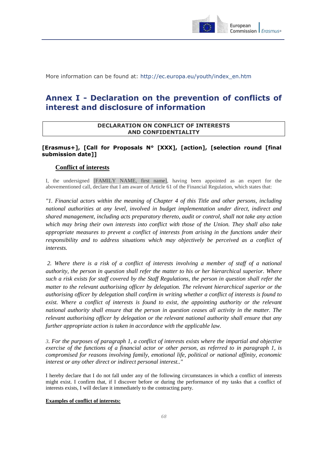

More information can be found at: [http://ec.europa.eu/youth/index\\_en.htm](http://ec.europa.eu/youth/index_en.htm)

## <span id="page-67-0"></span>**Annex I - Declaration on the prevention of conflicts of interest and disclosure of information**

#### **DECLARATION ON CONFLICT OF INTERESTS AND CONFIDENTIALITY**

## **[Erasmus+], [Call for Proposals N° [XXX], [action], [selection round [final submission date]]**

#### **Conflict of interests**

I, the undersigned [FAMILY NAME, first name], having been appointed as an expert for the abovementioned call, declare that I am aware of Article 61 of the Financial Regulation, which states that:

*"1. Financial actors within the meaning of Chapter 4 of this Title and other persons, including national authorities at any level, involved in budget implementation under direct, indirect and shared management, including acts preparatory thereto, audit or control, shall not take any action which may bring their own interests into conflict with those of the Union. They shall also take appropriate measures to prevent a conflict of interests from arising in the functions under their responsibility and to address situations which may objectively be perceived as a conflict of interests.*

*2. Where there is a risk of a conflict of interests involving a member of staff of a national authority, the person in question shall refer the matter to his or her hierarchical superior. Where such a risk exists for staff covered by the Staff Regulations, the person in question shall refer the matter to the relevant authorising officer by delegation. The relevant hierarchical superior or the authorising officer by delegation shall confirm in writing whether a conflict of interests is found to exist. Where a conflict of interests is found to exist, the appointing authority or the relevant national authority shall ensure that the person in question ceases all activity in the matter. The relevant authorising officer by delegation or the relevant national authority shall ensure that any further appropriate action is taken in accordance with the applicable law.* 

*3. For the purposes of paragraph 1, a conflict of interests exists where the impartial and objective exercise of the functions of a financial actor or other person, as referred to in paragraph 1, is compromised for reasons involving family, emotional life, political or national affinity, economic interest or any other direct or indirect personal interest.."*

I hereby declare that I do not fall under any of the following circumstances in which a conflict of interests might exist. I confirm that, if I discover before or during the performance of my tasks that a conflict of interests exists, I will declare it immediately to the contracting party.

#### **Examples of conflict of interests:**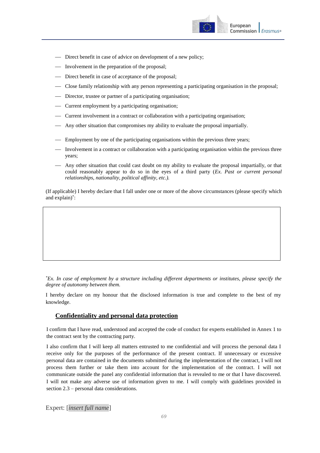

- Direct benefit in case of advice on development of a new policy;
- Involvement in the preparation of the proposal;
- Direct benefit in case of acceptance of the proposal;
- Close family relationship with any person representing a participating organisation in the proposal;
- Director, trustee or partner of a participating organisation;
- Current employment by a participating organisation;
- Current involvement in a contract or collaboration with a participating organisation;
- Any other situation that compromises my ability to evaluate the proposal impartially.
- Employment by one of the participating organisations within the previous three years;
- Involvement in a contract or collaboration with a participating organisation within the previous three years;
- Any other situation that could cast doubt on my ability to evaluate the proposal impartially, or that could reasonably appear to do so in the eyes of a third party (*Ex. Past or current personal relationships, nationality, political affinity, etc.).*

(If applicable) I hereby declare that I fall under one or more of the above circumstances (please specify which and explain)\* :

*\*Ex. In case of employment by a structure including different departments or institutes, please specify the degree of autonomy between them.* 

I hereby declare on my honour that the disclosed information is true and complete to the best of my knowledge.

#### **Confidentiality and personal data protection**

I confirm that I have read, understood and accepted the code of conduct for experts established in Annex 1 to the contract sent by the contracting party.

I also confirm that I will keep all matters entrusted to me confidential and will process the personal data I receive only for the purposes of the performance of the present contract. If unnecessary or excessive personal data are contained in the documents submitted during the implementation of the contract, I will not process them further or take them into account for the implementation of the contract. I will not communicate outside the panel any confidential information that is revealed to me or that I have discovered. I will not make any adverse use of information given to me. I will comply with guidelines provided in section 2.3 – personal data considerations.

Expert: [*insert full name*]